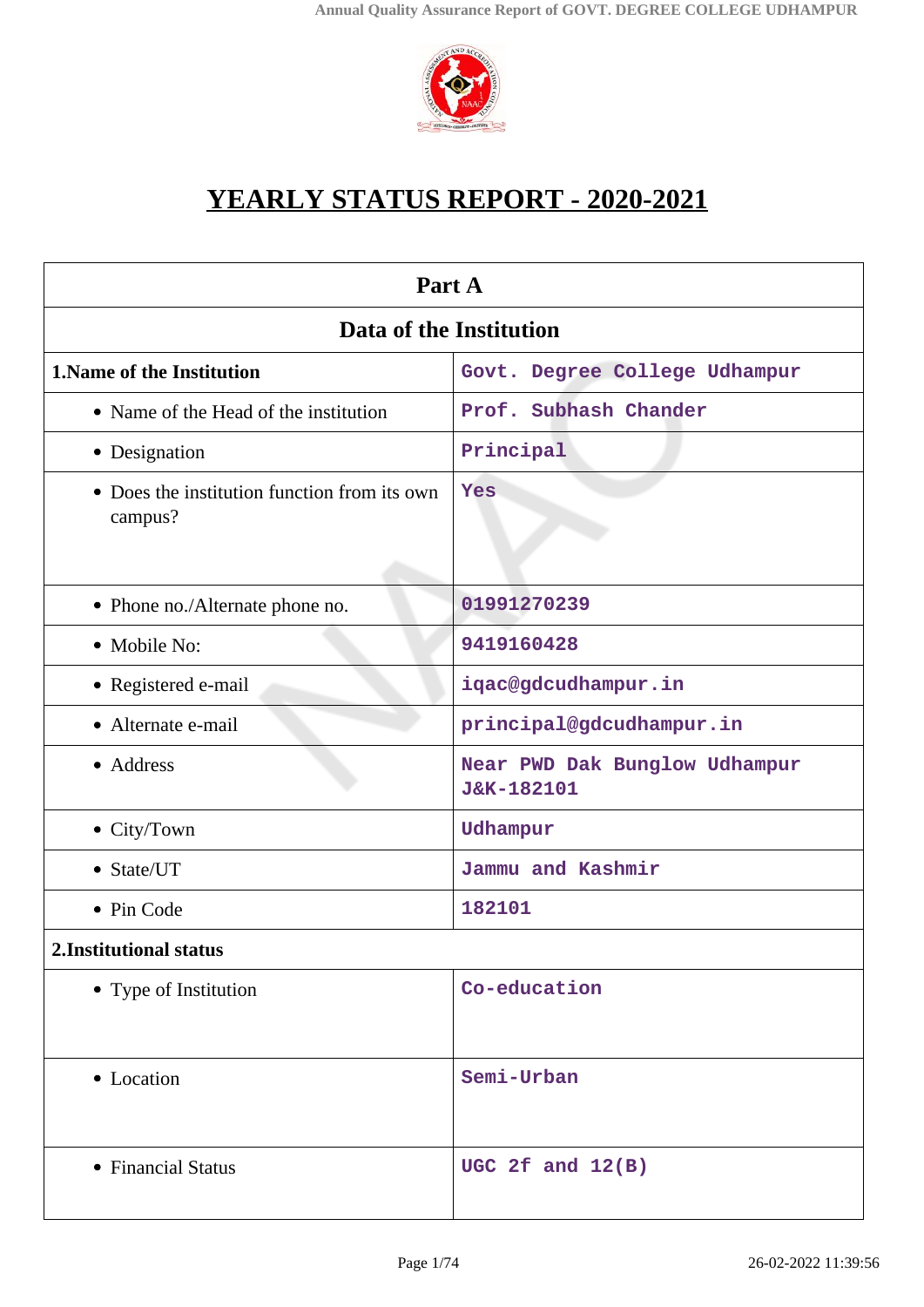

# **YEARLY STATUS REPORT - 2020-2021**

| Part A                                                  |                                             |  |
|---------------------------------------------------------|---------------------------------------------|--|
| Data of the Institution                                 |                                             |  |
| <b>1. Name of the Institution</b>                       | Govt. Degree College Udhampur               |  |
| • Name of the Head of the institution                   | Prof. Subhash Chander                       |  |
| • Designation                                           | Principal                                   |  |
| • Does the institution function from its own<br>campus? | Yes                                         |  |
| • Phone no./Alternate phone no.                         | 01991270239                                 |  |
| • Mobile No:                                            | 9419160428                                  |  |
| • Registered e-mail                                     | iqac@gdcudhampur.in                         |  |
| • Alternate e-mail                                      | principal@gdcudhampur.in                    |  |
| • Address                                               | Near PWD Dak Bunglow Udhampur<br>J&K-182101 |  |
| • City/Town                                             | Udhampur                                    |  |
| • State/UT                                              | Jammu and Kashmir                           |  |
| • Pin Code                                              | 182101                                      |  |
| 2. Institutional status                                 |                                             |  |
| • Type of Institution                                   | Co-education                                |  |
| • Location                                              | Semi-Urban                                  |  |
| • Financial Status                                      | UGC 2f and $12(B)$                          |  |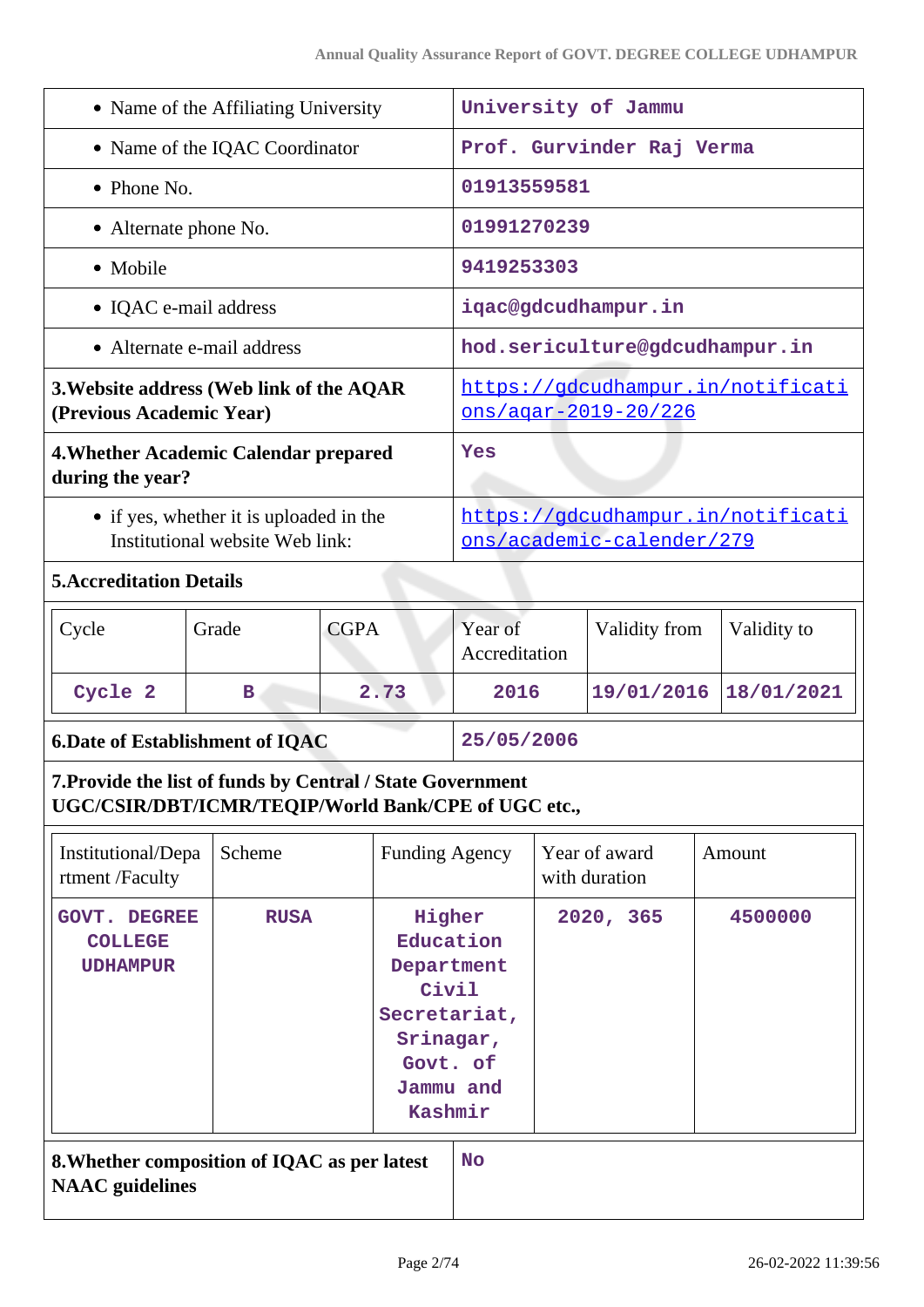| • Name of the Affiliating University                                                                              |                            |             |                                                                                                             |                                                                  | University of Jammu |                                |  |                                   |
|-------------------------------------------------------------------------------------------------------------------|----------------------------|-------------|-------------------------------------------------------------------------------------------------------------|------------------------------------------------------------------|---------------------|--------------------------------|--|-----------------------------------|
| • Name of the IQAC Coordinator                                                                                    |                            |             | Prof. Gurvinder Raj Verma                                                                                   |                                                                  |                     |                                |  |                                   |
| • Phone No.                                                                                                       |                            |             | 01913559581                                                                                                 |                                                                  |                     |                                |  |                                   |
| • Alternate phone No.                                                                                             |                            |             |                                                                                                             | 01991270239                                                      |                     |                                |  |                                   |
| • Mobile                                                                                                          |                            |             |                                                                                                             | 9419253303                                                       |                     |                                |  |                                   |
|                                                                                                                   | • IQAC e-mail address      |             |                                                                                                             | iqac@gdcudhampur.in                                              |                     |                                |  |                                   |
|                                                                                                                   | • Alternate e-mail address |             |                                                                                                             | hod.sericulture@gdcudhampur.in                                   |                     |                                |  |                                   |
| 3. Website address (Web link of the AQAR<br>(Previous Academic Year)                                              |                            |             |                                                                                                             | https://gdcudhampur.in/notificati<br><u>ons/agar-2019-20/226</u> |                     |                                |  |                                   |
| 4. Whether Academic Calendar prepared<br>during the year?                                                         |                            |             |                                                                                                             | Yes                                                              |                     |                                |  |                                   |
| • if yes, whether it is uploaded in the<br>Institutional website Web link:                                        |                            |             |                                                                                                             |                                                                  |                     | ons/academic-calender/279      |  | https://gdcudhampur.in/notificati |
| <b>5. Accreditation Details</b>                                                                                   |                            |             |                                                                                                             |                                                                  |                     |                                |  |                                   |
| Cycle                                                                                                             | Grade                      | <b>CGPA</b> |                                                                                                             | Year of<br>Accreditation                                         |                     | Validity from                  |  | Validity to                       |
| Cycle 2                                                                                                           | В                          |             | 2.73                                                                                                        | 2016                                                             |                     | 19/01/2016                     |  | 18/01/2021                        |
| <b>6.Date of Establishment of IQAC</b>                                                                            |                            | 25/05/2006  |                                                                                                             |                                                                  |                     |                                |  |                                   |
| 7. Provide the list of funds by Central / State Government<br>UGC/CSIR/DBT/ICMR/TEQIP/World Bank/CPE of UGC etc., |                            |             |                                                                                                             |                                                                  |                     |                                |  |                                   |
| Institutional/Depa<br>rtment /Faculty                                                                             | Scheme                     |             | <b>Funding Agency</b>                                                                                       |                                                                  |                     | Year of award<br>with duration |  | Amount                            |
| <b>GOVT.</b><br><b>DEGREE</b><br><b>COLLEGE</b><br><b>UDHAMPUR</b>                                                | <b>RUSA</b>                |             | Higher<br>Education<br>Department<br>Civil<br>Secretariat,<br>Srinagar,<br>Govt. of<br>Jammu and<br>Kashmir |                                                                  |                     | 2020, 365                      |  | 4500000                           |
| 8. Whether composition of IQAC as per latest<br><b>NAAC</b> guidelines                                            |                            |             |                                                                                                             | <b>No</b>                                                        |                     |                                |  |                                   |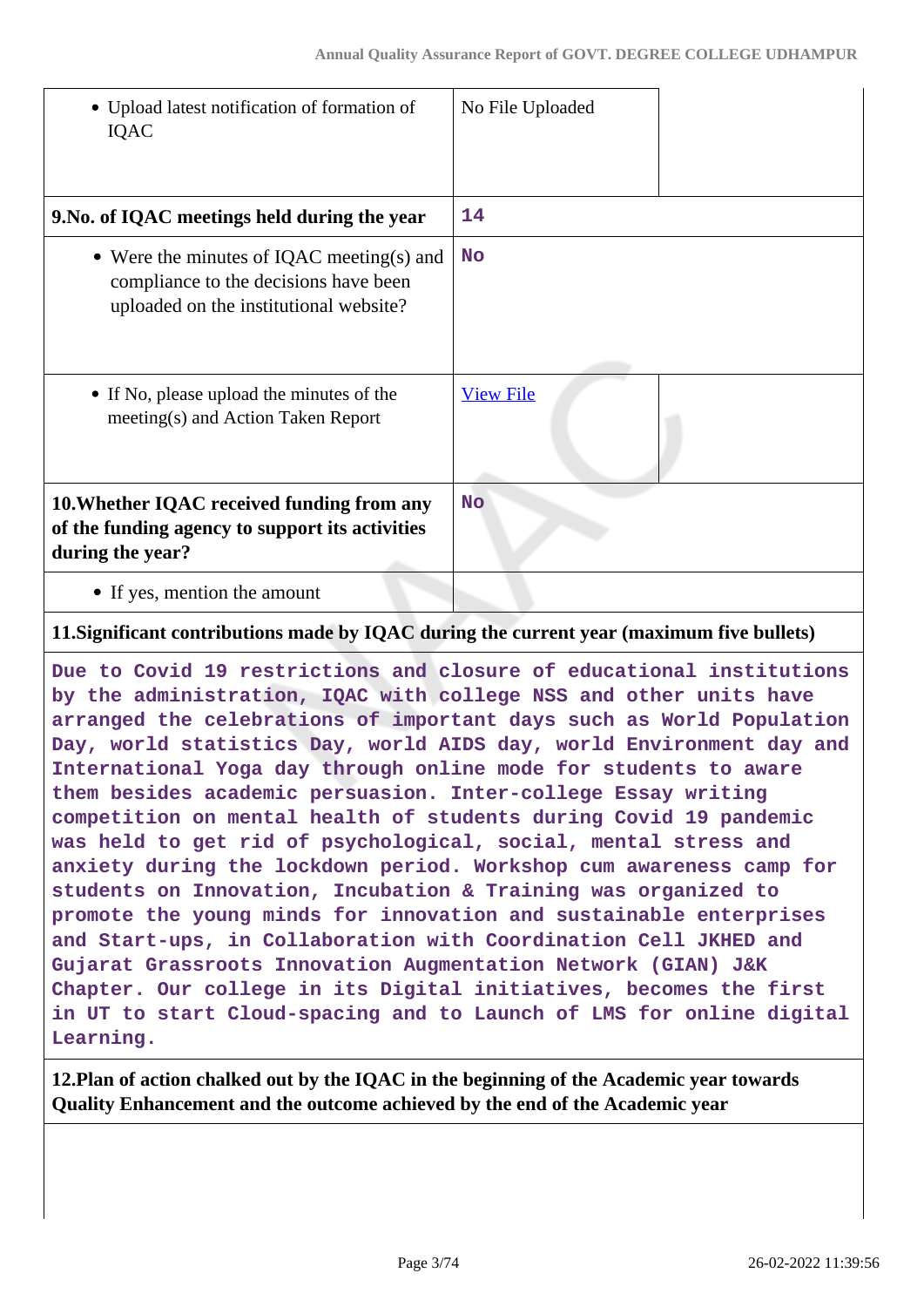| • Upload latest notification of formation of<br>IQAC                                                                         | No File Uploaded |
|------------------------------------------------------------------------------------------------------------------------------|------------------|
| 9. No. of IQAC meetings held during the year                                                                                 | 14               |
| • Were the minutes of IQAC meeting(s) and<br>compliance to the decisions have been<br>uploaded on the institutional website? | <b>No</b>        |
| • If No, please upload the minutes of the<br>meeting(s) and Action Taken Report                                              | <b>View File</b> |
| 10. Whether IQAC received funding from any<br>of the funding agency to support its activities<br>during the year?            | <b>No</b>        |
| • If yes, mention the amount                                                                                                 |                  |

#### **11.Significant contributions made by IQAC during the current year (maximum five bullets)**

**Due to Covid 19 restrictions and closure of educational institutions by the administration, IQAC with college NSS and other units have arranged the celebrations of important days such as World Population Day, world statistics Day, world AIDS day, world Environment day and International Yoga day through online mode for students to aware them besides academic persuasion. Inter-college Essay writing competition on mental health of students during Covid 19 pandemic was held to get rid of psychological, social, mental stress and anxiety during the lockdown period. Workshop cum awareness camp for students on Innovation, Incubation & Training was organized to promote the young minds for innovation and sustainable enterprises and Start-ups, in Collaboration with Coordination Cell JKHED and Gujarat Grassroots Innovation Augmentation Network (GIAN) J&K Chapter. Our college in its Digital initiatives, becomes the first in UT to start Cloud-spacing and to Launch of LMS for online digital Learning.**

**12.Plan of action chalked out by the IQAC in the beginning of the Academic year towards Quality Enhancement and the outcome achieved by the end of the Academic year**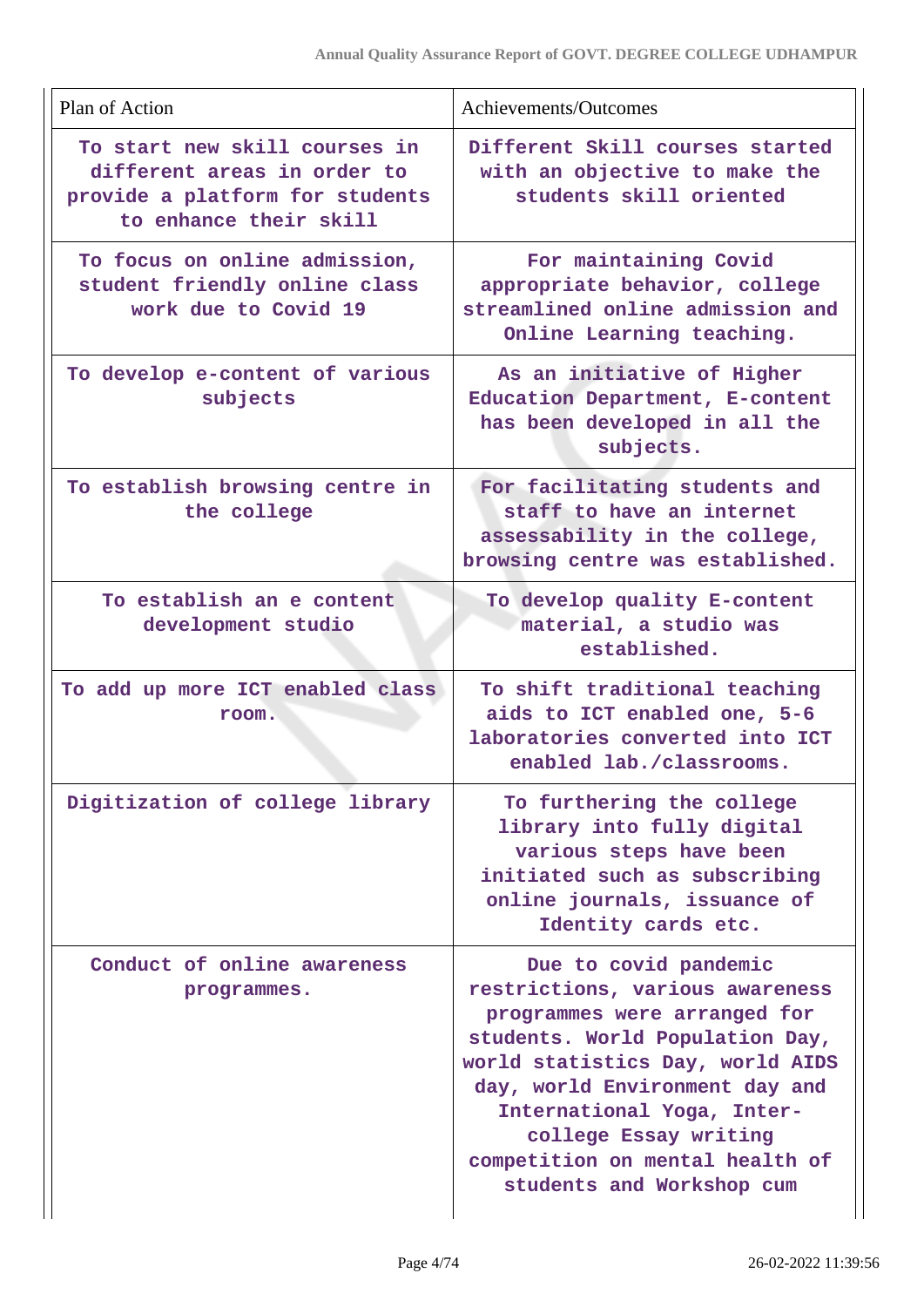| Plan of Action                                                                                                            | Achievements/Outcomes                                                                                                                                                                                                                                                                                                    |
|---------------------------------------------------------------------------------------------------------------------------|--------------------------------------------------------------------------------------------------------------------------------------------------------------------------------------------------------------------------------------------------------------------------------------------------------------------------|
| To start new skill courses in<br>different areas in order to<br>provide a platform for students<br>to enhance their skill | Different Skill courses started<br>with an objective to make the<br>students skill oriented                                                                                                                                                                                                                              |
| To focus on online admission,<br>student friendly online class<br>work due to Covid 19                                    | For maintaining Covid<br>appropriate behavior, college<br>streamlined online admission and<br>Online Learning teaching.                                                                                                                                                                                                  |
| To develop e-content of various<br>subjects                                                                               | As an initiative of Higher<br>Education Department, E-content<br>has been developed in all the<br>subjects.                                                                                                                                                                                                              |
| To establish browsing centre in<br>the college                                                                            | For facilitating students and<br>staff to have an internet<br>assessability in the college,<br>browsing centre was established.                                                                                                                                                                                          |
| To establish an e content<br>development studio                                                                           | To develop quality E-content<br>material, a studio was<br>established.                                                                                                                                                                                                                                                   |
| To add up more ICT enabled class<br>room.                                                                                 | To shift traditional teaching<br>aids to ICT enabled one, 5-6<br>laboratories converted into ICT<br>enabled lab./classrooms.                                                                                                                                                                                             |
| Digitization of college library                                                                                           | To furthering the college<br>library into fully digital<br>various steps have been<br>initiated such as subscribing<br>online journals, issuance of<br>Identity cards etc.                                                                                                                                               |
| Conduct of online awareness<br>programmes.                                                                                | Due to covid pandemic<br>restrictions, various awareness<br>programmes were arranged for<br>students. World Population Day,<br>world statistics Day, world AIDS<br>day, world Environment day and<br>International Yoga, Inter-<br>college Essay writing<br>competition on mental health of<br>students and Workshop cum |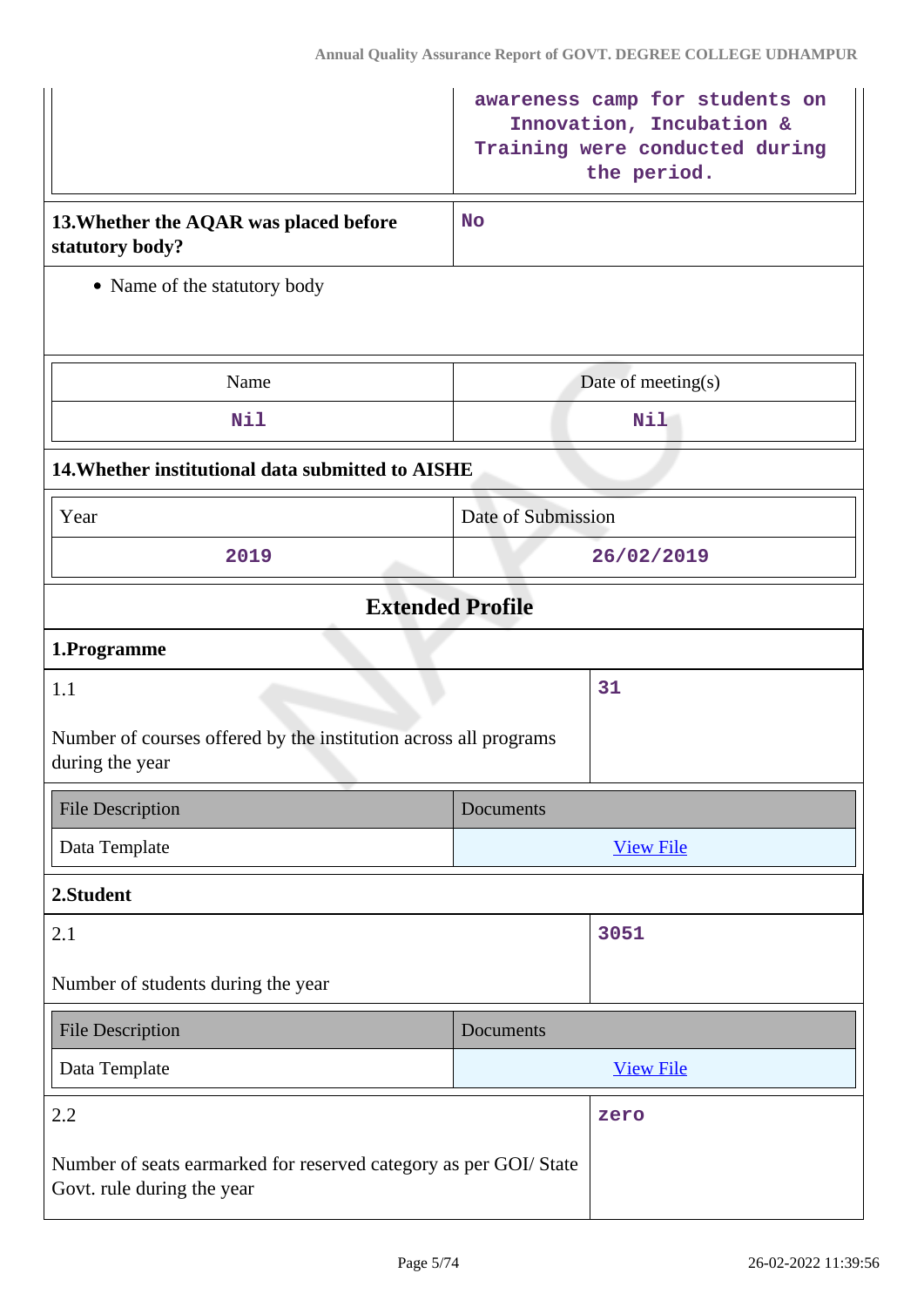|                                                                                                | awareness camp for students on<br>Innovation, Incubation &<br>Training were conducted during<br>the period. |
|------------------------------------------------------------------------------------------------|-------------------------------------------------------------------------------------------------------------|
| 13. Whether the AQAR was placed before<br>statutory body?                                      | <b>No</b>                                                                                                   |
| • Name of the statutory body                                                                   |                                                                                                             |
| Name                                                                                           | Date of meeting(s)                                                                                          |
| Nil                                                                                            | Nil                                                                                                         |
| 14. Whether institutional data submitted to AISHE                                              |                                                                                                             |
| Year                                                                                           | Date of Submission                                                                                          |
| 2019                                                                                           | 26/02/2019                                                                                                  |
| <b>Extended Profile</b>                                                                        |                                                                                                             |
| 1.Programme                                                                                    |                                                                                                             |
| 1.1                                                                                            | 31                                                                                                          |
| Number of courses offered by the institution across all programs<br>during the year            |                                                                                                             |
| <b>File Description</b>                                                                        | Documents                                                                                                   |
| Data Template                                                                                  | <b>View File</b>                                                                                            |
| 2.Student                                                                                      |                                                                                                             |
| 2.1                                                                                            | 3051                                                                                                        |
| Number of students during the year                                                             |                                                                                                             |
| <b>File Description</b>                                                                        | Documents                                                                                                   |
| Data Template                                                                                  | <b>View File</b>                                                                                            |
| 2.2                                                                                            | zero                                                                                                        |
| Number of seats earmarked for reserved category as per GOI/State<br>Govt. rule during the year |                                                                                                             |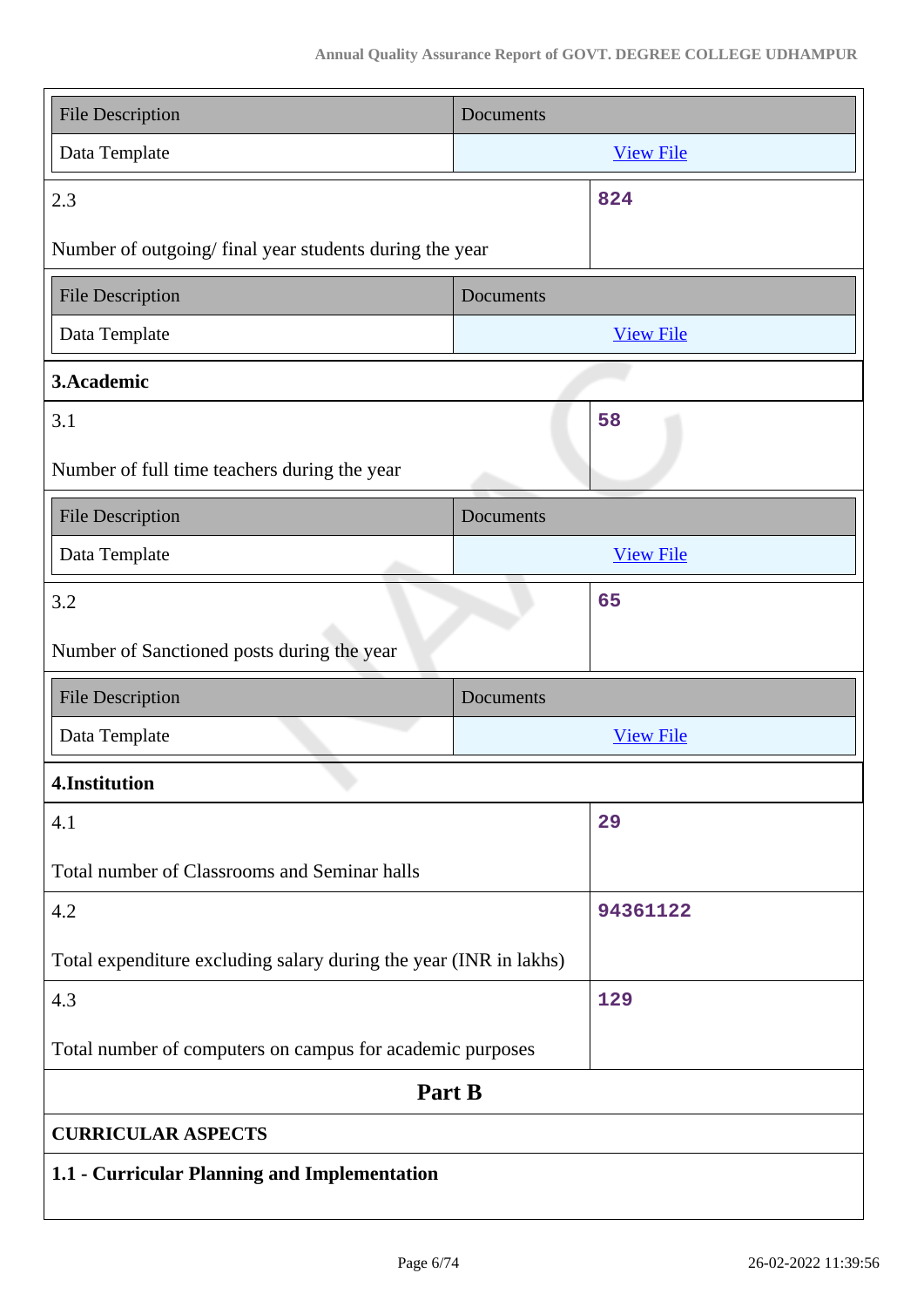| <b>File Description</b>                                           | Documents |                  |
|-------------------------------------------------------------------|-----------|------------------|
| Data Template                                                     |           | <b>View File</b> |
| 2.3                                                               |           | 824              |
| Number of outgoing/final year students during the year            |           |                  |
| <b>File Description</b>                                           | Documents |                  |
| Data Template                                                     |           | <b>View File</b> |
| 3.Academic                                                        |           |                  |
| 3.1                                                               |           | 58               |
| Number of full time teachers during the year                      |           |                  |
| <b>File Description</b>                                           | Documents |                  |
| Data Template                                                     |           | <b>View File</b> |
| 3.2                                                               |           | 65               |
| Number of Sanctioned posts during the year                        |           |                  |
| <b>File Description</b>                                           | Documents |                  |
| Data Template                                                     |           | <b>View File</b> |
| 4.Institution                                                     |           |                  |
| 4.1                                                               |           | 29               |
| Total number of Classrooms and Seminar halls                      |           |                  |
| 4.2                                                               |           | 94361122         |
| Total expenditure excluding salary during the year (INR in lakhs) |           |                  |
| 4.3                                                               |           | 129              |
| Total number of computers on campus for academic purposes         |           |                  |
| Part B                                                            |           |                  |
| <b>CURRICULAR ASPECTS</b>                                         |           |                  |
| 1.1 - Curricular Planning and Implementation                      |           |                  |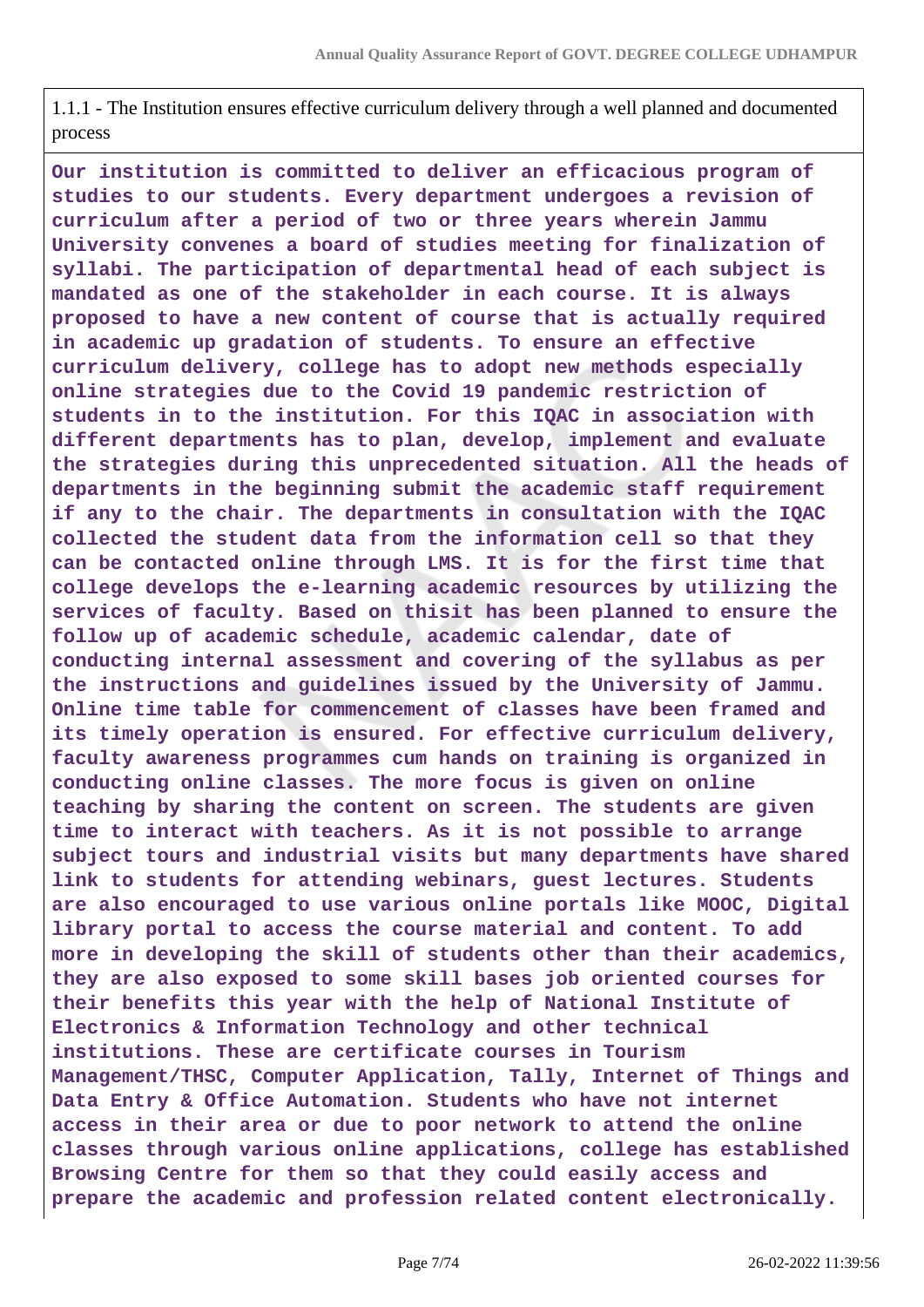1.1.1 - The Institution ensures effective curriculum delivery through a well planned and documented process

**Our institution is committed to deliver an efficacious program of studies to our students. Every department undergoes a revision of curriculum after a period of two or three years wherein Jammu University convenes a board of studies meeting for finalization of syllabi. The participation of departmental head of each subject is mandated as one of the stakeholder in each course. It is always proposed to have a new content of course that is actually required in academic up gradation of students. To ensure an effective curriculum delivery, college has to adopt new methods especially online strategies due to the Covid 19 pandemic restriction of students in to the institution. For this IQAC in association with different departments has to plan, develop, implement and evaluate the strategies during this unprecedented situation. All the heads of departments in the beginning submit the academic staff requirement if any to the chair. The departments in consultation with the IQAC collected the student data from the information cell so that they can be contacted online through LMS. It is for the first time that college develops the e-learning academic resources by utilizing the services of faculty. Based on thisit has been planned to ensure the follow up of academic schedule, academic calendar, date of conducting internal assessment and covering of the syllabus as per the instructions and guidelines issued by the University of Jammu. Online time table for commencement of classes have been framed and its timely operation is ensured. For effective curriculum delivery, faculty awareness programmes cum hands on training is organized in conducting online classes. The more focus is given on online teaching by sharing the content on screen. The students are given time to interact with teachers. As it is not possible to arrange subject tours and industrial visits but many departments have shared link to students for attending webinars, guest lectures. Students are also encouraged to use various online portals like MOOC, Digital library portal to access the course material and content. To add more in developing the skill of students other than their academics, they are also exposed to some skill bases job oriented courses for their benefits this year with the help of National Institute of Electronics & Information Technology and other technical institutions. These are certificate courses in Tourism Management/THSC, Computer Application, Tally, Internet of Things and Data Entry & Office Automation. Students who have not internet access in their area or due to poor network to attend the online classes through various online applications, college has established Browsing Centre for them so that they could easily access and prepare the academic and profession related content electronically.**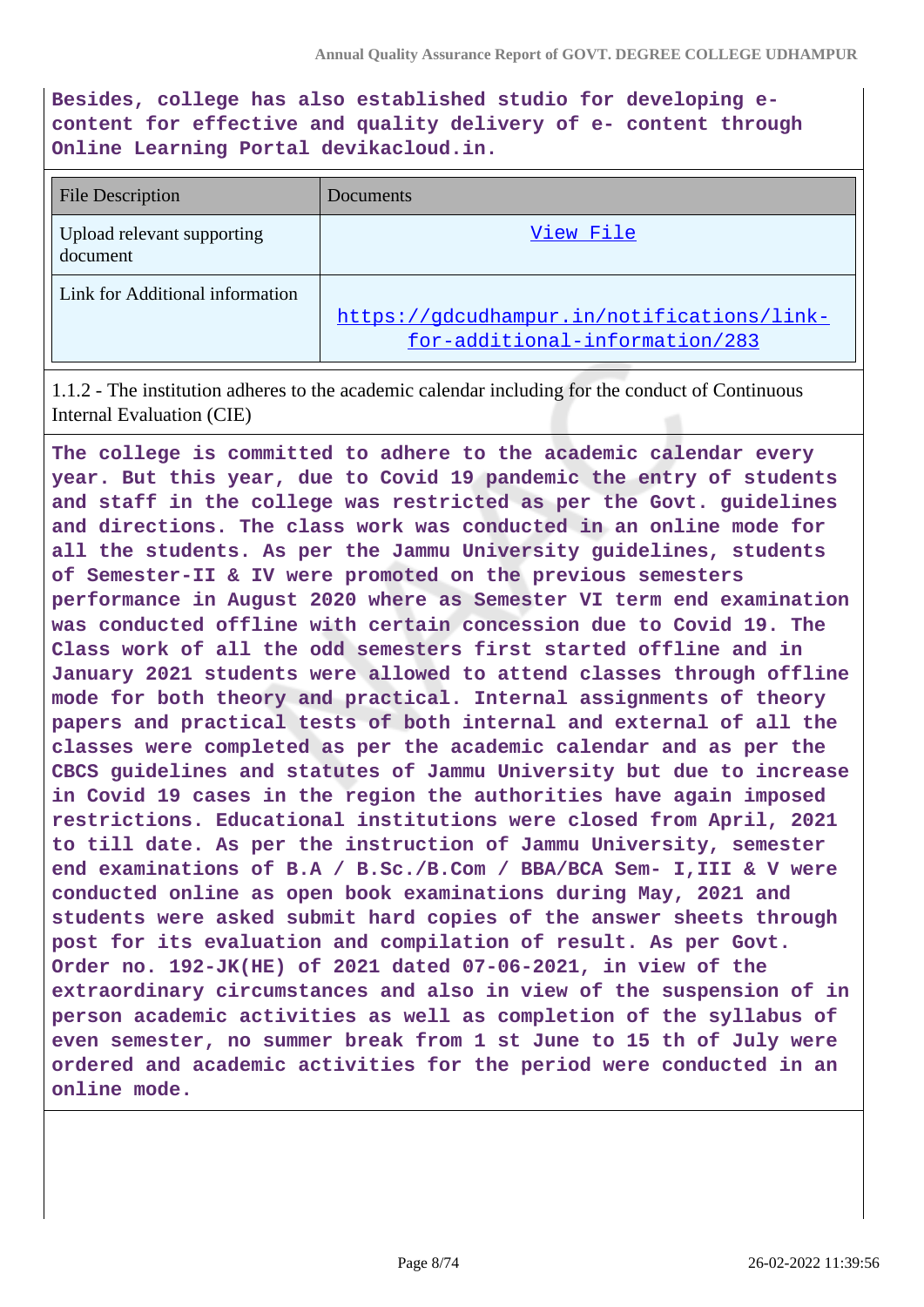**Besides, college has also established studio for developing econtent for effective and quality delivery of e- content through Online Learning Portal devikacloud.in.**

| <b>File Description</b>                | Documents                                                                    |
|----------------------------------------|------------------------------------------------------------------------------|
| Upload relevant supporting<br>document | View File                                                                    |
| Link for Additional information        | https://gdcudhampur.in/notifications/link-<br>for-additional-information/283 |

1.1.2 - The institution adheres to the academic calendar including for the conduct of Continuous Internal Evaluation (CIE)

**The college is committed to adhere to the academic calendar every year. But this year, due to Covid 19 pandemic the entry of students and staff in the college was restricted as per the Govt. guidelines and directions. The class work was conducted in an online mode for all the students. As per the Jammu University guidelines, students of Semester-II & IV were promoted on the previous semesters performance in August 2020 where as Semester VI term end examination was conducted offline with certain concession due to Covid 19. The Class work of all the odd semesters first started offline and in January 2021 students were allowed to attend classes through offline mode for both theory and practical. Internal assignments of theory papers and practical tests of both internal and external of all the classes were completed as per the academic calendar and as per the CBCS guidelines and statutes of Jammu University but due to increase in Covid 19 cases in the region the authorities have again imposed restrictions. Educational institutions were closed from April, 2021 to till date. As per the instruction of Jammu University, semester end examinations of B.A / B.Sc./B.Com / BBA/BCA Sem- I,III & V were conducted online as open book examinations during May, 2021 and students were asked submit hard copies of the answer sheets through post for its evaluation and compilation of result. As per Govt. Order no. 192-JK(HE) of 2021 dated 07-06-2021, in view of the extraordinary circumstances and also in view of the suspension of in person academic activities as well as completion of the syllabus of even semester, no summer break from 1 st June to 15 th of July were ordered and academic activities for the period were conducted in an online mode.**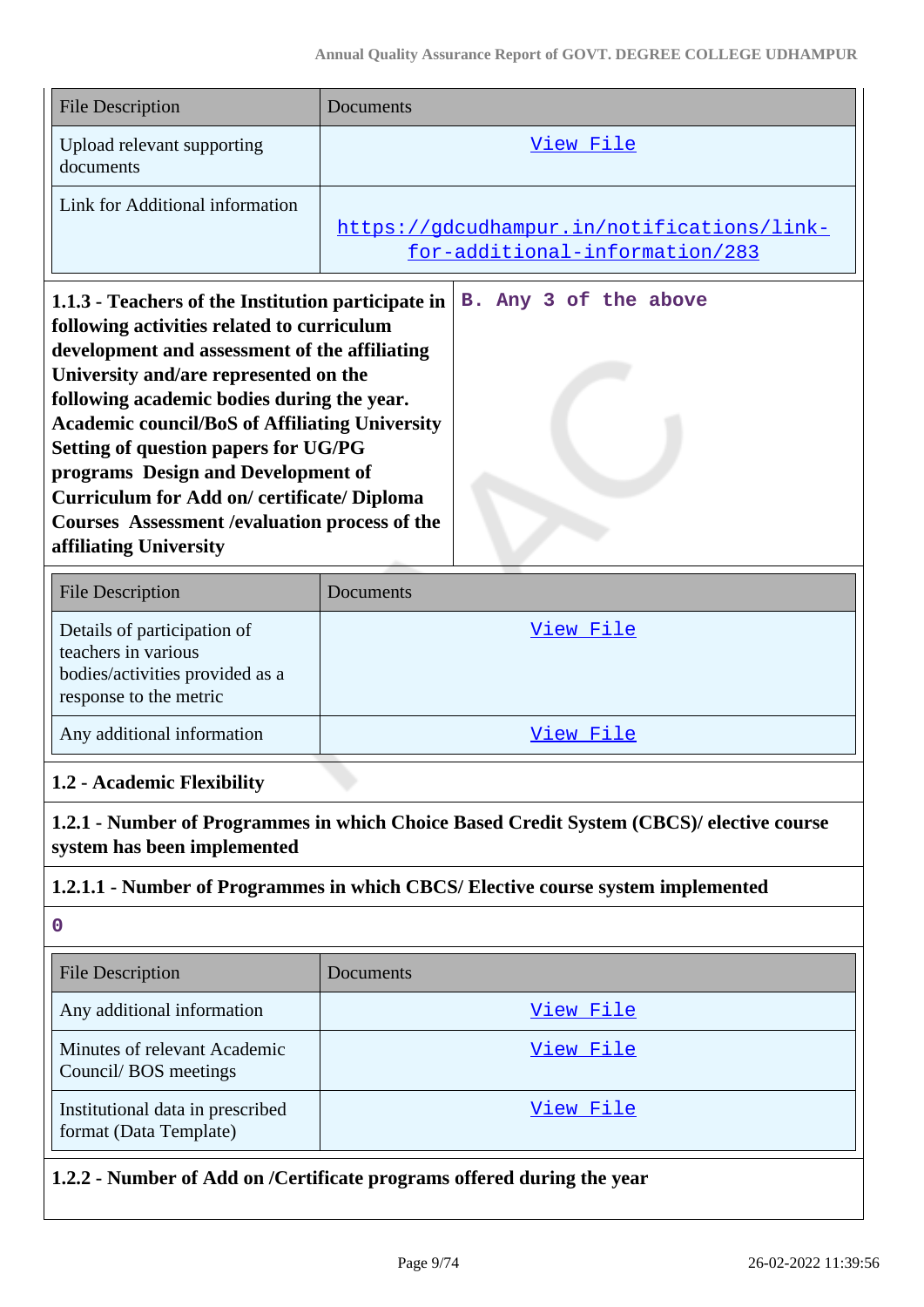| <b>File Description</b>                 | Documents                                                                    |
|-----------------------------------------|------------------------------------------------------------------------------|
| Upload relevant supporting<br>documents | View File                                                                    |
| Link for Additional information         | https://gdcudhampur.in/notifications/link-<br>for-additional-information/283 |

**1.1.3 - Teachers of the Institution participate in B. Any 3 of the above following activities related to curriculum development and assessment of the affiliating University and/are represented on the following academic bodies during the year. Academic council/BoS of Affiliating University Setting of question papers for UG/PG programs Design and Development of Curriculum for Add on/ certificate/ Diploma Courses Assessment /evaluation process of the affiliating University**

| <b>File Description</b>                                                                                         | Documents |
|-----------------------------------------------------------------------------------------------------------------|-----------|
| Details of participation of<br>teachers in various<br>bodies/activities provided as a<br>response to the metric | View File |
| Any additional information                                                                                      | View File |

### **1.2 - Academic Flexibility**

**1.2.1 - Number of Programmes in which Choice Based Credit System (CBCS)/ elective course system has been implemented**

#### **1.2.1.1 - Number of Programmes in which CBCS/ Elective course system implemented**

**0**

| File Description                                           | <b>Documents</b> |
|------------------------------------------------------------|------------------|
| Any additional information                                 | View File        |
| Minutes of relevant Academic<br>Council/BOS meetings       | View File        |
| Institutional data in prescribed<br>format (Data Template) | View File        |

**1.2.2 - Number of Add on /Certificate programs offered during the year**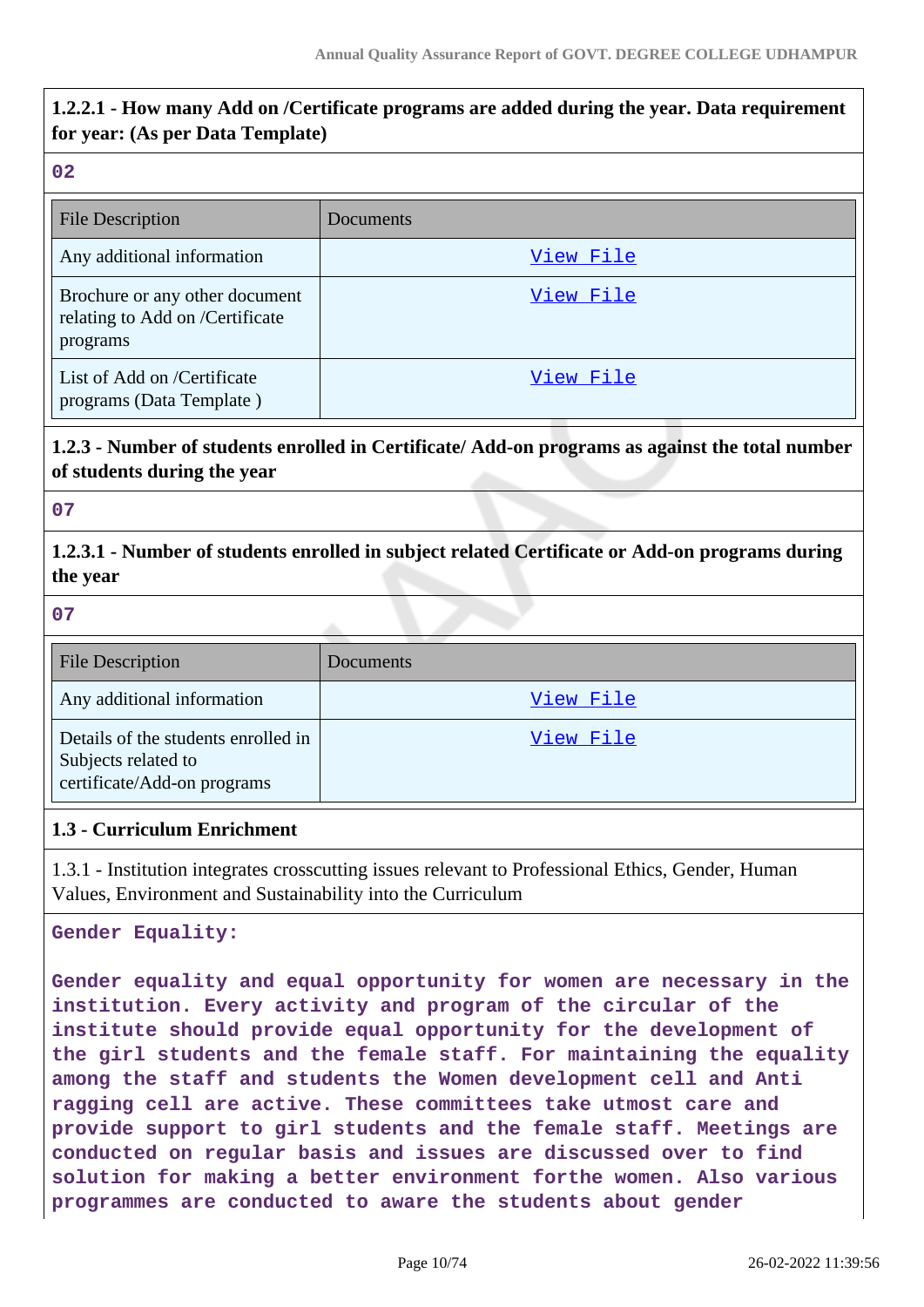# **1.2.2.1 - How many Add on /Certificate programs are added during the year. Data requirement for year: (As per Data Template)**

#### **02**

| <b>File Description</b>                                                       | Documents |
|-------------------------------------------------------------------------------|-----------|
| Any additional information                                                    | View File |
| Brochure or any other document<br>relating to Add on /Certificate<br>programs | View File |
| List of Add on /Certificate<br>programs (Data Template)                       | View File |

# **1.2.3 - Number of students enrolled in Certificate/ Add-on programs as against the total number of students during the year**

#### **07**

**1.2.3.1 - Number of students enrolled in subject related Certificate or Add-on programs during the year**

#### **07**

| <b>File Description</b>                                                                   | Documents |
|-------------------------------------------------------------------------------------------|-----------|
| Any additional information                                                                | View File |
| Details of the students enrolled in<br>Subjects related to<br>certificate/Add-on programs | View File |

#### **1.3 - Curriculum Enrichment**

1.3.1 - Institution integrates crosscutting issues relevant to Professional Ethics, Gender, Human Values, Environment and Sustainability into the Curriculum

**Gender Equality:**

**Gender equality and equal opportunity for women are necessary in the institution. Every activity and program of the circular of the institute should provide equal opportunity for the development of the girl students and the female staff. For maintaining the equality among the staff and students the Women development cell and Anti ragging cell are active. These committees take utmost care and provide support to girl students and the female staff. Meetings are conducted on regular basis and issues are discussed over to find solution for making a better environment forthe women. Also various programmes are conducted to aware the students about gender**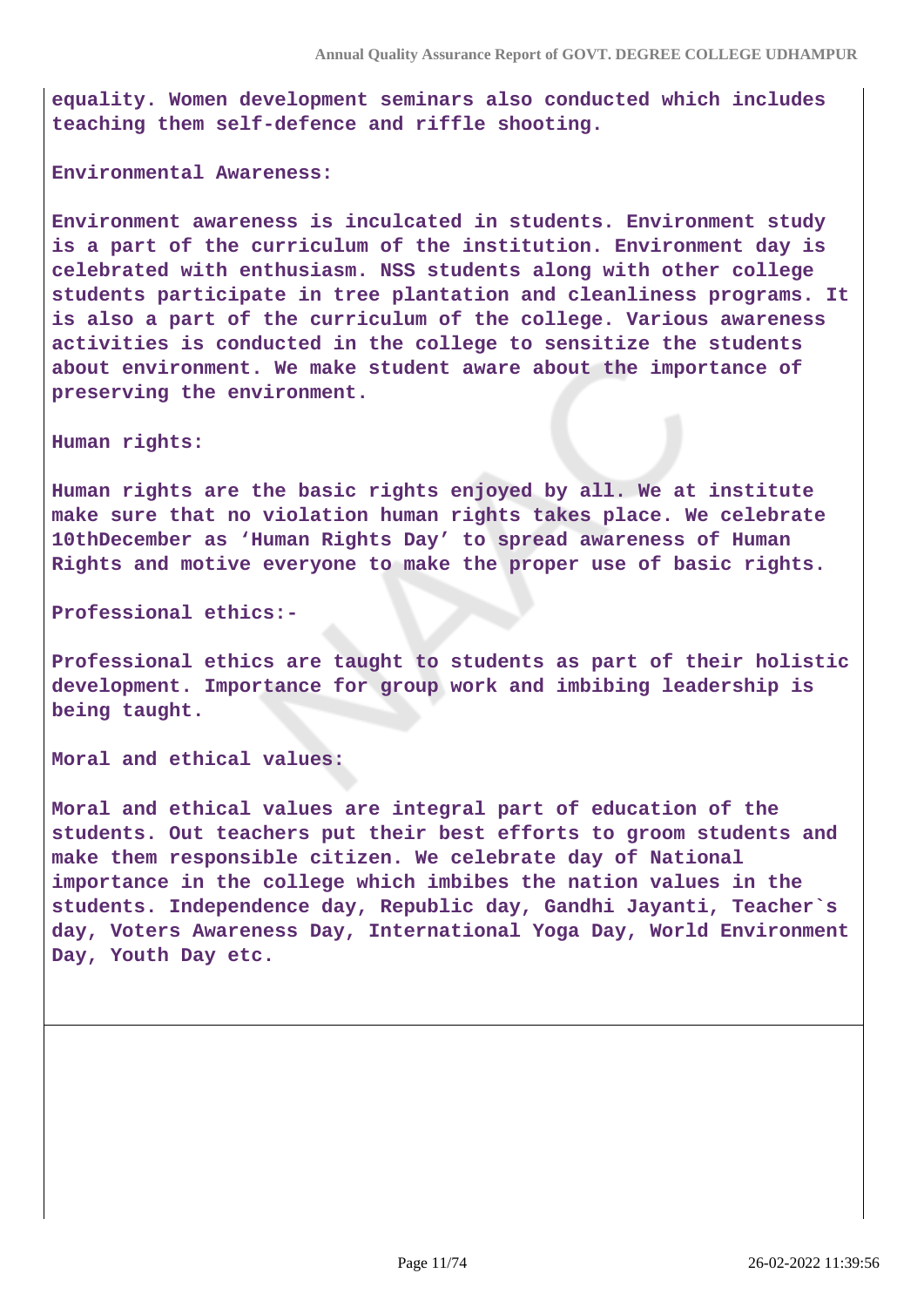**equality. Women development seminars also conducted which includes teaching them self-defence and riffle shooting.**

**Environmental Awareness:**

**Environment awareness is inculcated in students. Environment study is a part of the curriculum of the institution. Environment day is celebrated with enthusiasm. NSS students along with other college students participate in tree plantation and cleanliness programs. It is also a part of the curriculum of the college. Various awareness activities is conducted in the college to sensitize the students about environment. We make student aware about the importance of preserving the environment.**

**Human rights:**

**Human rights are the basic rights enjoyed by all. We at institute make sure that no violation human rights takes place. We celebrate 10thDecember as 'Human Rights Day' to spread awareness of Human Rights and motive everyone to make the proper use of basic rights.**

**Professional ethics:-**

**Professional ethics are taught to students as part of their holistic development. Importance for group work and imbibing leadership is being taught.**

**Moral and ethical values:**

**Moral and ethical values are integral part of education of the students. Out teachers put their best efforts to groom students and make them responsible citizen. We celebrate day of National importance in the college which imbibes the nation values in the students. Independence day, Republic day, Gandhi Jayanti, Teacher`s day, Voters Awareness Day, International Yoga Day, World Environment Day, Youth Day etc.**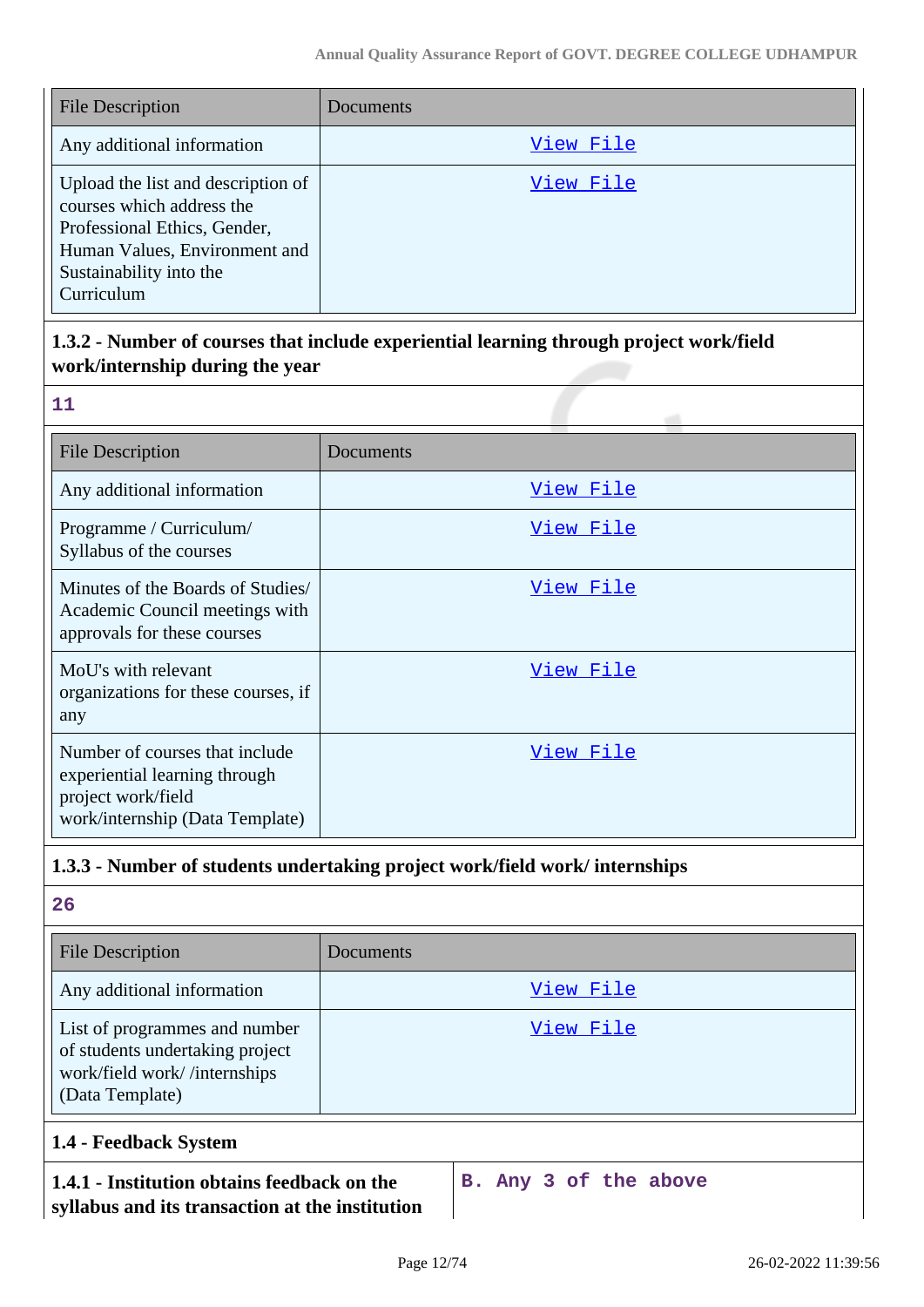| <b>File Description</b>                                                                                                                                                   | <b>Documents</b> |
|---------------------------------------------------------------------------------------------------------------------------------------------------------------------------|------------------|
| Any additional information                                                                                                                                                | View File        |
| Upload the list and description of<br>courses which address the<br>Professional Ethics, Gender,<br>Human Values, Environment and<br>Sustainability into the<br>Curriculum | View File        |

# **1.3.2 - Number of courses that include experiential learning through project work/field work/internship during the year**

| m.  |
|-----|
|     |
| n a |
|     |

| <b>File Description</b>                                                                                                  | Documents |
|--------------------------------------------------------------------------------------------------------------------------|-----------|
| Any additional information                                                                                               | View File |
| Programme / Curriculum/<br>Syllabus of the courses                                                                       | View File |
| Minutes of the Boards of Studies/<br>Academic Council meetings with<br>approvals for these courses                       | View File |
| MoU's with relevant<br>organizations for these courses, if<br>any                                                        | View File |
| Number of courses that include<br>experiential learning through<br>project work/field<br>work/internship (Data Template) | View File |

# **1.3.3 - Number of students undertaking project work/field work/ internships**

**26**

| <b>File Description</b>                                                                                             | <b>Documents</b> |
|---------------------------------------------------------------------------------------------------------------------|------------------|
| Any additional information                                                                                          | View File        |
| List of programmes and number<br>of students undertaking project<br>work/field work//internships<br>(Data Template) | View File        |

### **1.4 - Feedback System**

#### **1.4.1 - Institution obtains feedback on the syllabus and its transaction at the institution**

**B. Any 3 of the above**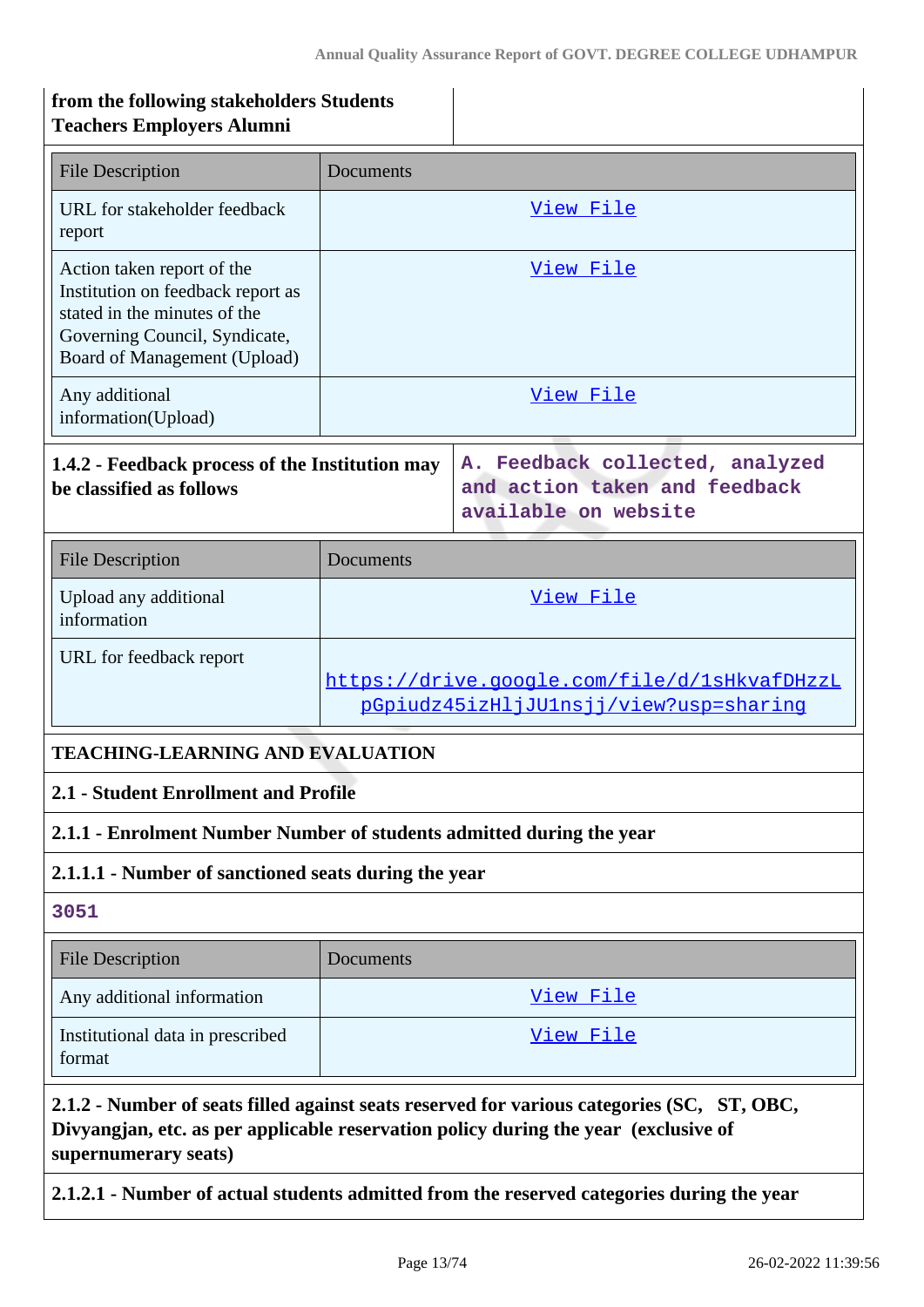| from the following stakeholders Students<br><b>Teachers Employers Alumni</b>                                                                                     |           |                                                                                                                                                                                   |
|------------------------------------------------------------------------------------------------------------------------------------------------------------------|-----------|-----------------------------------------------------------------------------------------------------------------------------------------------------------------------------------|
| <b>File Description</b>                                                                                                                                          | Documents |                                                                                                                                                                                   |
| URL for stakeholder feedback<br>report                                                                                                                           |           | View File                                                                                                                                                                         |
| Action taken report of the<br>Institution on feedback report as<br>stated in the minutes of the<br>Governing Council, Syndicate,<br>Board of Management (Upload) |           | View File                                                                                                                                                                         |
| Any additional<br>information(Upload)                                                                                                                            |           | View File                                                                                                                                                                         |
| 1.4.2 - Feedback process of the Institution may<br>be classified as follows                                                                                      |           | A. Feedback collected, analyzed<br>and action taken and feedback<br>available on website                                                                                          |
| <b>File Description</b>                                                                                                                                          | Documents |                                                                                                                                                                                   |
| Upload any additional<br>information                                                                                                                             |           | View File                                                                                                                                                                         |
| URL for feedback report                                                                                                                                          |           | https://drive.google.com/file/d/1sHkvafDHzzL<br>pGpiudz45izHljJUlnsjj/view?usp=sharinq                                                                                            |
| <b>TEACHING-LEARNING AND EVALUATION</b>                                                                                                                          |           |                                                                                                                                                                                   |
| 2.1 - Student Enrollment and Profile                                                                                                                             |           |                                                                                                                                                                                   |
| 2.1.1 - Enrolment Number Number of students admitted during the year                                                                                             |           |                                                                                                                                                                                   |
| 2.1.1.1 - Number of sanctioned seats during the year                                                                                                             |           |                                                                                                                                                                                   |
| 3051                                                                                                                                                             |           |                                                                                                                                                                                   |
| <b>File Description</b>                                                                                                                                          | Documents |                                                                                                                                                                                   |
| Any additional information                                                                                                                                       |           | View File                                                                                                                                                                         |
| Institutional data in prescribed<br>format                                                                                                                       |           | View File                                                                                                                                                                         |
| supernumerary seats)                                                                                                                                             |           | 2.1.2 - Number of seats filled against seats reserved for various categories (SC, ST, OBC,<br>Divyangjan, etc. as per applicable reservation policy during the year (exclusive of |
|                                                                                                                                                                  |           | 2.1.2.1 - Number of actual students admitted from the reserved categories during the year                                                                                         |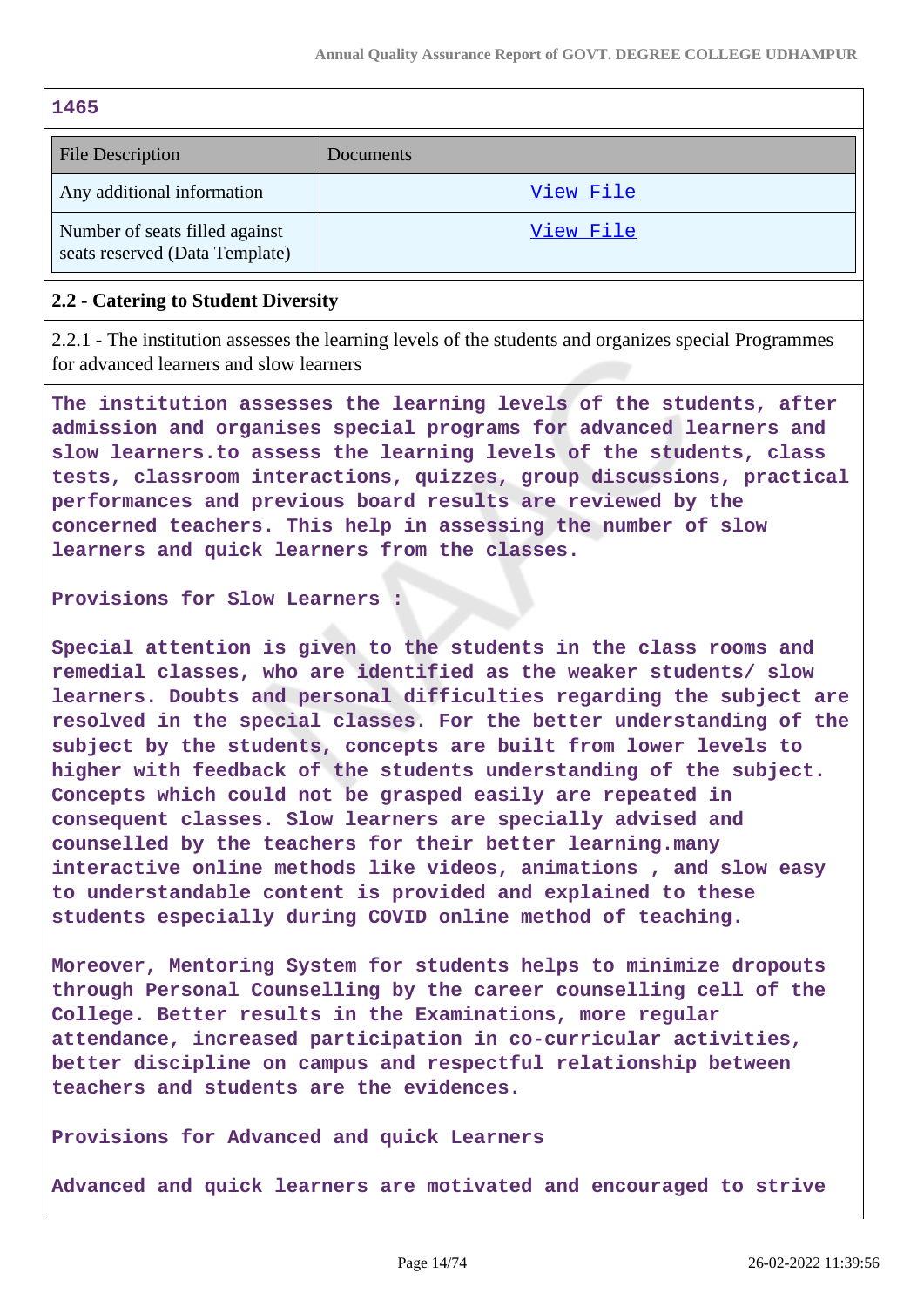| 1465                                                             |           |
|------------------------------------------------------------------|-----------|
| <b>File Description</b>                                          | Documents |
| Any additional information                                       | View File |
| Number of seats filled against<br>seats reserved (Data Template) | View File |

#### **2.2 - Catering to Student Diversity**

2.2.1 - The institution assesses the learning levels of the students and organizes special Programmes for advanced learners and slow learners

**The institution assesses the learning levels of the students, after admission and organises special programs for advanced learners and slow learners.to assess the learning levels of the students, class tests, classroom interactions, quizzes, group discussions, practical performances and previous board results are reviewed by the concerned teachers. This help in assessing the number of slow learners and quick learners from the classes.**

#### **Provisions for Slow Learners :**

**Special attention is given to the students in the class rooms and remedial classes, who are identified as the weaker students/ slow learners. Doubts and personal difficulties regarding the subject are resolved in the special classes. For the better understanding of the subject by the students, concepts are built from lower levels to higher with feedback of the students understanding of the subject. Concepts which could not be grasped easily are repeated in consequent classes. Slow learners are specially advised and counselled by the teachers for their better learning.many interactive online methods like videos, animations , and slow easy to understandable content is provided and explained to these students especially during COVID online method of teaching.**

**Moreover, Mentoring System for students helps to minimize dropouts through Personal Counselling by the career counselling cell of the College. Better results in the Examinations, more regular attendance, increased participation in co-curricular activities, better discipline on campus and respectful relationship between teachers and students are the evidences.**

**Provisions for Advanced and quick Learners**

**Advanced and quick learners are motivated and encouraged to strive**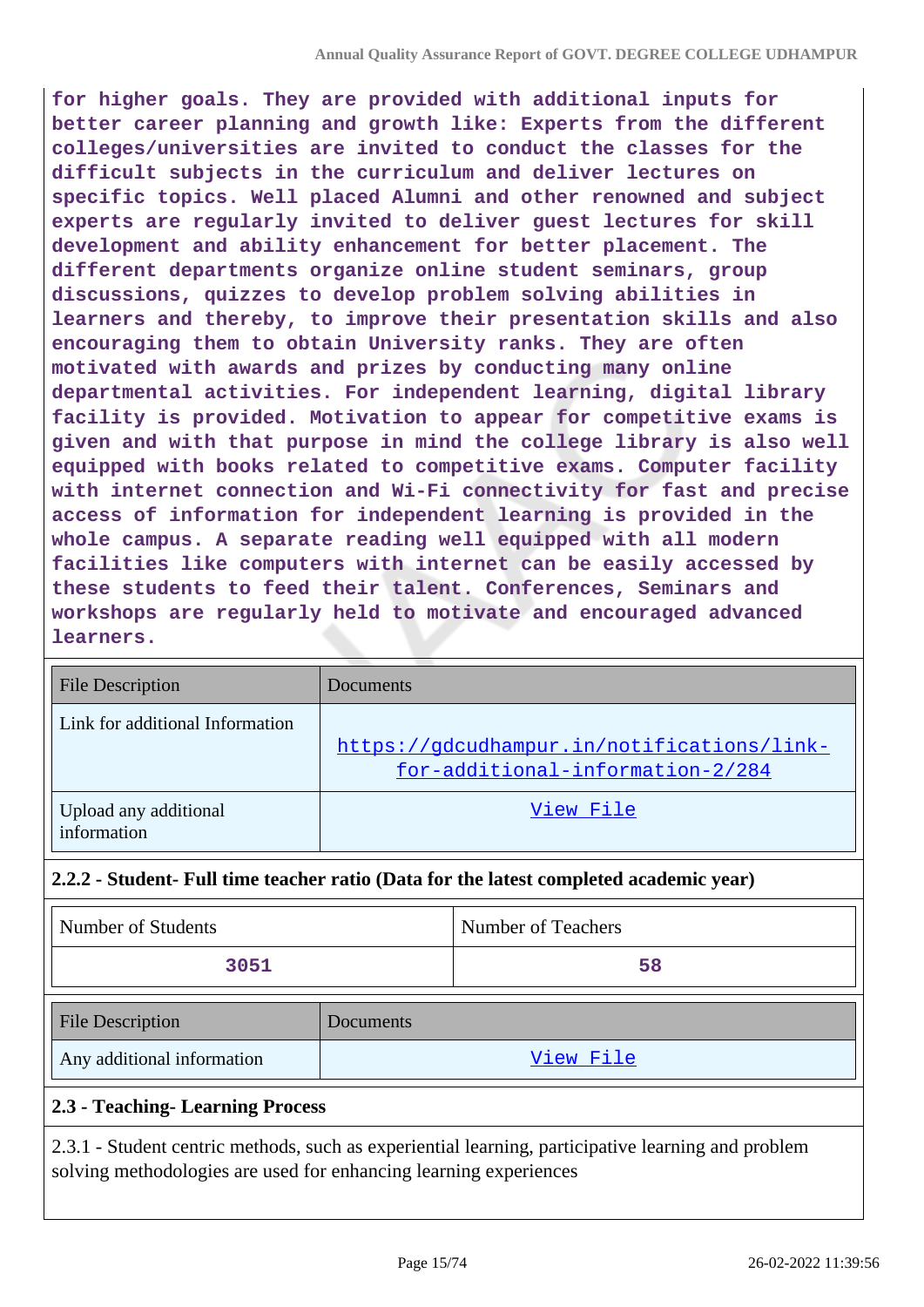**for higher goals. They are provided with additional inputs for better career planning and growth like: Experts from the different colleges/universities are invited to conduct the classes for the difficult subjects in the curriculum and deliver lectures on specific topics. Well placed Alumni and other renowned and subject experts are regularly invited to deliver guest lectures for skill development and ability enhancement for better placement. The different departments organize online student seminars, group discussions, quizzes to develop problem solving abilities in learners and thereby, to improve their presentation skills and also encouraging them to obtain University ranks. They are often motivated with awards and prizes by conducting many online departmental activities. For independent learning, digital library facility is provided. Motivation to appear for competitive exams is given and with that purpose in mind the college library is also well equipped with books related to competitive exams. Computer facility with internet connection and Wi-Fi connectivity for fast and precise access of information for independent learning is provided in the whole campus. A separate reading well equipped with all modern facilities like computers with internet can be easily accessed by these students to feed their talent. Conferences, Seminars and workshops are regularly held to motivate and encouraged advanced learners.**

| <b>File Description</b>              | Documents                                                                      |
|--------------------------------------|--------------------------------------------------------------------------------|
| Link for additional Information      | https://gdcudhampur.in/notifications/link-<br>for-additional-information-2/284 |
| Upload any additional<br>information | View File                                                                      |

### **2.2.2 - Student- Full time teacher ratio (Data for the latest completed academic year)**

| Number of Students                |           | Number of Teachers |
|-----------------------------------|-----------|--------------------|
| 3051                              |           | 58                 |
| <b>File Description</b>           | Documents |                    |
| Any additional information        |           | View File          |
| 2.3 - Teaching - Learning Process |           |                    |

2.3.1 - Student centric methods, such as experiential learning, participative learning and problem solving methodologies are used for enhancing learning experiences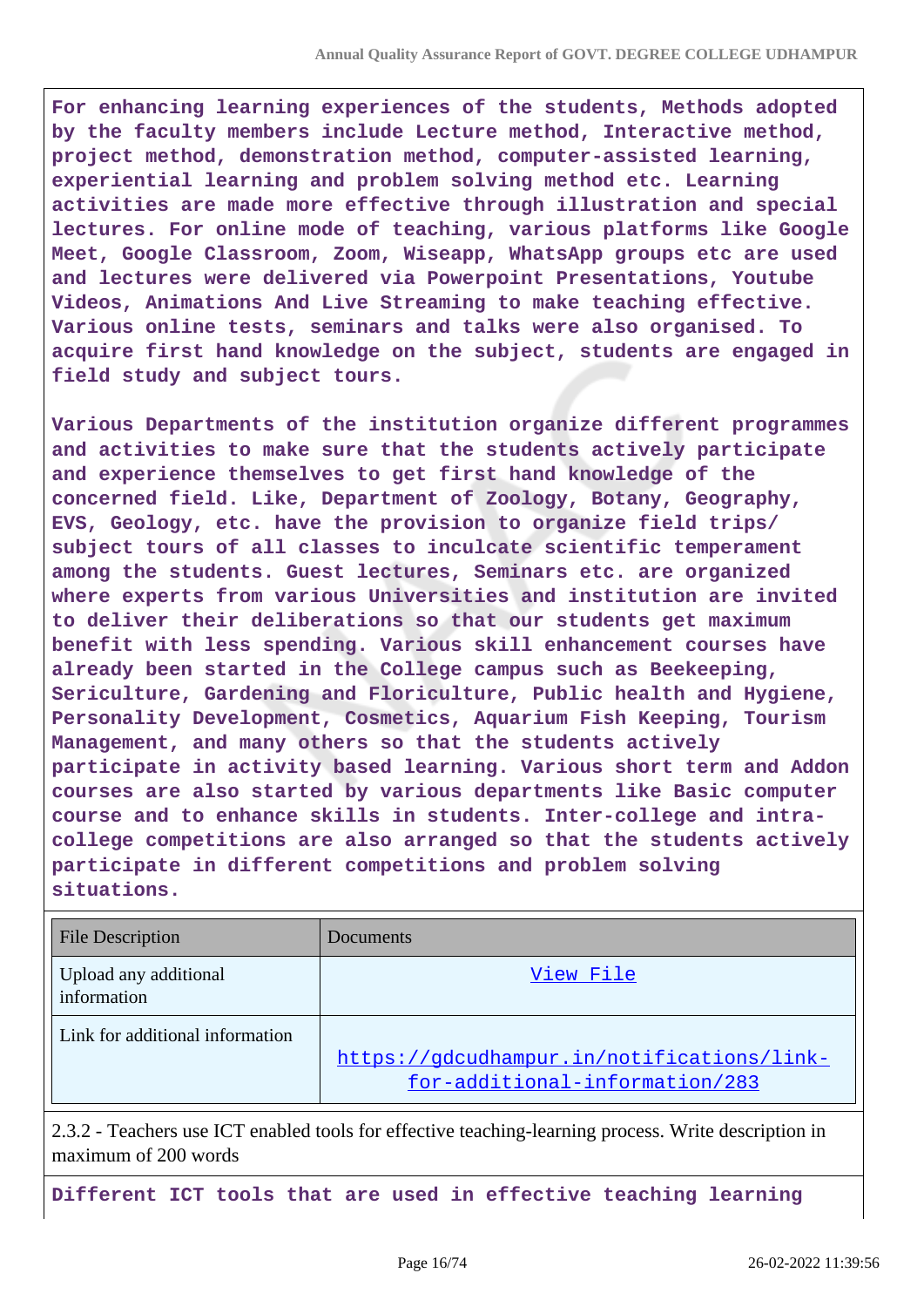**For enhancing learning experiences of the students, Methods adopted by the faculty members include Lecture method, Interactive method, project method, demonstration method, computer-assisted learning, experiential learning and problem solving method etc. Learning activities are made more effective through illustration and special lectures. For online mode of teaching, various platforms like Google Meet, Google Classroom, Zoom, Wiseapp, WhatsApp groups etc are used and lectures were delivered via Powerpoint Presentations, Youtube Videos, Animations And Live Streaming to make teaching effective. Various online tests, seminars and talks were also organised. To acquire first hand knowledge on the subject, students are engaged in field study and subject tours.**

**Various Departments of the institution organize different programmes and activities to make sure that the students actively participate and experience themselves to get first hand knowledge of the concerned field. Like, Department of Zoology, Botany, Geography, EVS, Geology, etc. have the provision to organize field trips/ subject tours of all classes to inculcate scientific temperament among the students. Guest lectures, Seminars etc. are organized where experts from various Universities and institution are invited to deliver their deliberations so that our students get maximum benefit with less spending. Various skill enhancement courses have already been started in the College campus such as Beekeeping, Sericulture, Gardening and Floriculture, Public health and Hygiene, Personality Development, Cosmetics, Aquarium Fish Keeping, Tourism Management, and many others so that the students actively participate in activity based learning. Various short term and Addon courses are also started by various departments like Basic computer course and to enhance skills in students. Inter-college and intracollege competitions are also arranged so that the students actively participate in different competitions and problem solving situations.**

| <b>File Description</b>              | Documents                                                                    |
|--------------------------------------|------------------------------------------------------------------------------|
| Upload any additional<br>information | View File                                                                    |
| Link for additional information      | https://gdcudhampur.in/notifications/link-<br>for-additional-information/283 |

2.3.2 - Teachers use ICT enabled tools for effective teaching-learning process. Write description in maximum of 200 words

**Different ICT tools that are used in effective teaching learning**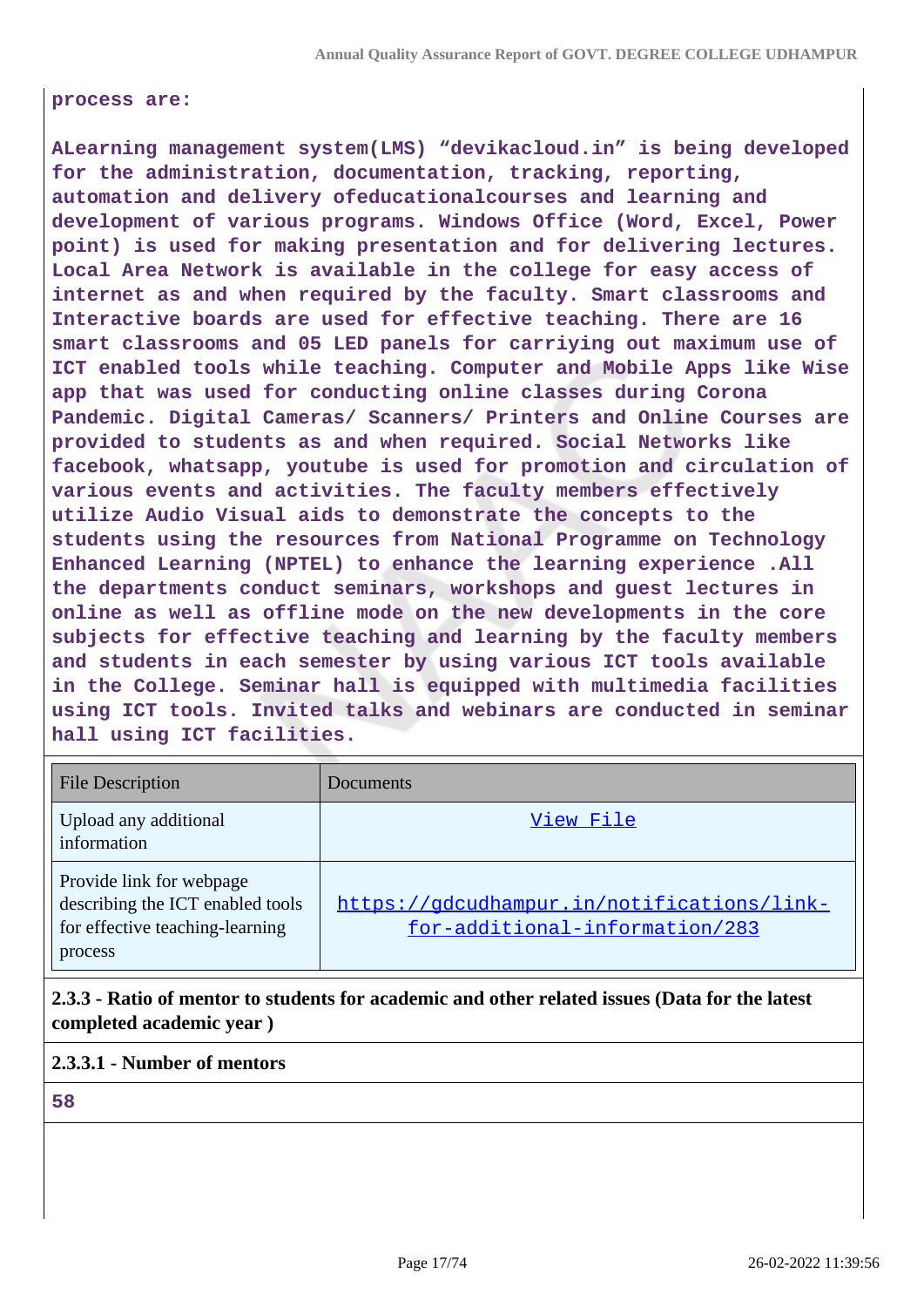#### **process are:**

**ALearning management system(LMS) "devikacloud.in" is being developed for the administration, documentation, tracking, reporting, automation and delivery ofeducationalcourses and learning and development of various programs. Windows Office (Word, Excel, Power point) is used for making presentation and for delivering lectures. Local Area Network is available in the college for easy access of internet as and when required by the faculty. Smart classrooms and Interactive boards are used for effective teaching. There are 16 smart classrooms and 05 LED panels for carriying out maximum use of ICT enabled tools while teaching. Computer and Mobile Apps like Wise app that was used for conducting online classes during Corona Pandemic. Digital Cameras/ Scanners/ Printers and Online Courses are provided to students as and when required. Social Networks like facebook, whatsapp, youtube is used for promotion and circulation of various events and activities. The faculty members effectively utilize Audio Visual aids to demonstrate the concepts to the students using the resources from National Programme on Technology Enhanced Learning (NPTEL) to enhance the learning experience .All the departments conduct seminars, workshops and guest lectures in online as well as offline mode on the new developments in the core subjects for effective teaching and learning by the faculty members and students in each semester by using various ICT tools available in the College. Seminar hall is equipped with multimedia facilities using ICT tools. Invited talks and webinars are conducted in seminar hall using ICT facilities.**

| <b>File Description</b>                                                                                    | <b>Documents</b>                                                             |
|------------------------------------------------------------------------------------------------------------|------------------------------------------------------------------------------|
| Upload any additional<br>information                                                                       | View File                                                                    |
| Provide link for webpage<br>describing the ICT enabled tools<br>for effective teaching-learning<br>process | https://gdcudhampur.in/notifications/link-<br>for-additional-information/283 |

**2.3.3 - Ratio of mentor to students for academic and other related issues (Data for the latest completed academic year )**

#### **2.3.3.1 - Number of mentors**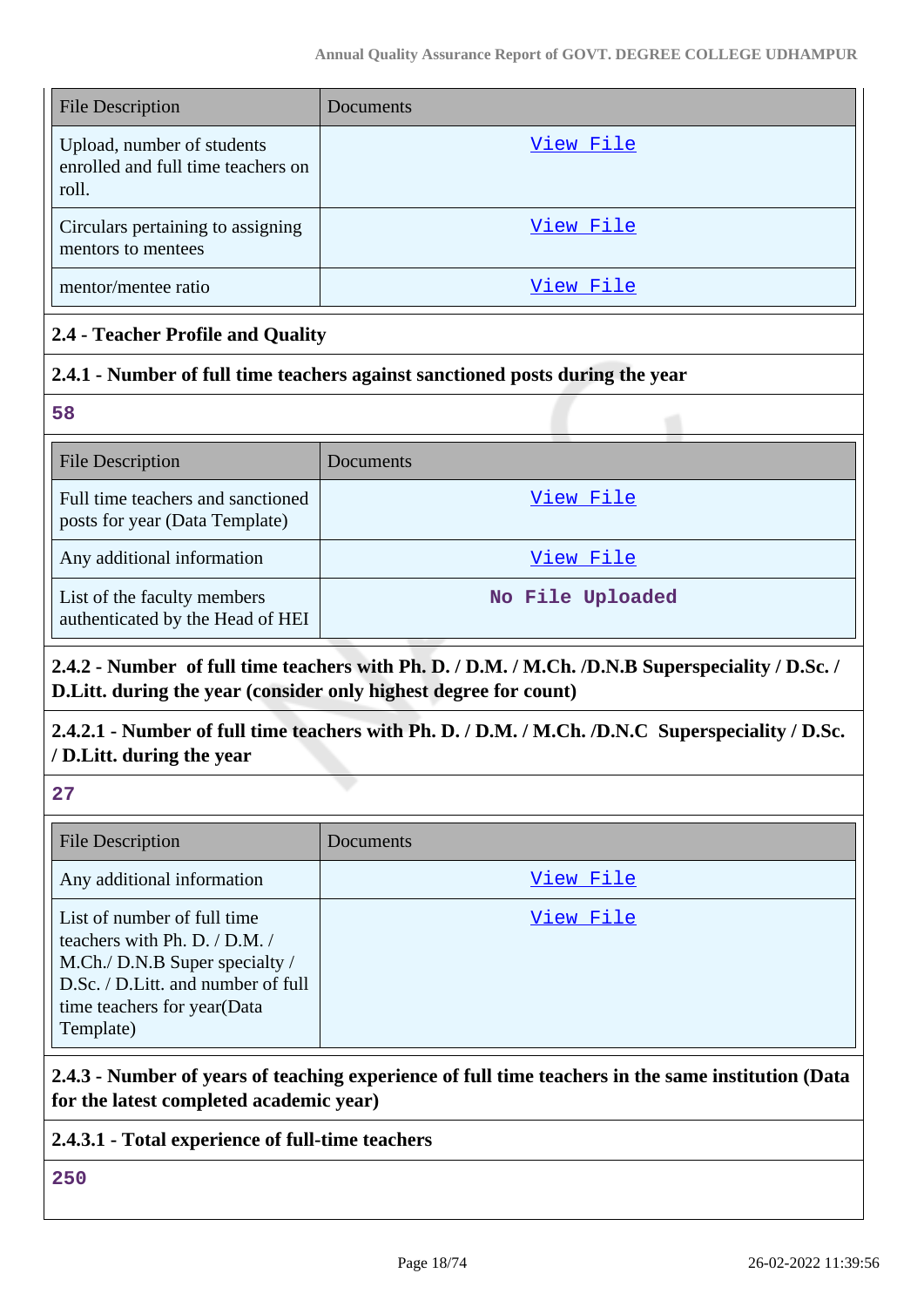| <b>File Description</b>                                                   | Documents |
|---------------------------------------------------------------------------|-----------|
| Upload, number of students<br>enrolled and full time teachers on<br>roll. | View File |
| Circulars pertaining to assigning<br>mentors to mentees                   | View File |
| mentor/mentee ratio                                                       | View File |

#### **2.4 - Teacher Profile and Quality**

#### **2.4.1 - Number of full time teachers against sanctioned posts during the year**

**58**

| <b>File Description</b>                                             | Documents        |
|---------------------------------------------------------------------|------------------|
| Full time teachers and sanctioned<br>posts for year (Data Template) | View File        |
| Any additional information                                          | View File        |
| List of the faculty members<br>authenticated by the Head of HEI     | No File Uploaded |

# **2.4.2 - Number of full time teachers with Ph. D. / D.M. / M.Ch. /D.N.B Superspeciality / D.Sc. / D.Litt. during the year (consider only highest degree for count)**

# **2.4.2.1 - Number of full time teachers with Ph. D. / D.M. / M.Ch. /D.N.C Superspeciality / D.Sc. / D.Litt. during the year**

**27**

| <b>File Description</b>                                                                                                                                                          | <b>Documents</b> |
|----------------------------------------------------------------------------------------------------------------------------------------------------------------------------------|------------------|
| Any additional information                                                                                                                                                       | View File        |
| List of number of full time<br>teachers with Ph. D. / D.M. /<br>M.Ch./ D.N.B Super specialty /<br>D.Sc. / D.Litt. and number of full<br>time teachers for year(Data<br>Template) | View File        |

#### **2.4.3 - Number of years of teaching experience of full time teachers in the same institution (Data for the latest completed academic year)**

#### **2.4.3.1 - Total experience of full-time teachers**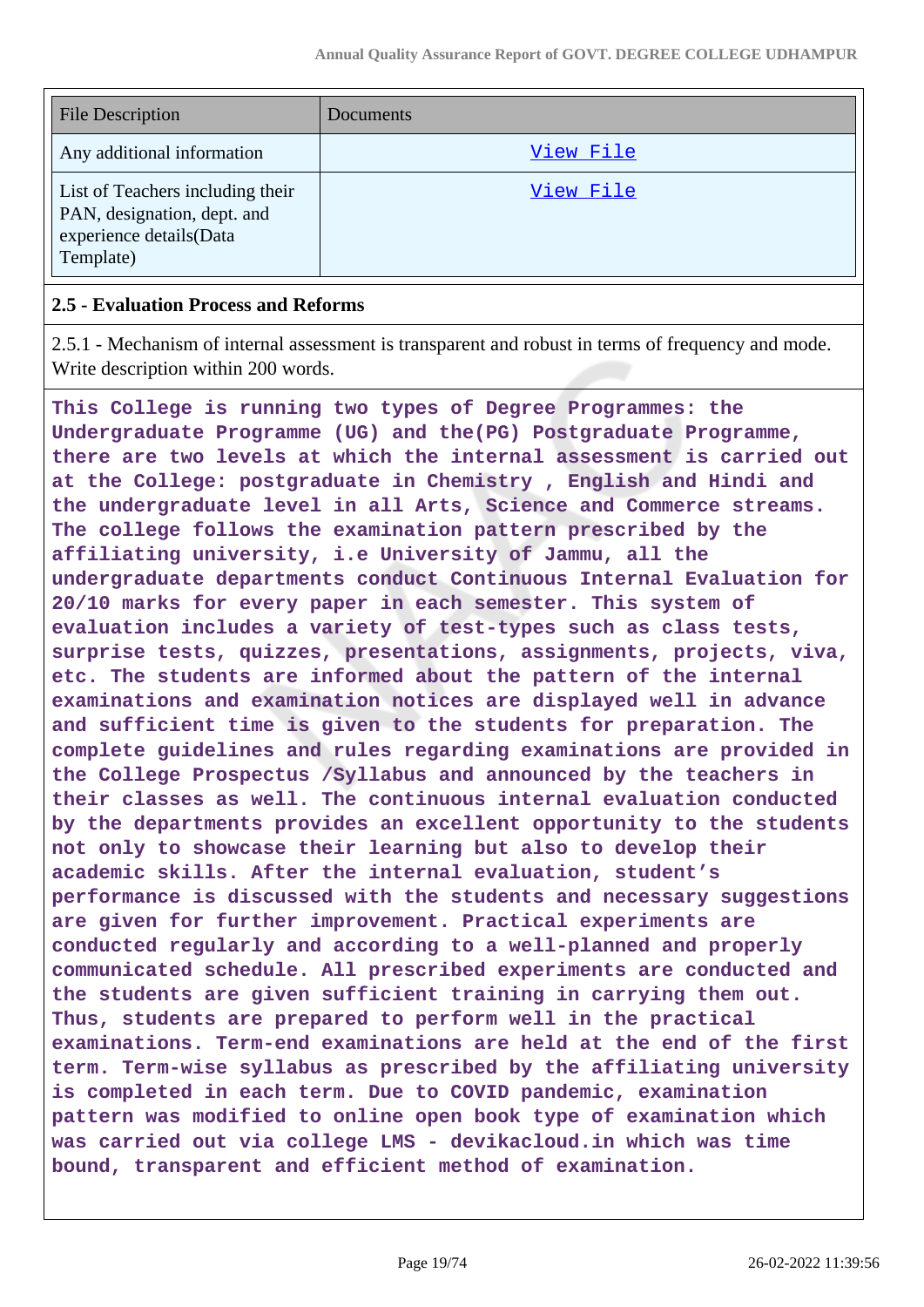| <b>File Description</b>                                                                                 | Documents |
|---------------------------------------------------------------------------------------------------------|-----------|
| Any additional information                                                                              | View File |
| List of Teachers including their<br>PAN, designation, dept. and<br>experience details(Data<br>Template) | View File |

#### **2.5 - Evaluation Process and Reforms**

2.5.1 - Mechanism of internal assessment is transparent and robust in terms of frequency and mode. Write description within 200 words.

**This College is running two types of Degree Programmes: the Undergraduate Programme (UG) and the(PG) Postgraduate Programme, there are two levels at which the internal assessment is carried out at the College: postgraduate in Chemistry , English and Hindi and the undergraduate level in all Arts, Science and Commerce streams. The college follows the examination pattern prescribed by the affiliating university, i.e University of Jammu, all the undergraduate departments conduct Continuous Internal Evaluation for 20/10 marks for every paper in each semester. This system of evaluation includes a variety of test-types such as class tests, surprise tests, quizzes, presentations, assignments, projects, viva, etc. The students are informed about the pattern of the internal examinations and examination notices are displayed well in advance and sufficient time is given to the students for preparation. The complete guidelines and rules regarding examinations are provided in the College Prospectus /Syllabus and announced by the teachers in their classes as well. The continuous internal evaluation conducted by the departments provides an excellent opportunity to the students not only to showcase their learning but also to develop their academic skills. After the internal evaluation, student's performance is discussed with the students and necessary suggestions are given for further improvement. Practical experiments are conducted regularly and according to a well-planned and properly communicated schedule. All prescribed experiments are conducted and the students are given sufficient training in carrying them out. Thus, students are prepared to perform well in the practical examinations. Term-end examinations are held at the end of the first term. Term-wise syllabus as prescribed by the affiliating university is completed in each term. Due to COVID pandemic, examination pattern was modified to online open book type of examination which was carried out via college LMS - devikacloud.in which was time bound, transparent and efficient method of examination.**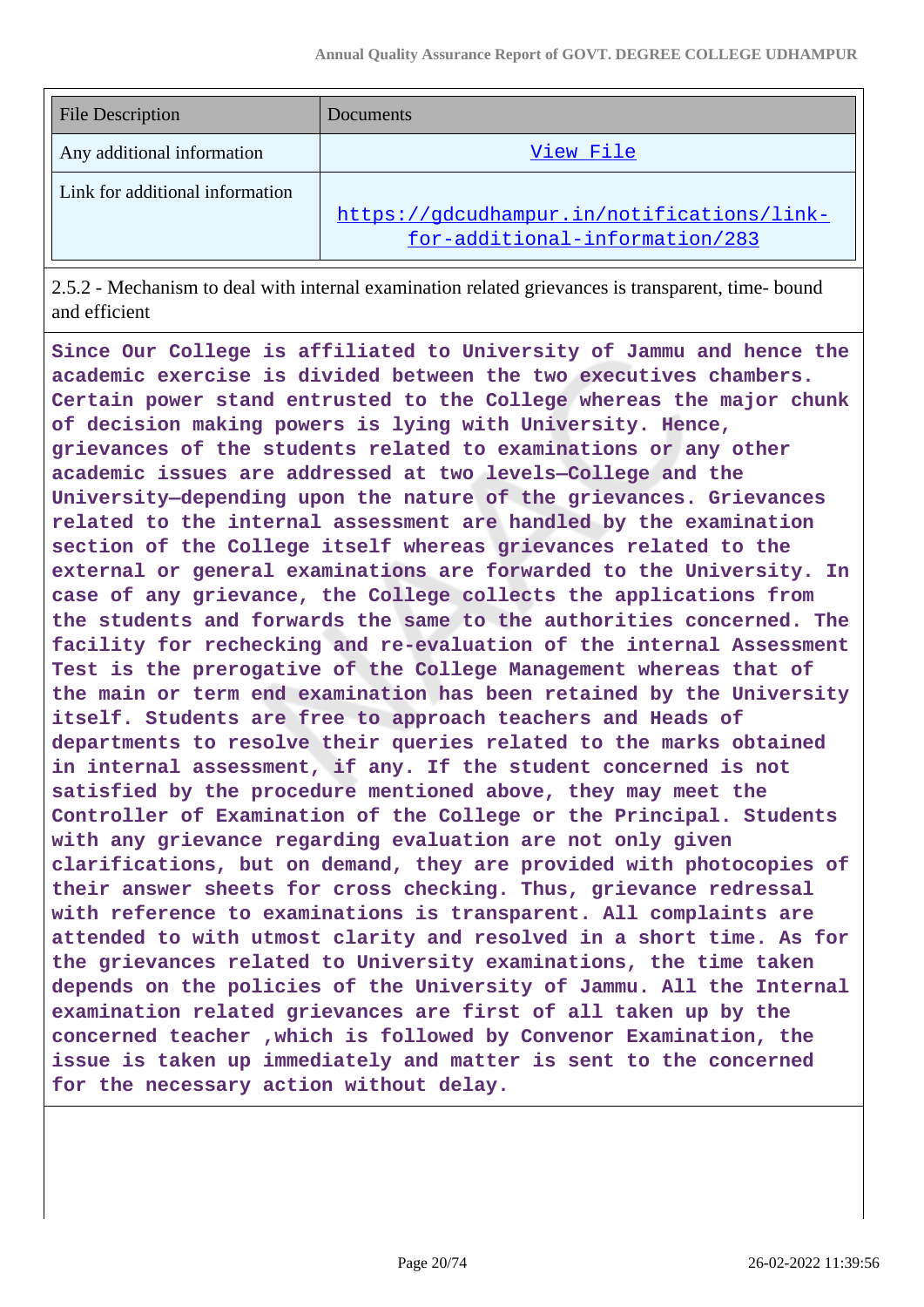| <b>File Description</b>         | Documents                                                                    |
|---------------------------------|------------------------------------------------------------------------------|
| Any additional information      | View File                                                                    |
| Link for additional information | https://gdcudhampur.in/notifications/link-<br>for-additional-information/283 |

2.5.2 - Mechanism to deal with internal examination related grievances is transparent, time- bound and efficient

**Since Our College is affiliated to University of Jammu and hence the academic exercise is divided between the two executives chambers. Certain power stand entrusted to the College whereas the major chunk of decision making powers is lying with University. Hence, grievances of the students related to examinations or any other academic issues are addressed at two levels—College and the University—depending upon the nature of the grievances. Grievances related to the internal assessment are handled by the examination section of the College itself whereas grievances related to the external or general examinations are forwarded to the University. In case of any grievance, the College collects the applications from the students and forwards the same to the authorities concerned. The facility for rechecking and re-evaluation of the internal Assessment Test is the prerogative of the College Management whereas that of the main or term end examination has been retained by the University itself. Students are free to approach teachers and Heads of departments to resolve their queries related to the marks obtained in internal assessment, if any. If the student concerned is not satisfied by the procedure mentioned above, they may meet the Controller of Examination of the College or the Principal. Students with any grievance regarding evaluation are not only given clarifications, but on demand, they are provided with photocopies of their answer sheets for cross checking. Thus, grievance redressal with reference to examinations is transparent. All complaints are attended to with utmost clarity and resolved in a short time. As for the grievances related to University examinations, the time taken depends on the policies of the University of Jammu. All the Internal examination related grievances are first of all taken up by the concerned teacher ,which is followed by Convenor Examination, the issue is taken up immediately and matter is sent to the concerned for the necessary action without delay.**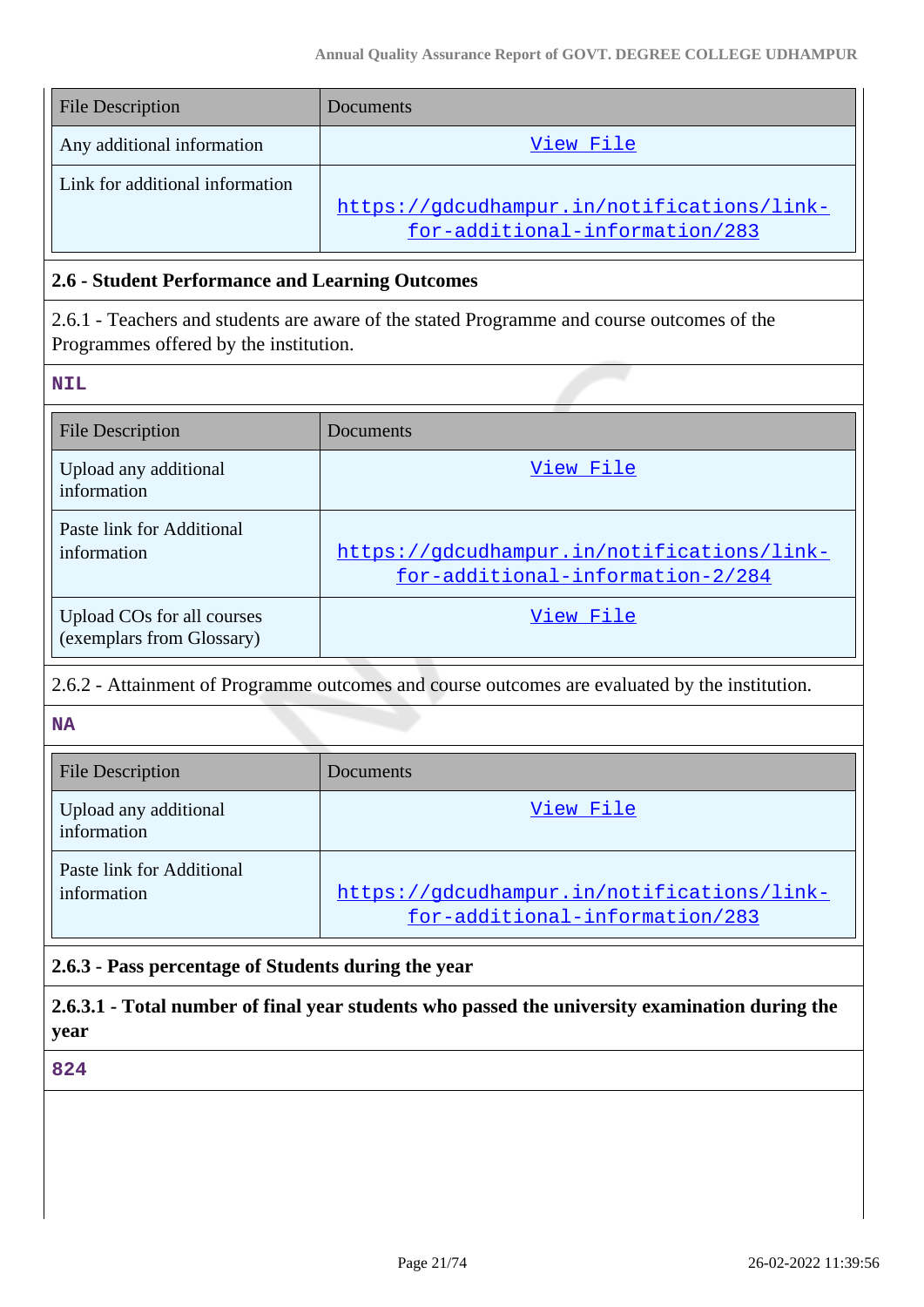| <b>File Description</b>         | Documents                                                                    |
|---------------------------------|------------------------------------------------------------------------------|
| Any additional information      | View File                                                                    |
| Link for additional information | https://gdcudhampur.in/notifications/link-<br>for-additional-information/283 |

#### **2.6 - Student Performance and Learning Outcomes**

2.6.1 - Teachers and students are aware of the stated Programme and course outcomes of the Programmes offered by the institution.

**NIL**

| <b>File Description</b>                                 | Documents                                                                      |
|---------------------------------------------------------|--------------------------------------------------------------------------------|
| Upload any additional<br>information                    | View File                                                                      |
| Paste link for Additional<br>information                | https://gdcudhampur.in/notifications/link-<br>for-additional-information-2/284 |
| Upload COs for all courses<br>(exemplars from Glossary) | View File                                                                      |

#### 2.6.2 - Attainment of Programme outcomes and course outcomes are evaluated by the institution.

**NA**

| <b>File Description</b>                  | <b>Documents</b>                                                             |
|------------------------------------------|------------------------------------------------------------------------------|
| Upload any additional<br>information     | View File                                                                    |
| Paste link for Additional<br>information | https://gdcudhampur.in/notifications/link-<br>for-additional-information/283 |

#### **2.6.3 - Pass percentage of Students during the year**

**2.6.3.1 - Total number of final year students who passed the university examination during the year**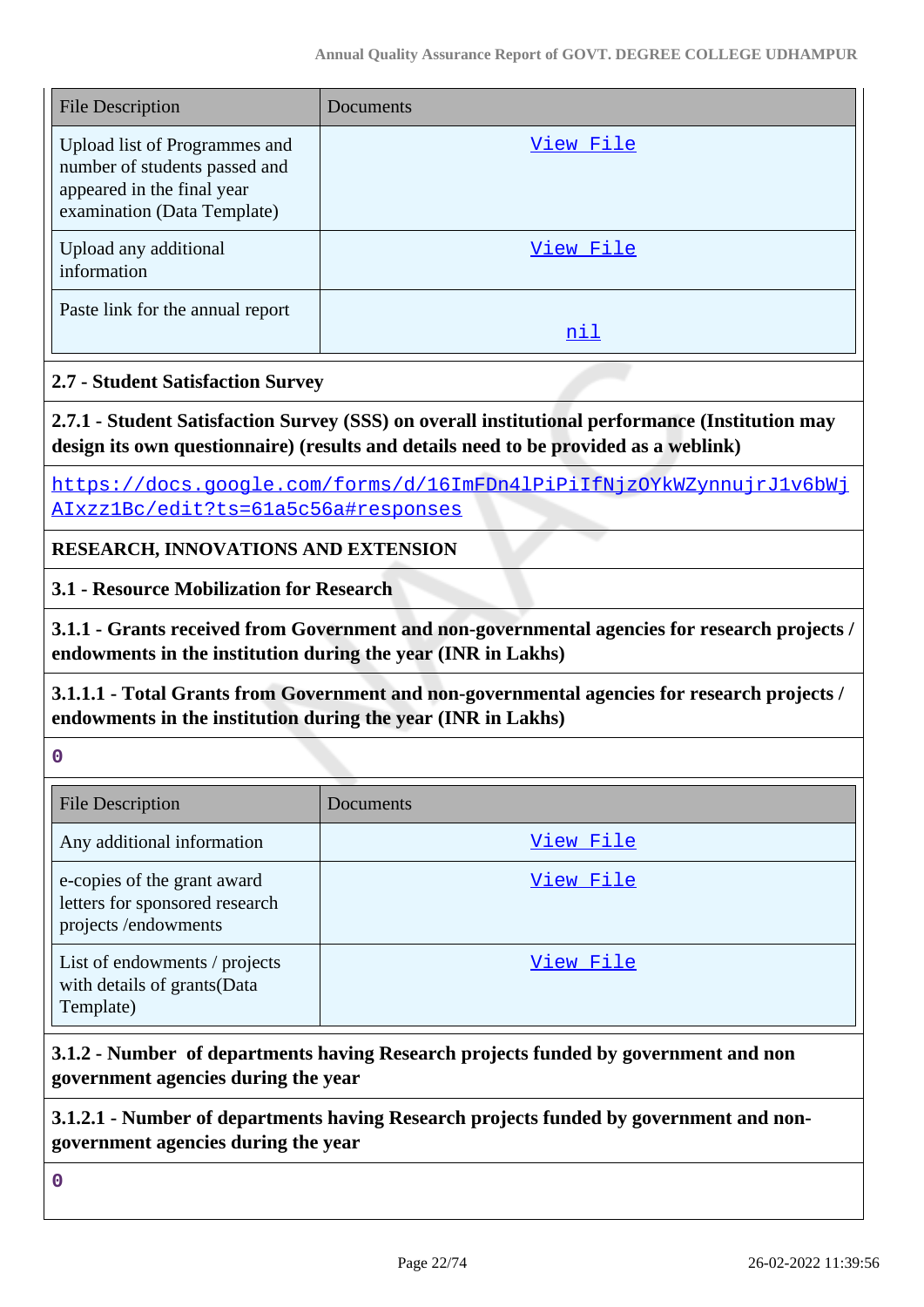| <b>File Description</b>                                                                                                     | Documents |
|-----------------------------------------------------------------------------------------------------------------------------|-----------|
| Upload list of Programmes and<br>number of students passed and<br>appeared in the final year<br>examination (Data Template) | View File |
| Upload any additional<br>information                                                                                        | View File |
| Paste link for the annual report                                                                                            | nil       |

#### **2.7 - Student Satisfaction Survey**

**2.7.1 - Student Satisfaction Survey (SSS) on overall institutional performance (Institution may design its own questionnaire) (results and details need to be provided as a weblink)**

[https://docs.google.com/forms/d/16ImFDn4lPiPiIfNjzOYkWZynnujrJ1v6bWj](https://docs.google.com/forms/d/16ImFDn4lPiPiIfNjzOYkWZynnujrJ1v6bWjAIxzz1Bc/edit?ts=61a5c56a#responses) [AIxzz1Bc/edit?ts=61a5c56a#responses](https://docs.google.com/forms/d/16ImFDn4lPiPiIfNjzOYkWZynnujrJ1v6bWjAIxzz1Bc/edit?ts=61a5c56a#responses)

**RESEARCH, INNOVATIONS AND EXTENSION**

**3.1 - Resource Mobilization for Research**

**3.1.1 - Grants received from Government and non-governmental agencies for research projects / endowments in the institution during the year (INR in Lakhs)**

**3.1.1.1 - Total Grants from Government and non-governmental agencies for research projects / endowments in the institution during the year (INR in Lakhs)**

|  | ۰.<br>۰. |  |
|--|----------|--|
|  |          |  |
|  |          |  |

| <b>File Description</b>                                                              | Documents |
|--------------------------------------------------------------------------------------|-----------|
| Any additional information                                                           | View File |
| e-copies of the grant award<br>letters for sponsored research<br>projects/endowments | View File |
| List of endowments / projects<br>with details of grants(Data<br>Template)            | View File |

# **3.1.2 - Number of departments having Research projects funded by government and non government agencies during the year**

### **3.1.2.1 - Number of departments having Research projects funded by government and nongovernment agencies during the year**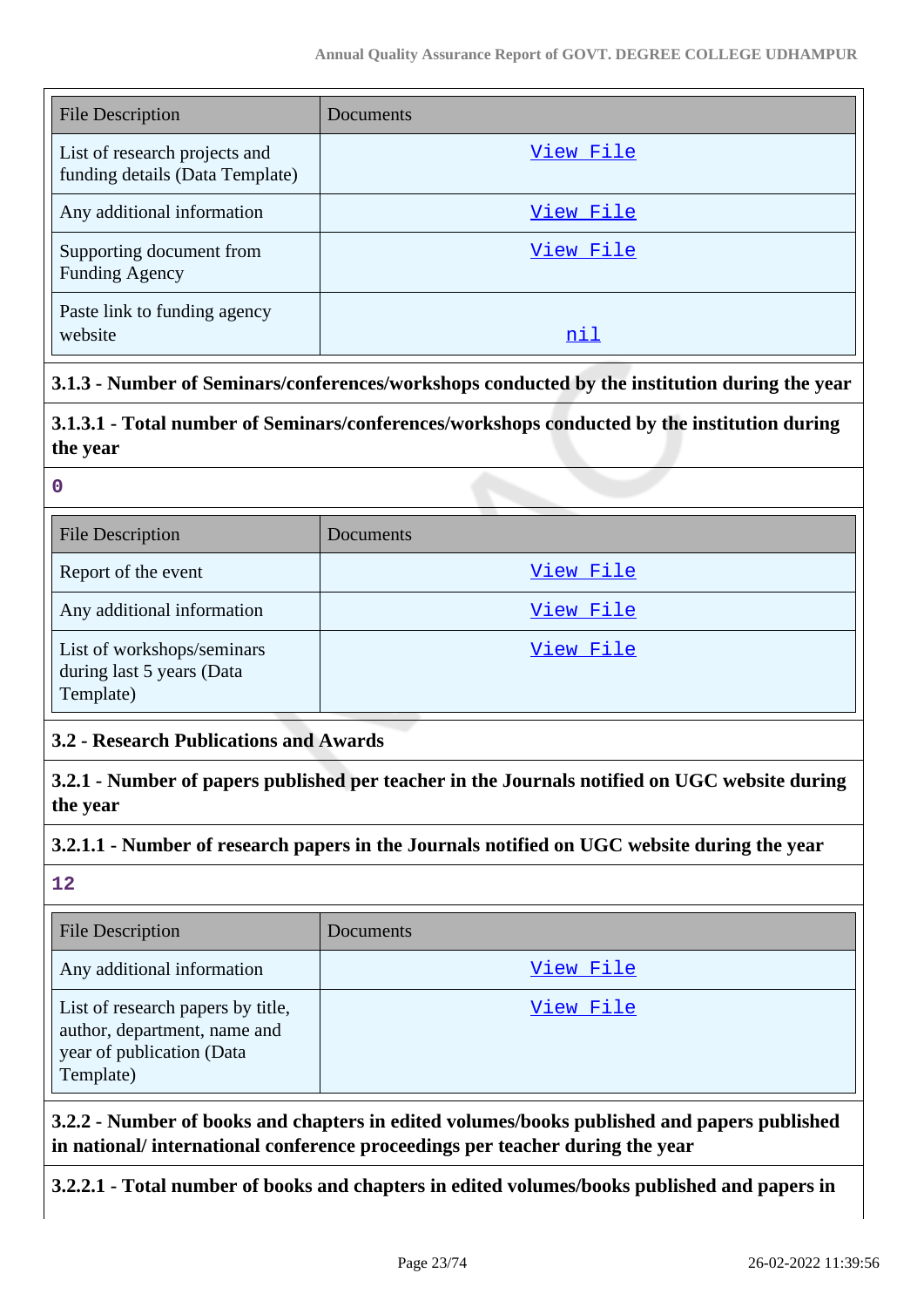| <b>File Description</b>                                          | Documents |
|------------------------------------------------------------------|-----------|
| List of research projects and<br>funding details (Data Template) | View File |
| Any additional information                                       | View File |
| Supporting document from<br><b>Funding Agency</b>                | View File |
| Paste link to funding agency<br>website                          | nil       |

#### **3.1.3 - Number of Seminars/conferences/workshops conducted by the institution during the year**

# **3.1.3.1 - Total number of Seminars/conferences/workshops conducted by the institution during the year**

|  | ł | i |  |
|--|---|---|--|
|  |   |   |  |

| <b>File Description</b>                                              | <b>Documents</b> |
|----------------------------------------------------------------------|------------------|
| Report of the event                                                  | View File        |
| Any additional information                                           | View File        |
| List of workshops/seminars<br>during last 5 years (Data<br>Template) | View File        |

### **3.2 - Research Publications and Awards**

**3.2.1 - Number of papers published per teacher in the Journals notified on UGC website during the year**

### **3.2.1.1 - Number of research papers in the Journals notified on UGC website during the year**

**12**

| <b>File Description</b>                                                                                     | Documents |
|-------------------------------------------------------------------------------------------------------------|-----------|
| Any additional information                                                                                  | View File |
| List of research papers by title,<br>author, department, name and<br>year of publication (Data<br>Template) | View File |

**3.2.2 - Number of books and chapters in edited volumes/books published and papers published in national/ international conference proceedings per teacher during the year**

**3.2.2.1 - Total number of books and chapters in edited volumes/books published and papers in**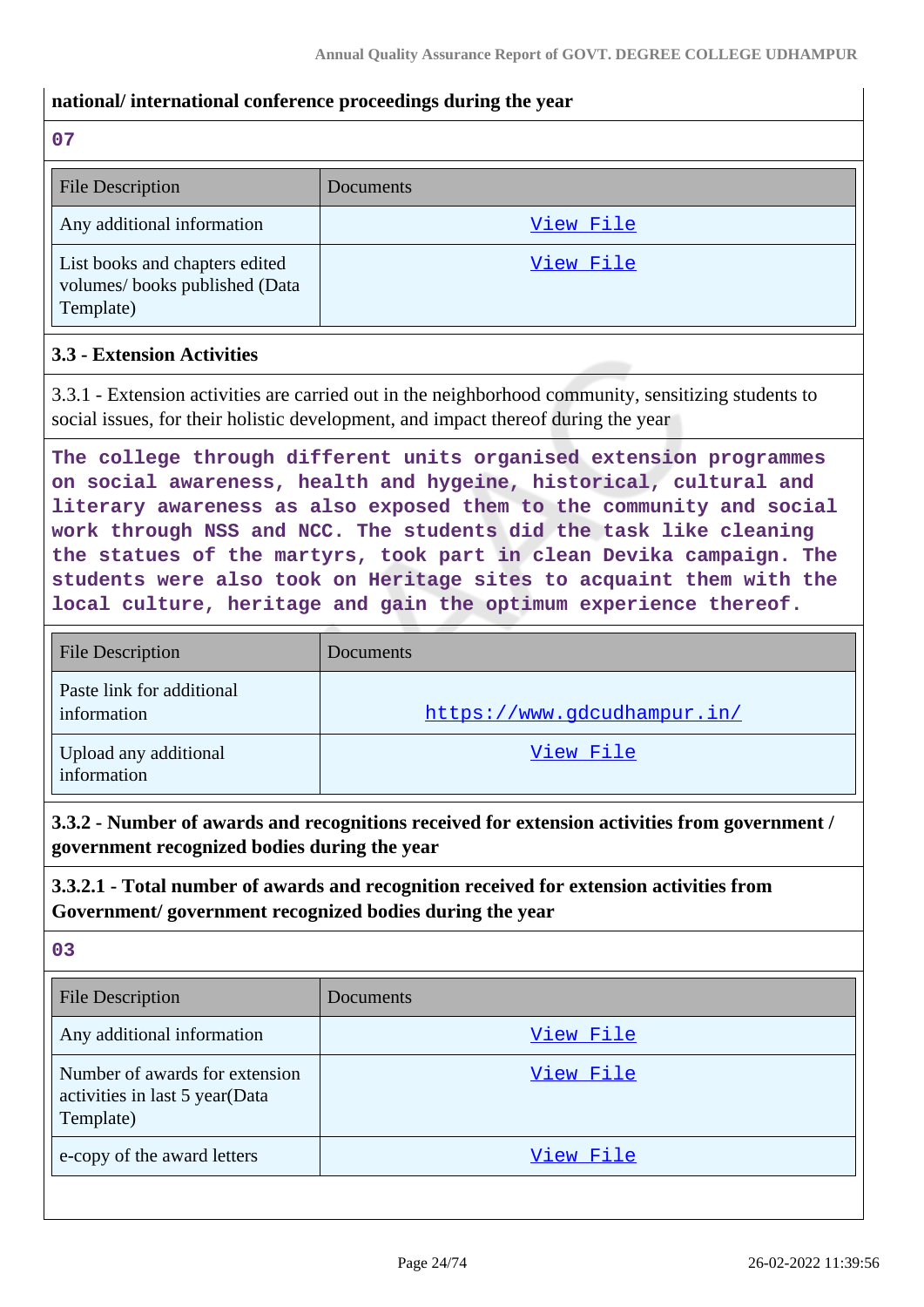#### **national/ international conference proceedings during the year**

**07**

| <b>File Description</b>                                                      | Documents |
|------------------------------------------------------------------------------|-----------|
| Any additional information                                                   | View File |
| List books and chapters edited<br>volumes/books published (Data<br>Template) | View File |

#### **3.3 - Extension Activities**

3.3.1 - Extension activities are carried out in the neighborhood community, sensitizing students to social issues, for their holistic development, and impact thereof during the year

**The college through different units organised extension programmes on social awareness, health and hygeine, historical, cultural and literary awareness as also exposed them to the community and social work through NSS and NCC. The students did the task like cleaning the statues of the martyrs, took part in clean Devika campaign. The students were also took on Heritage sites to acquaint them with the local culture, heritage and gain the optimum experience thereof.**

| <b>File Description</b>                  | Documents                   |
|------------------------------------------|-----------------------------|
| Paste link for additional<br>information | https://www.gdcudhampur.in/ |
| Upload any additional<br>information     | View File                   |

**3.3.2 - Number of awards and recognitions received for extension activities from government / government recognized bodies during the year**

**3.3.2.1 - Total number of awards and recognition received for extension activities from Government/ government recognized bodies during the year**

| <b>File Description</b>                                                       | Documents |
|-------------------------------------------------------------------------------|-----------|
| Any additional information                                                    | View File |
| Number of awards for extension<br>activities in last 5 year(Data<br>Template) | View File |
| e-copy of the award letters                                                   | View File |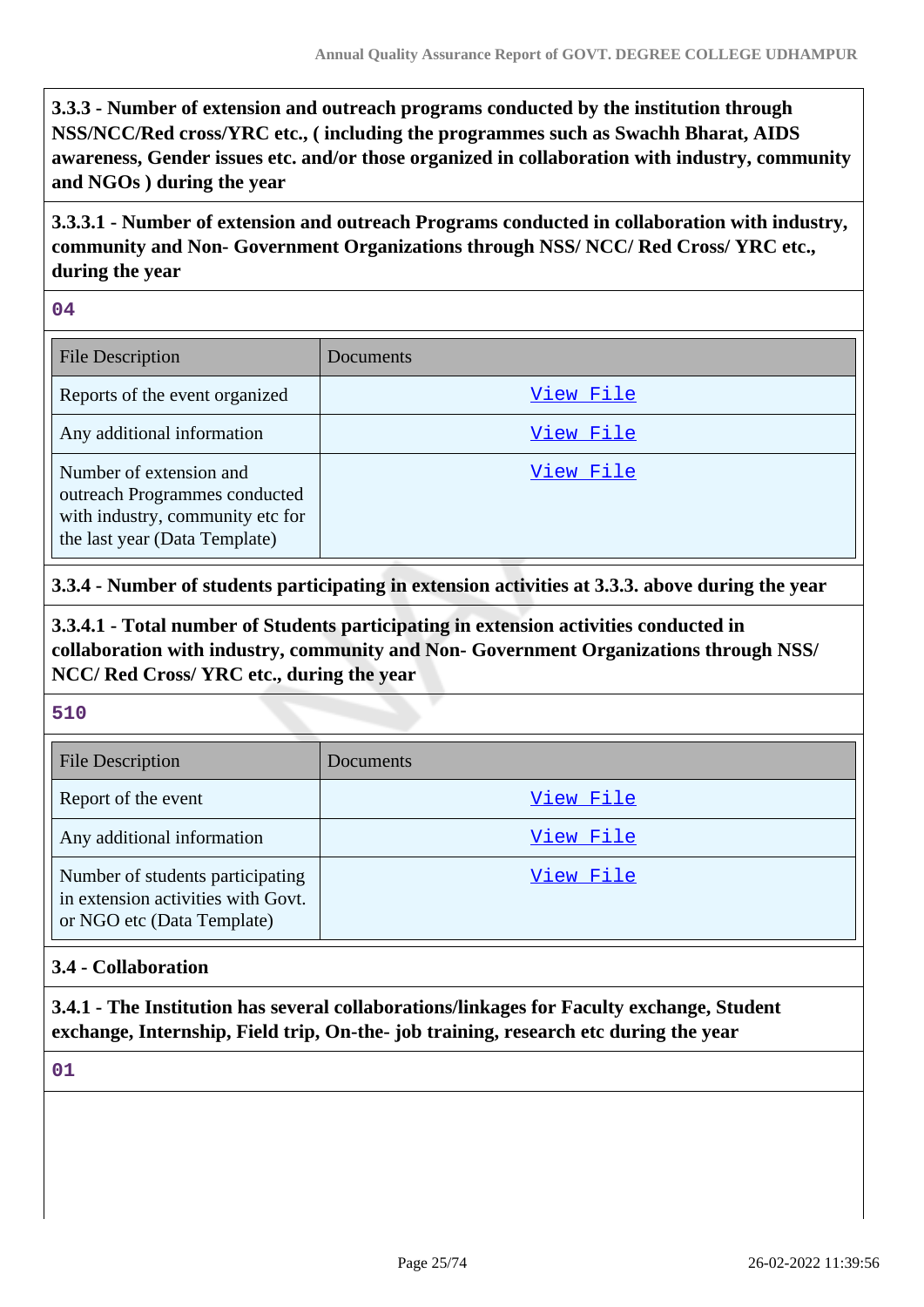**3.3.3 - Number of extension and outreach programs conducted by the institution through NSS/NCC/Red cross/YRC etc., ( including the programmes such as Swachh Bharat, AIDS awareness, Gender issues etc. and/or those organized in collaboration with industry, community and NGOs ) during the year**

**3.3.3.1 - Number of extension and outreach Programs conducted in collaboration with industry, community and Non- Government Organizations through NSS/ NCC/ Red Cross/ YRC etc., during the year**

**04**

| <b>File Description</b>                                                                                                       | Documents |
|-------------------------------------------------------------------------------------------------------------------------------|-----------|
| Reports of the event organized                                                                                                | View File |
| Any additional information                                                                                                    | View File |
| Number of extension and<br>outreach Programmes conducted<br>with industry, community etc for<br>the last year (Data Template) | View File |

### **3.3.4 - Number of students participating in extension activities at 3.3.3. above during the year**

**3.3.4.1 - Total number of Students participating in extension activities conducted in collaboration with industry, community and Non- Government Organizations through NSS/ NCC/ Red Cross/ YRC etc., during the year**

#### **510**

| <b>File Description</b>                                                                              | Documents |
|------------------------------------------------------------------------------------------------------|-----------|
| Report of the event                                                                                  | View File |
| Any additional information                                                                           | View File |
| Number of students participating<br>in extension activities with Govt.<br>or NGO etc (Data Template) | View File |

#### **3.4 - Collaboration**

**3.4.1 - The Institution has several collaborations/linkages for Faculty exchange, Student exchange, Internship, Field trip, On-the- job training, research etc during the year**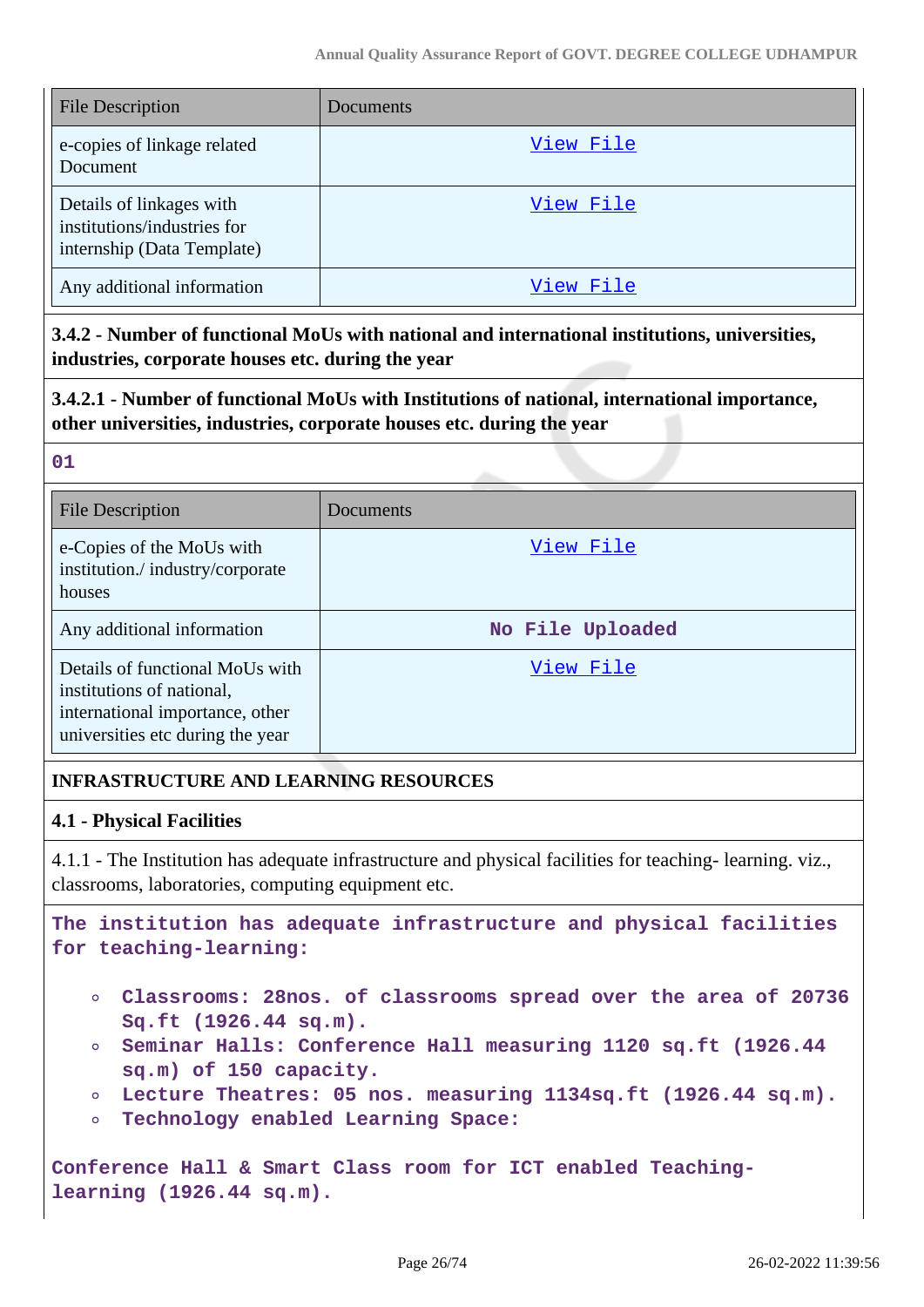| <b>File Description</b>                                                               | Documents |
|---------------------------------------------------------------------------------------|-----------|
| e-copies of linkage related<br>Document                                               | View File |
| Details of linkages with<br>institutions/industries for<br>internship (Data Template) | View File |
| Any additional information                                                            | View File |

**3.4.2 - Number of functional MoUs with national and international institutions, universities, industries, corporate houses etc. during the year**

**3.4.2.1 - Number of functional MoUs with Institutions of national, international importance, other universities, industries, corporate houses etc. during the year**

| 27            | $\overline{a}$<br>- 1 |
|---------------|-----------------------|
|               |                       |
| ۰.<br>۰.<br>w |                       |
|               |                       |

| <b>File Description</b>                                                                                                             | Documents        |
|-------------------------------------------------------------------------------------------------------------------------------------|------------------|
| e-Copies of the MoUs with<br>institution./industry/corporate<br>houses                                                              | View File        |
| Any additional information                                                                                                          | No File Uploaded |
| Details of functional MoUs with<br>institutions of national,<br>international importance, other<br>universities etc during the year | View File        |

### **INFRASTRUCTURE AND LEARNING RESOURCES**

#### **4.1 - Physical Facilities**

4.1.1 - The Institution has adequate infrastructure and physical facilities for teaching- learning. viz., classrooms, laboratories, computing equipment etc.

**The institution has adequate infrastructure and physical facilities for teaching-learning:**

- **Classrooms: 28nos. of classrooms spread over the area of 20736 Sq.ft (1926.44 sq.m).**
- **Seminar Halls: Conference Hall measuring 1120 sq.ft (1926.44 sq.m) of 150 capacity.**
- **Lecture Theatres: 05 nos. measuring 1134sq.ft (1926.44 sq.m).**
- **Technology enabled Learning Space:**  $\circ$

**Conference Hall & Smart Class room for ICT enabled Teachinglearning (1926.44 sq.m).**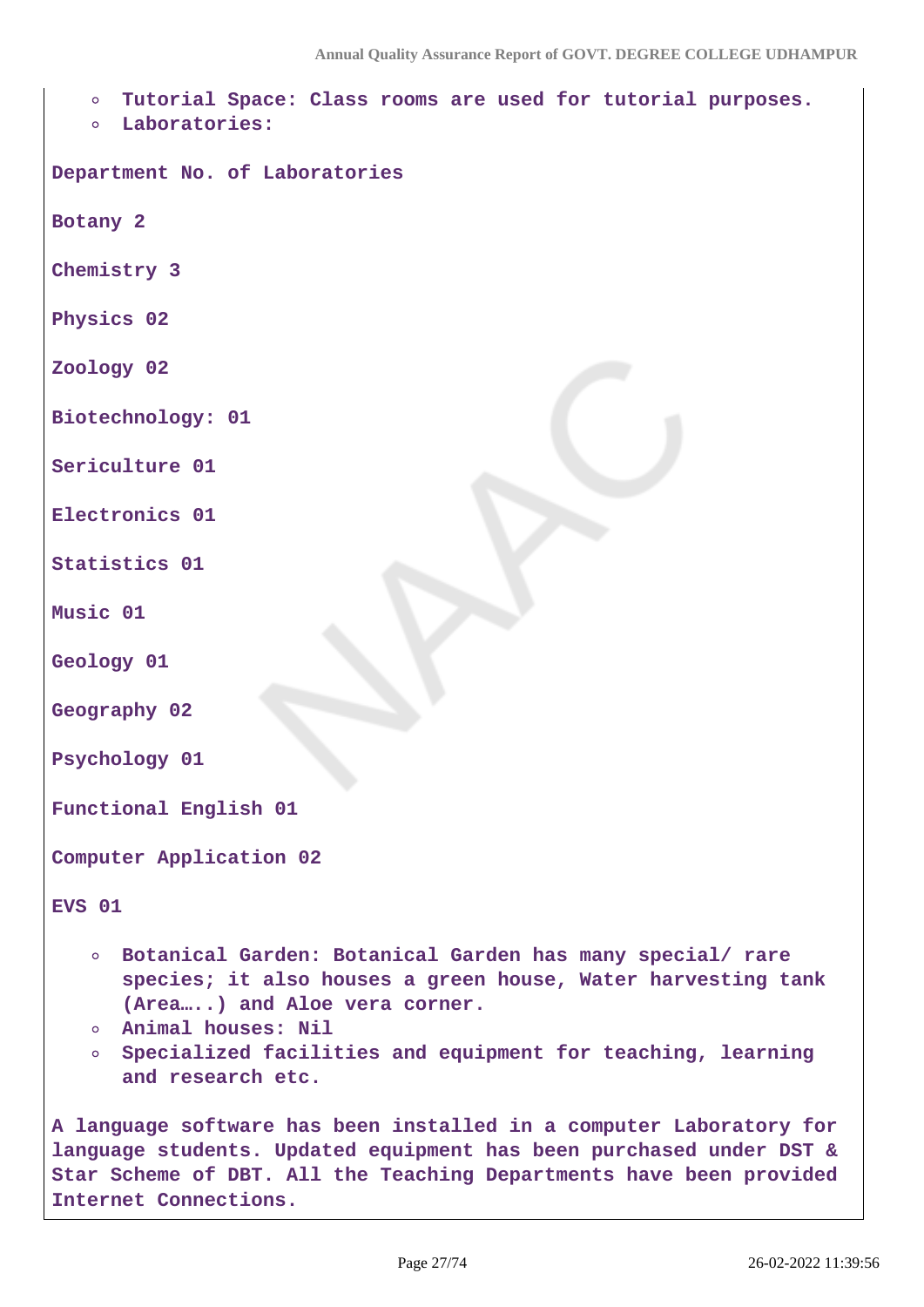**Tutorial Space: Class rooms are used for tutorial purposes.**

**Laboratories:**

**Department No. of Laboratories**

**Botany 2**

**Chemistry 3**

**Physics 02**

**Zoology 02**

**Biotechnology: 01**

**Sericulture 01**

**Electronics 01**

**Statistics 01**

**Music 01**

**Geology 01**

**Geography 02**

**Psychology 01**

**Functional English 01**

**Computer Application 02**

**EVS 01**

- **Botanical Garden: Botanical Garden has many special/ rare species; it also houses a green house, Water harvesting tank (Area…..) and Aloe vera corner.**
- **Animal houses: Nil**
- **Specialized facilities and equipment for teaching, learning and research etc.**

**A language software has been installed in a computer Laboratory for language students. Updated equipment has been purchased under DST & Star Scheme of DBT. All the Teaching Departments have been provided Internet Connections.**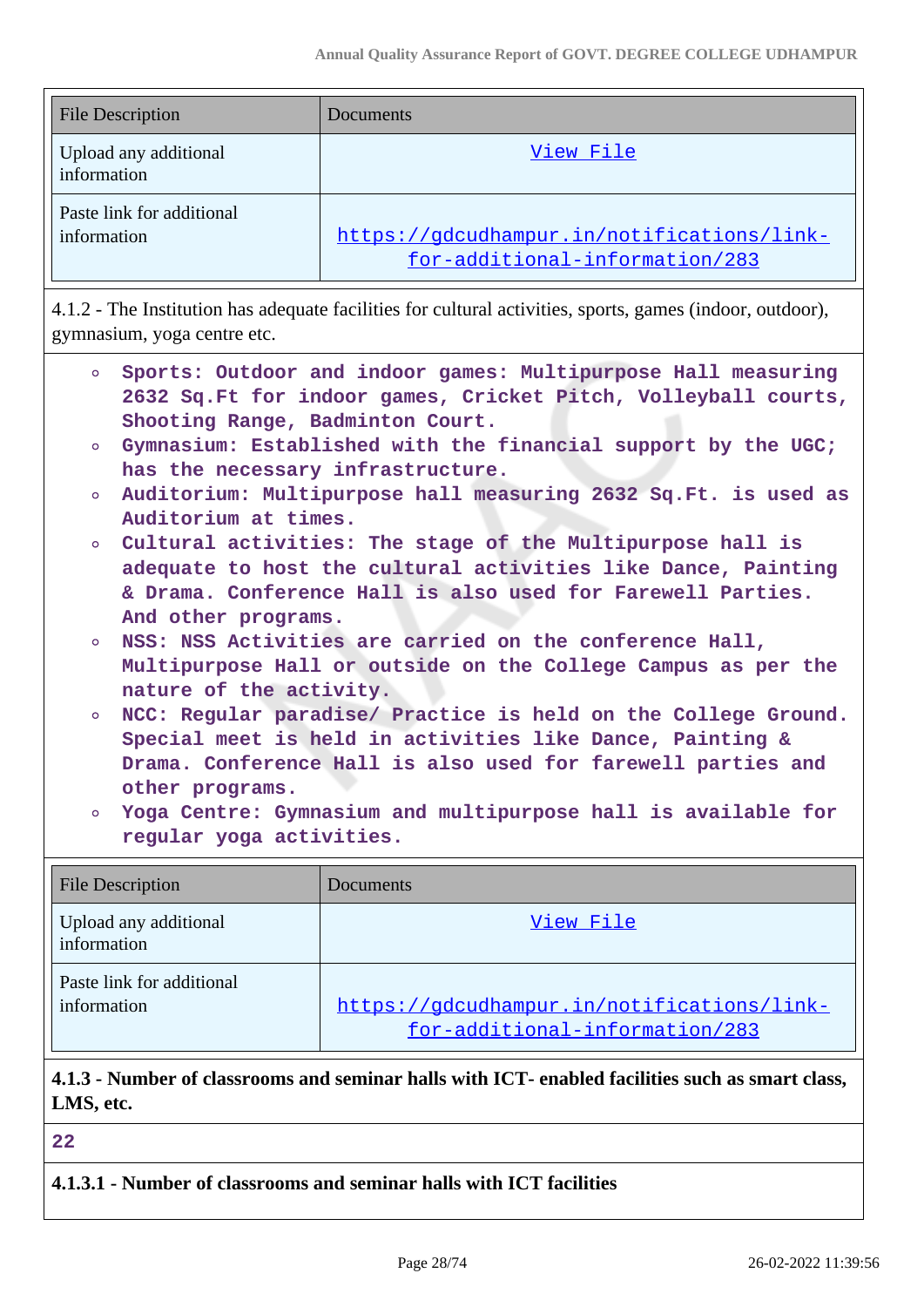| File Description                         | Documents                                                                    |
|------------------------------------------|------------------------------------------------------------------------------|
| Upload any additional<br>information     | View File                                                                    |
| Paste link for additional<br>information | https://gdcudhampur.in/notifications/link-<br>for-additional-information/283 |

4.1.2 - The Institution has adequate facilities for cultural activities, sports, games (indoor, outdoor), gymnasium, yoga centre etc.

| $\circ$                 | Shooting Range, Badminton Court.                              | Sports: Outdoor and indoor games: Multipurpose Hall measuring<br>2632 Sq.Ft for indoor games, Cricket Pitch, Volleyball courts, |  |
|-------------------------|---------------------------------------------------------------|---------------------------------------------------------------------------------------------------------------------------------|--|
| $\circ$                 |                                                               | Gymnasium: Established with the financial support by the UGC;                                                                   |  |
|                         | has the necessary infrastructure.                             |                                                                                                                                 |  |
| $\circ$                 |                                                               | Auditorium: Multipurpose hall measuring 2632 Sq. Ft. is used as                                                                 |  |
|                         | Auditorium at times.                                          |                                                                                                                                 |  |
| $\circ$                 |                                                               | Cultural activities: The stage of the Multipurpose hall is                                                                      |  |
|                         |                                                               | adequate to host the cultural activities like Dance, Painting                                                                   |  |
|                         |                                                               | & Drama. Conference Hall is also used for Farewell Parties.                                                                     |  |
|                         | And other programs.                                           |                                                                                                                                 |  |
| $\circ$                 |                                                               | NSS: NSS Activities are carried on the conference Hall,                                                                         |  |
|                         | Multipurpose Hall or outside on the College Campus as per the |                                                                                                                                 |  |
|                         | nature of the activity.                                       |                                                                                                                                 |  |
| $\circ$                 |                                                               | NCC: Regular paradise/ Practice is held on the College Ground.                                                                  |  |
|                         |                                                               | Special meet is held in activities like Dance, Painting &                                                                       |  |
|                         |                                                               | Drama. Conference Hall is also used for farewell parties and                                                                    |  |
|                         | other programs.                                               |                                                                                                                                 |  |
| $\circ$                 |                                                               | Yoga Centre: Gymnasium and multipurpose hall is available for                                                                   |  |
|                         | regular yoga activities.                                      |                                                                                                                                 |  |
|                         |                                                               |                                                                                                                                 |  |
| <b>File Description</b> |                                                               | Documents                                                                                                                       |  |
| information             | Upload any additional                                         | View File                                                                                                                       |  |

information [https://gdcudhampur.in/notifications/link](https://gdcudhampur.in/notifications/link-for-additional-information/283)[for-additional-information/283](https://gdcudhampur.in/notifications/link-for-additional-information/283)

# **4.1.3 - Number of classrooms and seminar halls with ICT- enabled facilities such as smart class, LMS, etc.**

**22**

Paste link for additional

**4.1.3.1 - Number of classrooms and seminar halls with ICT facilities**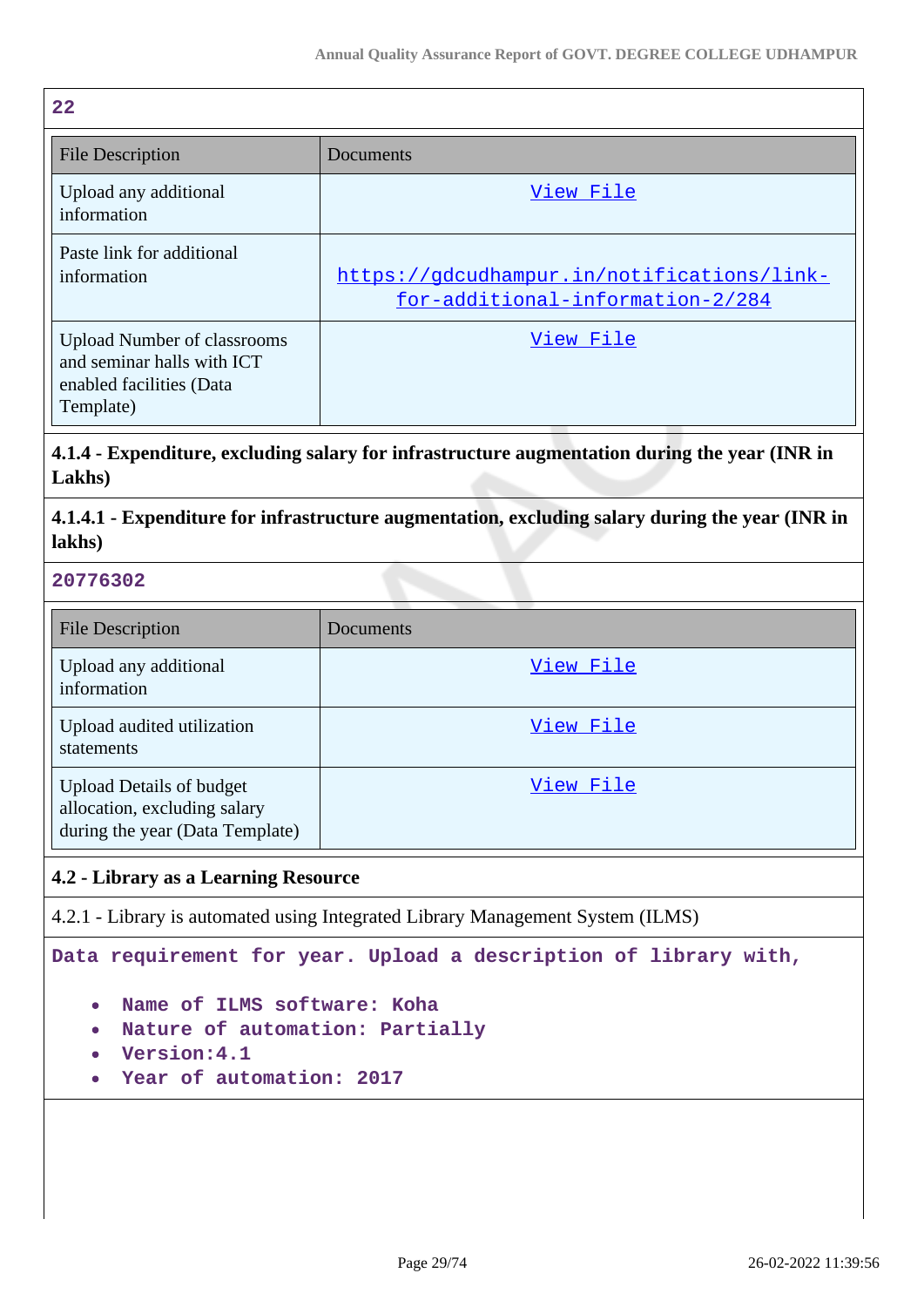| 22                                                                                                        |                                                                                |
|-----------------------------------------------------------------------------------------------------------|--------------------------------------------------------------------------------|
| <b>File Description</b>                                                                                   | Documents                                                                      |
| Upload any additional<br>information                                                                      | View File                                                                      |
| Paste link for additional<br>information                                                                  | https://gdcudhampur.in/notifications/link-<br>for-additional-information-2/284 |
| <b>Upload Number of classrooms</b><br>and seminar halls with ICT<br>enabled facilities (Data<br>Template) | View File                                                                      |

### **4.1.4 - Expenditure, excluding salary for infrastructure augmentation during the year (INR in Lakhs)**

**4.1.4.1 - Expenditure for infrastructure augmentation, excluding salary during the year (INR in lakhs)**

#### **20776302**

| <b>File Description</b>                                                                            | Documents |
|----------------------------------------------------------------------------------------------------|-----------|
| Upload any additional<br>information                                                               | View File |
| Upload audited utilization<br>statements                                                           | View File |
| <b>Upload Details of budget</b><br>allocation, excluding salary<br>during the year (Data Template) | View File |

### **4.2 - Library as a Learning Resource**

4.2.1 - Library is automated using Integrated Library Management System (ILMS)

**Data requirement for year. Upload a description of library with,**

- **Name of ILMS software: Koha**
- **Nature of automation: Partially**
- **Version:4.1**
- **Year of automation: 2017**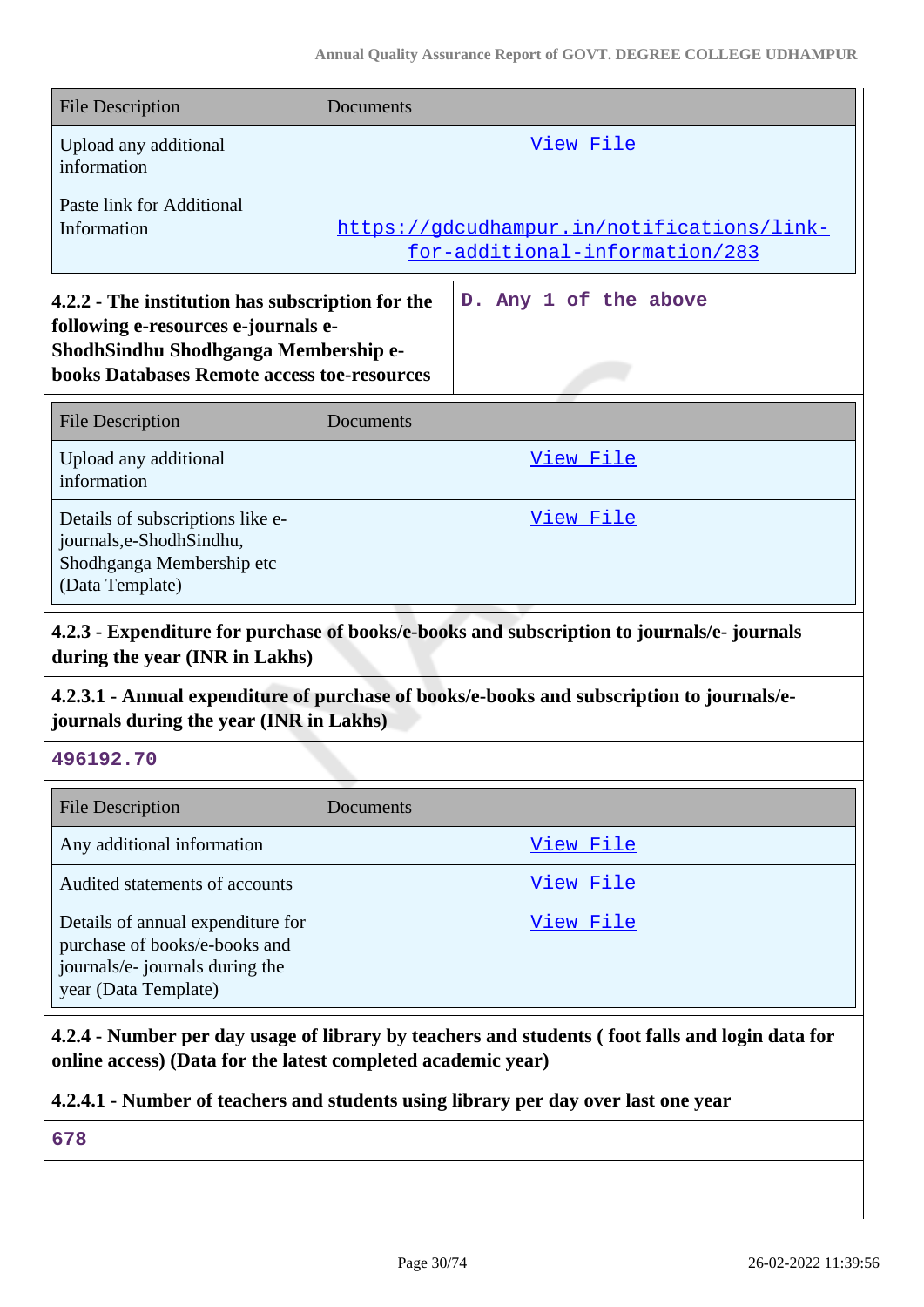| <b>File Description</b>                                                                                                                                                               | Documents                                                                    |
|---------------------------------------------------------------------------------------------------------------------------------------------------------------------------------------|------------------------------------------------------------------------------|
| Upload any additional<br>information                                                                                                                                                  | View File                                                                    |
| Paste link for Additional<br>Information                                                                                                                                              | https://gdcudhampur.in/notifications/link-<br>for-additional-information/283 |
| 4.2.2 - The institution has subscription for the<br>following e-resources e-journals e-<br>ShodhSindhu Shodhganga Membership e-<br><b>books Databases Remote access toe-resources</b> | D. Any 1 of the above                                                        |
| <b>File Description</b>                                                                                                                                                               | Documents                                                                    |
| Upload any additional<br>information                                                                                                                                                  | View File                                                                    |
| Details of subscriptions like e-<br>journals,e-ShodhSindhu,<br>Shodhganga Membership etc                                                                                              | View File                                                                    |

#### **4.2.3 - Expenditure for purchase of books/e-books and subscription to journals/e- journals during the year (INR in Lakhs)**

#### **4.2.3.1 - Annual expenditure of purchase of books/e-books and subscription to journals/ejournals during the year (INR in Lakhs)**

**496192.70**

| <b>File Description</b>                                                                                                       | Documents |
|-------------------------------------------------------------------------------------------------------------------------------|-----------|
| Any additional information                                                                                                    | View File |
| Audited statements of accounts                                                                                                | View File |
| Details of annual expenditure for<br>purchase of books/e-books and<br>journals/e- journals during the<br>year (Data Template) | View File |

**4.2.4 - Number per day usage of library by teachers and students ( foot falls and login data for online access) (Data for the latest completed academic year)**

### **4.2.4.1 - Number of teachers and students using library per day over last one year**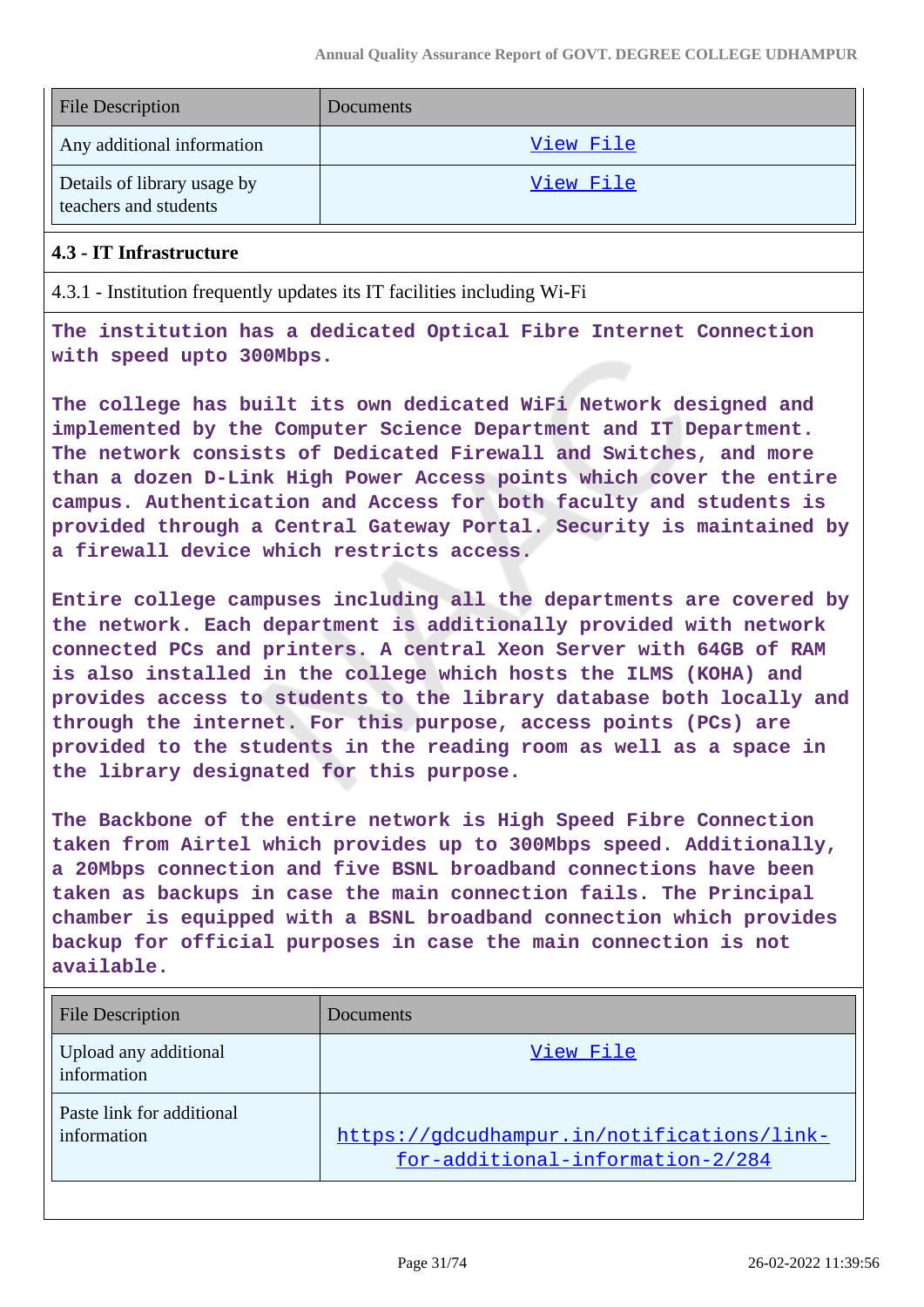| <b>File Description</b>                              | Documents |
|------------------------------------------------------|-----------|
| Any additional information                           | View File |
| Details of library usage by<br>teachers and students | View File |

#### **4.3 - IT Infrastructure**

4.3.1 - Institution frequently updates its IT facilities including Wi-Fi

**The institution has a dedicated Optical Fibre Internet Connection with speed upto 300Mbps.**

**The college has built its own dedicated WiFi Network designed and implemented by the Computer Science Department and IT Department. The network consists of Dedicated Firewall and Switches, and more than a dozen D-Link High Power Access points which cover the entire campus. Authentication and Access for both faculty and students is provided through a Central Gateway Portal. Security is maintained by a firewall device which restricts access.**

**Entire college campuses including all the departments are covered by the network. Each department is additionally provided with network connected PCs and printers. A central Xeon Server with 64GB of RAM is also installed in the college which hosts the ILMS (KOHA) and provides access to students to the library database both locally and through the internet. For this purpose, access points (PCs) are provided to the students in the reading room as well as a space in the library designated for this purpose.**

**The Backbone of the entire network is High Speed Fibre Connection taken from Airtel which provides up to 300Mbps speed. Additionally, a 20Mbps connection and five BSNL broadband connections have been taken as backups in case the main connection fails. The Principal chamber is equipped with a BSNL broadband connection which provides backup for official purposes in case the main connection is not available.**

| <b>File Description</b>                  | Documents                                                                      |
|------------------------------------------|--------------------------------------------------------------------------------|
| Upload any additional<br>information     | View File                                                                      |
| Paste link for additional<br>information | https://gdcudhampur.in/notifications/link-<br>for-additional-information-2/284 |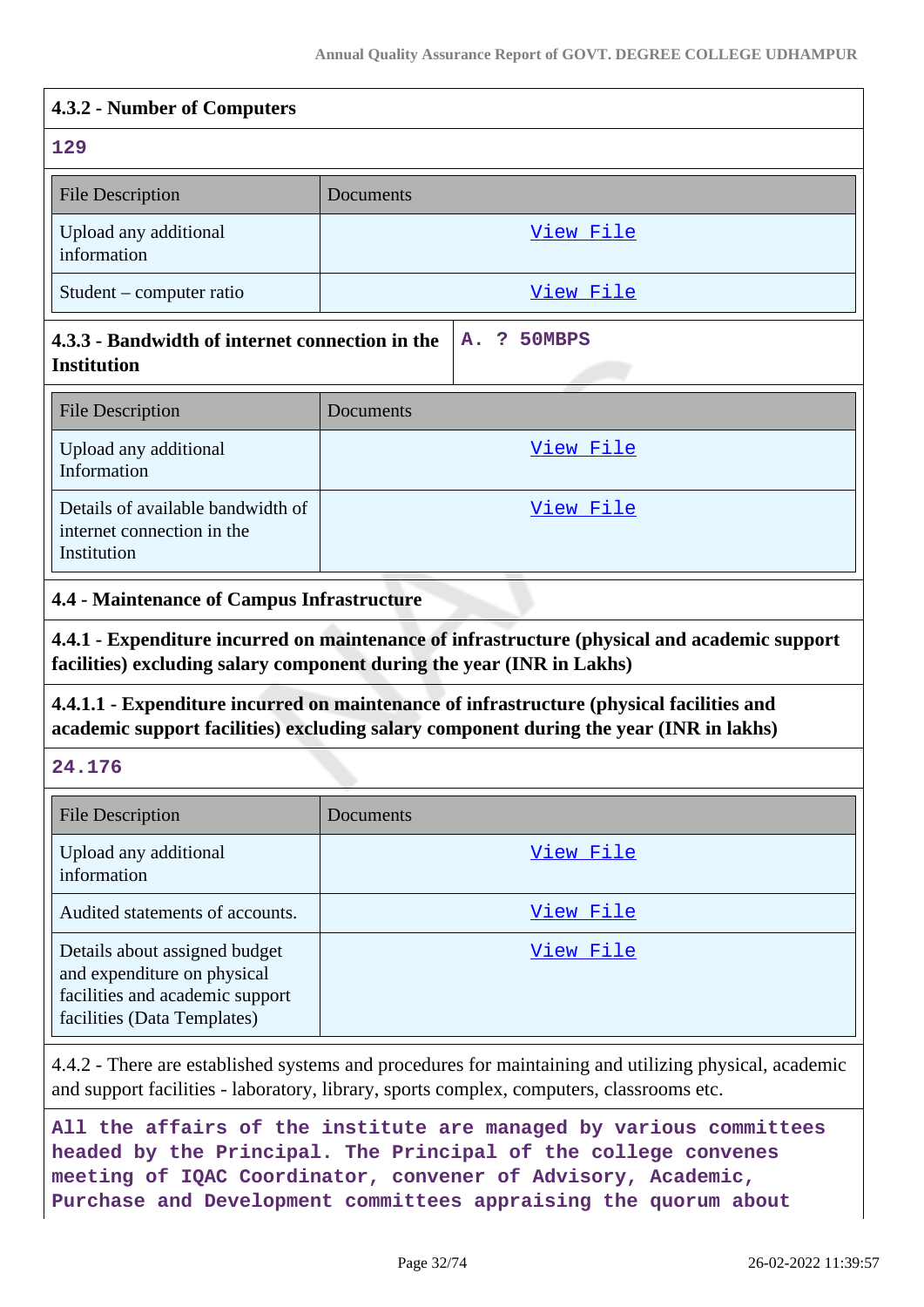| 4.3.2 - Number of Computers                                                    |           |                  |  |
|--------------------------------------------------------------------------------|-----------|------------------|--|
| 129                                                                            |           |                  |  |
| <b>File Description</b>                                                        | Documents |                  |  |
| Upload any additional<br>information                                           |           | View File        |  |
| Student – computer ratio                                                       |           | <u>View File</u> |  |
| 4.3.3 - Bandwidth of internet connection in the<br><b>Institution</b>          |           | A. ? 50MBPS      |  |
| <b>File Description</b>                                                        | Documents |                  |  |
| Upload any additional<br>Information                                           |           | View File        |  |
| Details of available bandwidth of<br>internet connection in the<br>Institution |           | View File        |  |

#### **4.4 - Maintenance of Campus Infrastructure**

**4.4.1 - Expenditure incurred on maintenance of infrastructure (physical and academic support facilities) excluding salary component during the year (INR in Lakhs)**

**4.4.1.1 - Expenditure incurred on maintenance of infrastructure (physical facilities and academic support facilities) excluding salary component during the year (INR in lakhs)**

**24.176**

| File Description                                                                                                               | Documents |
|--------------------------------------------------------------------------------------------------------------------------------|-----------|
| Upload any additional<br>information                                                                                           | View File |
| Audited statements of accounts.                                                                                                | View File |
| Details about assigned budget<br>and expenditure on physical<br>facilities and academic support<br>facilities (Data Templates) | View File |

4.4.2 - There are established systems and procedures for maintaining and utilizing physical, academic and support facilities - laboratory, library, sports complex, computers, classrooms etc.

**All the affairs of the institute are managed by various committees headed by the Principal. The Principal of the college convenes meeting of IQAC Coordinator, convener of Advisory, Academic, Purchase and Development committees appraising the quorum about**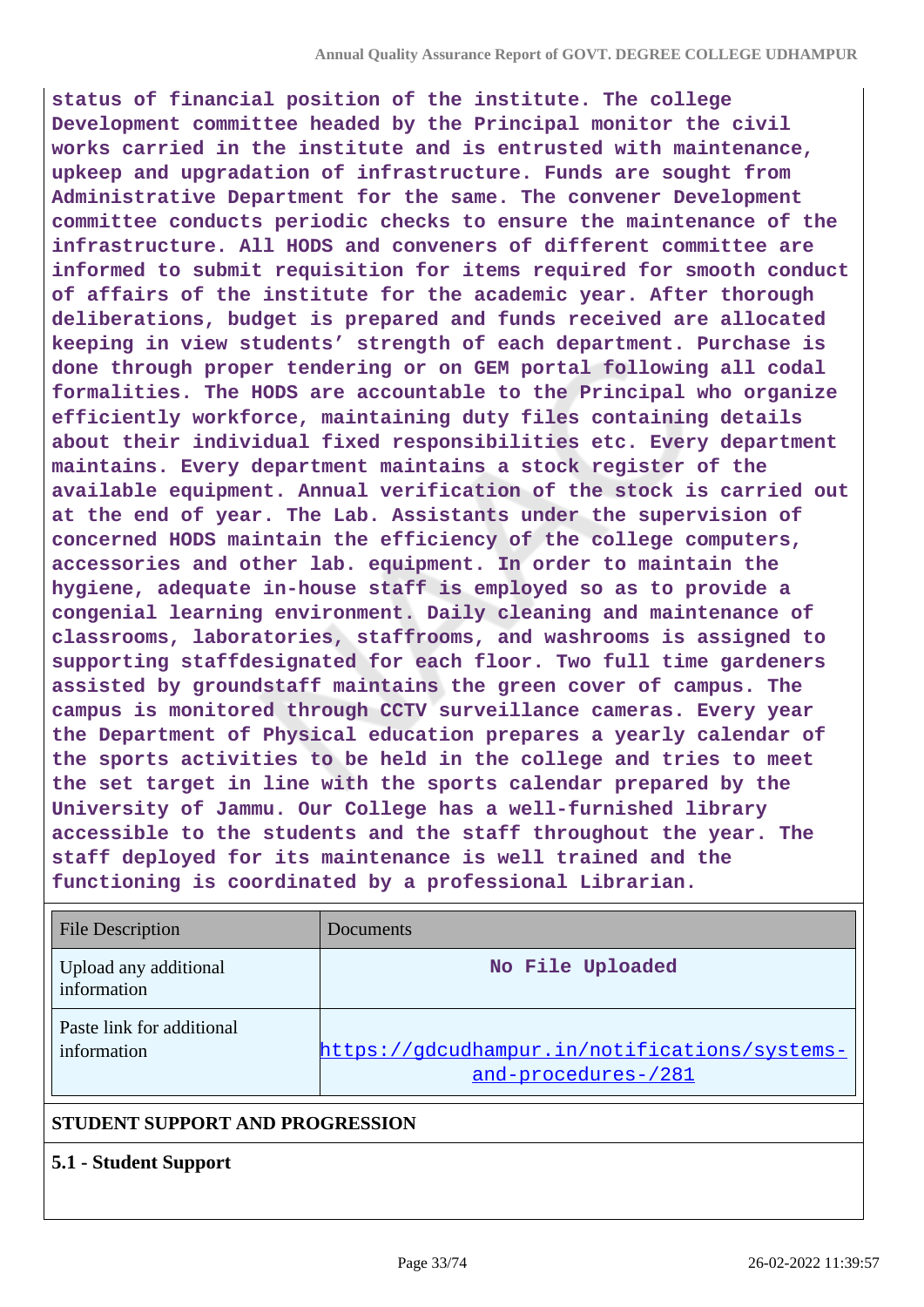**status of financial position of the institute. The college Development committee headed by the Principal monitor the civil works carried in the institute and is entrusted with maintenance, upkeep and upgradation of infrastructure. Funds are sought from Administrative Department for the same. The convener Development committee conducts periodic checks to ensure the maintenance of the infrastructure. All HODS and conveners of different committee are informed to submit requisition for items required for smooth conduct of affairs of the institute for the academic year. After thorough deliberations, budget is prepared and funds received are allocated keeping in view students' strength of each department. Purchase is done through proper tendering or on GEM portal following all codal formalities. The HODS are accountable to the Principal who organize efficiently workforce, maintaining duty files containing details about their individual fixed responsibilities etc. Every department maintains. Every department maintains a stock register of the available equipment. Annual verification of the stock is carried out at the end of year. The Lab. Assistants under the supervision of concerned HODS maintain the efficiency of the college computers, accessories and other lab. equipment. In order to maintain the hygiene, adequate in-house staff is employed so as to provide a congenial learning environment. Daily cleaning and maintenance of classrooms, laboratories, staffrooms, and washrooms is assigned to supporting staffdesignated for each floor. Two full time gardeners assisted by groundstaff maintains the green cover of campus. The campus is monitored through CCTV surveillance cameras. Every year the Department of Physical education prepares a yearly calendar of the sports activities to be held in the college and tries to meet the set target in line with the sports calendar prepared by the University of Jammu. Our College has a well-furnished library accessible to the students and the staff throughout the year. The staff deployed for its maintenance is well trained and the functioning is coordinated by a professional Librarian.**

| <b>File Description</b>                  | <b>Documents</b>                                                     |
|------------------------------------------|----------------------------------------------------------------------|
| Upload any additional<br>information     | No File Uploaded                                                     |
| Paste link for additional<br>information | https://gdcudhampur.in/notifications/systems-<br>and-procedures-/281 |
| CTURRY CURROL AND BROCHECION             |                                                                      |

### **STUDENT SUPPORT AND PROGRESSION**

#### **5.1 - Student Support**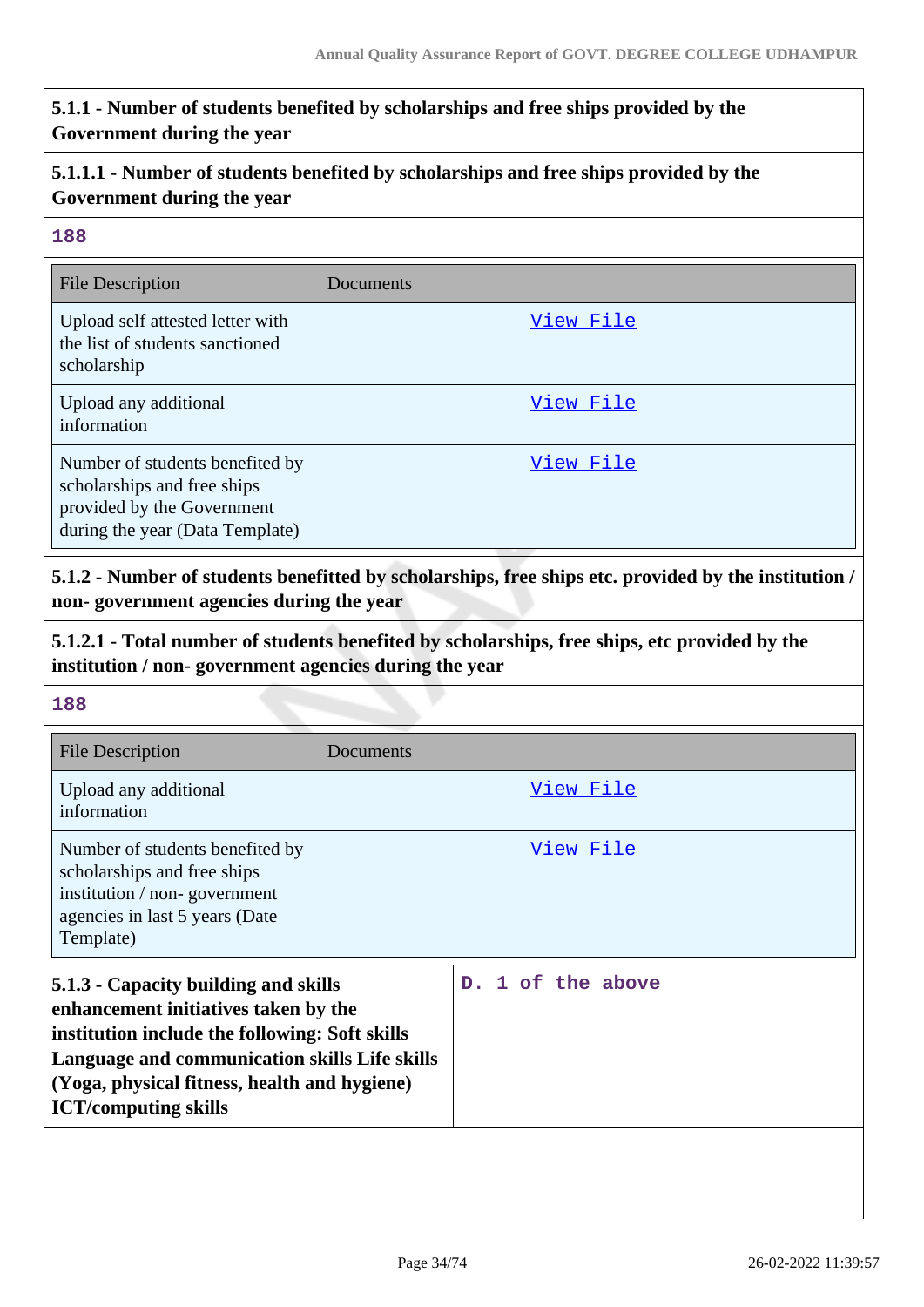# **5.1.1 - Number of students benefited by scholarships and free ships provided by the Government during the year**

# **5.1.1.1 - Number of students benefited by scholarships and free ships provided by the Government during the year**

#### **188**

| <b>File Description</b>                                                                                                         | Documents |
|---------------------------------------------------------------------------------------------------------------------------------|-----------|
| Upload self attested letter with<br>the list of students sanctioned<br>scholarship                                              | View File |
| Upload any additional<br>information                                                                                            | View File |
| Number of students benefited by<br>scholarships and free ships<br>provided by the Government<br>during the year (Data Template) | View File |

**5.1.2 - Number of students benefitted by scholarships, free ships etc. provided by the institution / non- government agencies during the year**

# **5.1.2.1 - Total number of students benefited by scholarships, free ships, etc provided by the institution / non- government agencies during the year**

| <b>File Description</b>                                                                                                                                                                                                                                        | Documents |                   |
|----------------------------------------------------------------------------------------------------------------------------------------------------------------------------------------------------------------------------------------------------------------|-----------|-------------------|
| Upload any additional<br>information                                                                                                                                                                                                                           |           | View File         |
| Number of students benefited by<br>scholarships and free ships<br>institution / non-government<br>agencies in last 5 years (Date<br>Template)                                                                                                                  |           | View File         |
| 5.1.3 - Capacity building and skills<br>enhancement initiatives taken by the<br>institution include the following: Soft skills<br>Language and communication skills Life skills<br>(Yoga, physical fitness, health and hygiene)<br><b>ICT/computing skills</b> |           | D. 1 of the above |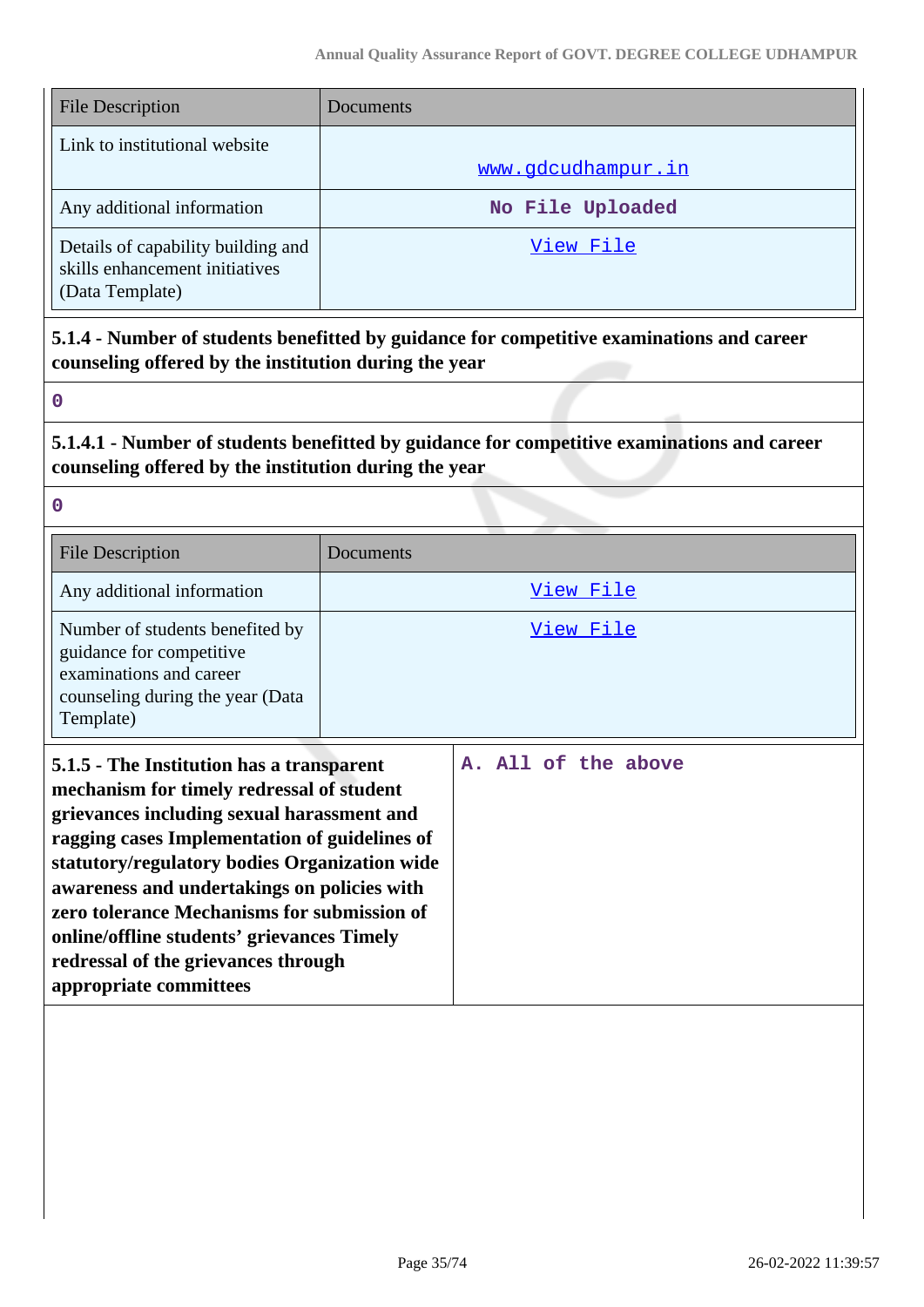| <b>File Description</b>                                                                 | Documents          |
|-----------------------------------------------------------------------------------------|--------------------|
| Link to institutional website                                                           | www.gdcudhampur.in |
| Any additional information                                                              | No File Uploaded   |
| Details of capability building and<br>skills enhancement initiatives<br>(Data Template) | View File          |

**5.1.4 - Number of students benefitted by guidance for competitive examinations and career counseling offered by the institution during the year**

**0**

**5.1.4.1 - Number of students benefitted by guidance for competitive examinations and career counseling offered by the institution during the year**

| <b>File Description</b>                                                                                                                 | Documents |
|-----------------------------------------------------------------------------------------------------------------------------------------|-----------|
| Any additional information                                                                                                              | View File |
| Number of students benefited by<br>guidance for competitive<br>examinations and career<br>counseling during the year (Data<br>Template) | View File |

| 5.1.5 - The Institution has a transparent<br>mechanism for timely redressal of student<br>grievances including sexual harassment and<br>ragging cases Implementation of guidelines of<br>statutory/regulatory bodies Organization wide<br>awareness and undertakings on policies with<br>zero tolerance Mechanisms for submission of<br>online/offline students' grievances Timely<br>redressal of the grievances through<br>appropriate committees |  |  |  |  | A. All of the above |  |  |  |
|-----------------------------------------------------------------------------------------------------------------------------------------------------------------------------------------------------------------------------------------------------------------------------------------------------------------------------------------------------------------------------------------------------------------------------------------------------|--|--|--|--|---------------------|--|--|--|
|-----------------------------------------------------------------------------------------------------------------------------------------------------------------------------------------------------------------------------------------------------------------------------------------------------------------------------------------------------------------------------------------------------------------------------------------------------|--|--|--|--|---------------------|--|--|--|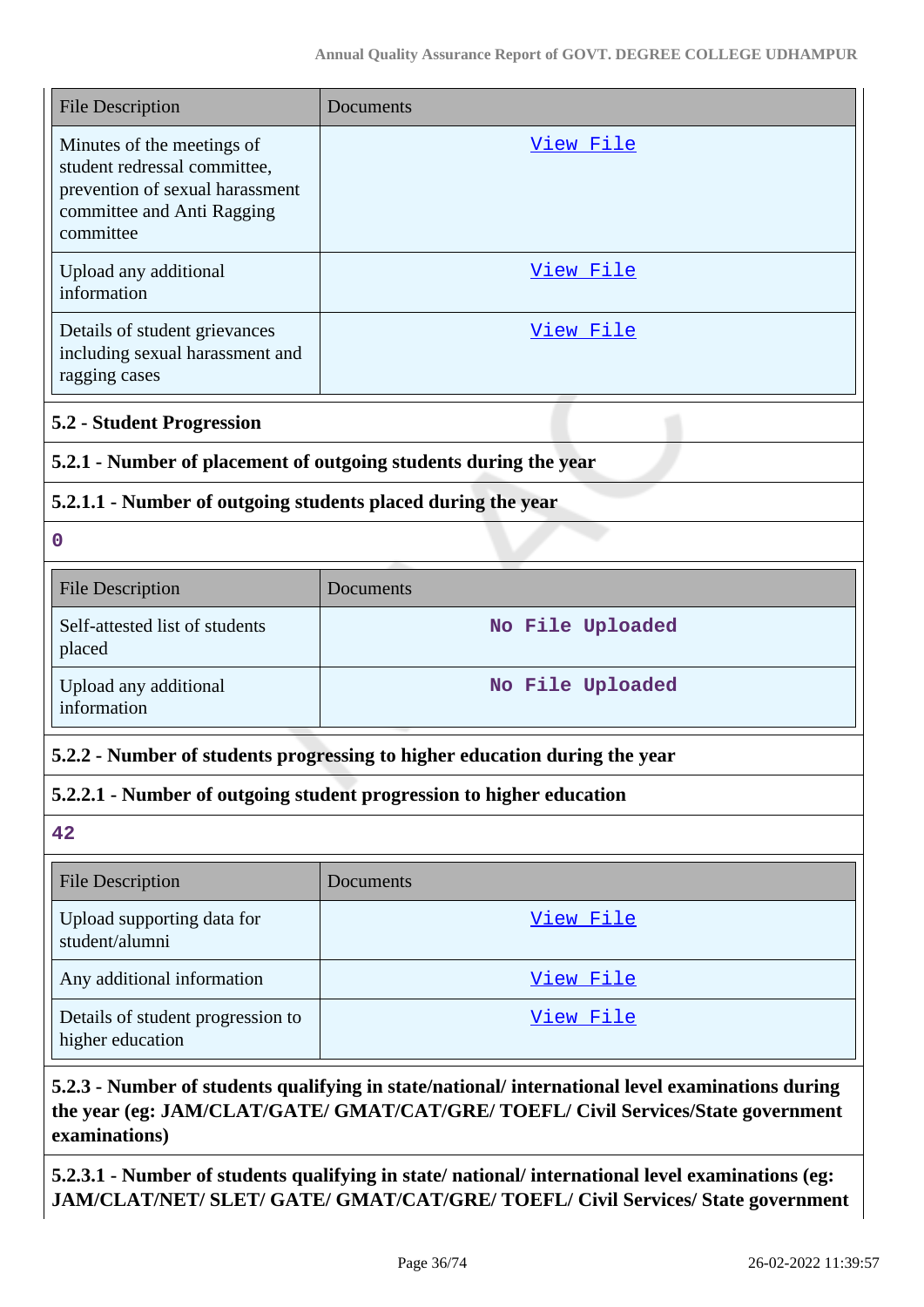| <b>File Description</b>                                                                                                                  | Documents        |  |  |  |  |  |
|------------------------------------------------------------------------------------------------------------------------------------------|------------------|--|--|--|--|--|
| Minutes of the meetings of<br>student redressal committee,<br>prevention of sexual harassment<br>committee and Anti Ragging<br>committee | <u>View File</u> |  |  |  |  |  |
| Upload any additional<br>information                                                                                                     | View File        |  |  |  |  |  |
| Details of student grievances<br>including sexual harassment and<br>ragging cases                                                        | <u>View File</u> |  |  |  |  |  |
| <b>5.2 - Student Progression</b>                                                                                                         |                  |  |  |  |  |  |
| 5.2.1 - Number of placement of outgoing students during the year                                                                         |                  |  |  |  |  |  |
| 5.2.1.1 - Number of outgoing students placed during the year                                                                             |                  |  |  |  |  |  |
| $\mathbf 0$                                                                                                                              |                  |  |  |  |  |  |
| <b>File Description</b>                                                                                                                  | Documents        |  |  |  |  |  |
| Self-attested list of students<br>placed                                                                                                 | No File Uploaded |  |  |  |  |  |
| Upload any additional<br>information                                                                                                     | No File Uploaded |  |  |  |  |  |
| 5.2.2 - Number of students progressing to higher education during the year                                                               |                  |  |  |  |  |  |
| 5.2.2.1 - Number of outgoing student progression to higher education                                                                     |                  |  |  |  |  |  |
| 42                                                                                                                                       |                  |  |  |  |  |  |
| <b>File Description</b>                                                                                                                  | Documents        |  |  |  |  |  |
| Upload supporting data for<br>student/alumni                                                                                             | View File        |  |  |  |  |  |
| Any additional information                                                                                                               | View File        |  |  |  |  |  |
| Details of student progression to<br>higher education                                                                                    | <u>View File</u> |  |  |  |  |  |

# **5.2.3 - Number of students qualifying in state/national/ international level examinations during the year (eg: JAM/CLAT/GATE/ GMAT/CAT/GRE/ TOEFL/ Civil Services/State government examinations)**

**5.2.3.1 - Number of students qualifying in state/ national/ international level examinations (eg: JAM/CLAT/NET/ SLET/ GATE/ GMAT/CAT/GRE/ TOEFL/ Civil Services/ State government**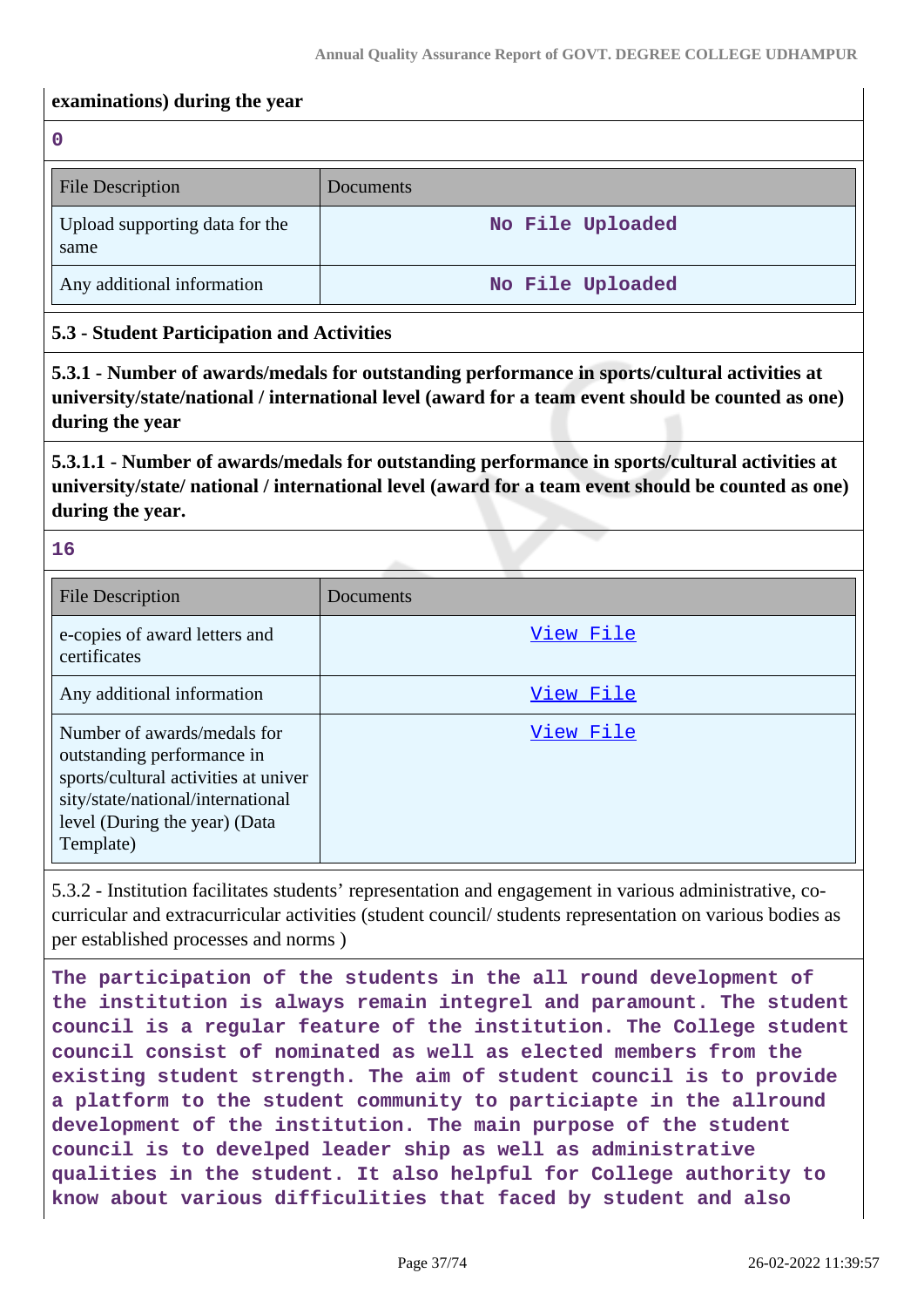#### **examinations) during the year**

**0**

| <b>File Description</b>                | Documents        |
|----------------------------------------|------------------|
| Upload supporting data for the<br>same | No File Uploaded |
| Any additional information             | No File Uploaded |

## **5.3 - Student Participation and Activities**

**5.3.1 - Number of awards/medals for outstanding performance in sports/cultural activities at university/state/national / international level (award for a team event should be counted as one) during the year**

**5.3.1.1 - Number of awards/medals for outstanding performance in sports/cultural activities at university/state/ national / international level (award for a team event should be counted as one) during the year.**

**16**

| <b>File Description</b>                                                                                                                                                              | Documents |
|--------------------------------------------------------------------------------------------------------------------------------------------------------------------------------------|-----------|
| e-copies of award letters and<br>certificates                                                                                                                                        | View File |
| Any additional information                                                                                                                                                           | View File |
| Number of awards/medals for<br>outstanding performance in<br>sports/cultural activities at univer<br>sity/state/national/international<br>level (During the year) (Data<br>Template) | View File |

5.3.2 - Institution facilitates students' representation and engagement in various administrative, cocurricular and extracurricular activities (student council/ students representation on various bodies as per established processes and norms )

**The participation of the students in the all round development of the institution is always remain integrel and paramount. The student council is a regular feature of the institution. The College student council consist of nominated as well as elected members from the existing student strength. The aim of student council is to provide a platform to the student community to particiapte in the allround development of the institution. The main purpose of the student council is to develped leader ship as well as administrative qualities in the student. It also helpful for College authority to know about various difficulities that faced by student and also**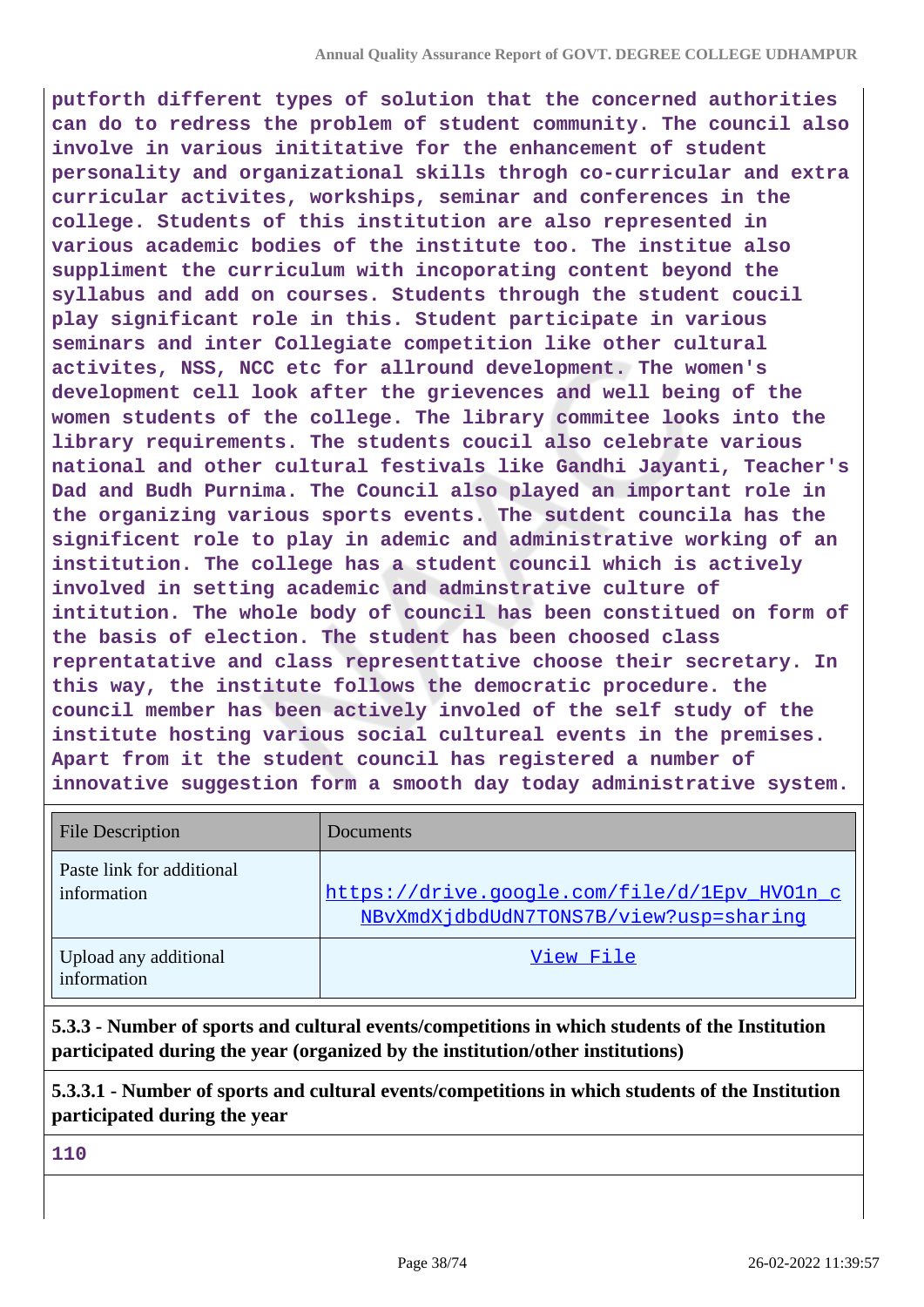**putforth different types of solution that the concerned authorities can do to redress the problem of student community. The council also involve in various inititative for the enhancement of student personality and organizational skills throgh co-curricular and extra curricular activites, workships, seminar and conferences in the college. Students of this institution are also represented in various academic bodies of the institute too. The institue also suppliment the curriculum with incoporating content beyond the syllabus and add on courses. Students through the student coucil play significant role in this. Student participate in various seminars and inter Collegiate competition like other cultural activites, NSS, NCC etc for allround development. The women's development cell look after the grievences and well being of the women students of the college. The library commitee looks into the library requirements. The students coucil also celebrate various national and other cultural festivals like Gandhi Jayanti, Teacher's Dad and Budh Purnima. The Council also played an important role in the organizing various sports events. The sutdent councila has the significent role to play in ademic and administrative working of an institution. The college has a student council which is actively involved in setting academic and adminstrative culture of intitution. The whole body of council has been constitued on form of the basis of election. The student has been choosed class reprentatative and class representtative choose their secretary. In this way, the institute follows the democratic procedure. the council member has been actively involed of the self study of the institute hosting various social cultureal events in the premises. Apart from it the student council has registered a number of innovative suggestion form a smooth day today administrative system.**

| <b>File Description</b>                  | Documents                                                                              |
|------------------------------------------|----------------------------------------------------------------------------------------|
| Paste link for additional<br>information | https://drive.google.com/file/d/1Epv_HVOln_c<br>NBvXmdXjdbdUdN7TONS7B/view?usp=sharinq |
| Upload any additional<br>information     | View File                                                                              |

**5.3.3 - Number of sports and cultural events/competitions in which students of the Institution participated during the year (organized by the institution/other institutions)**

**5.3.3.1 - Number of sports and cultural events/competitions in which students of the Institution participated during the year**

**110**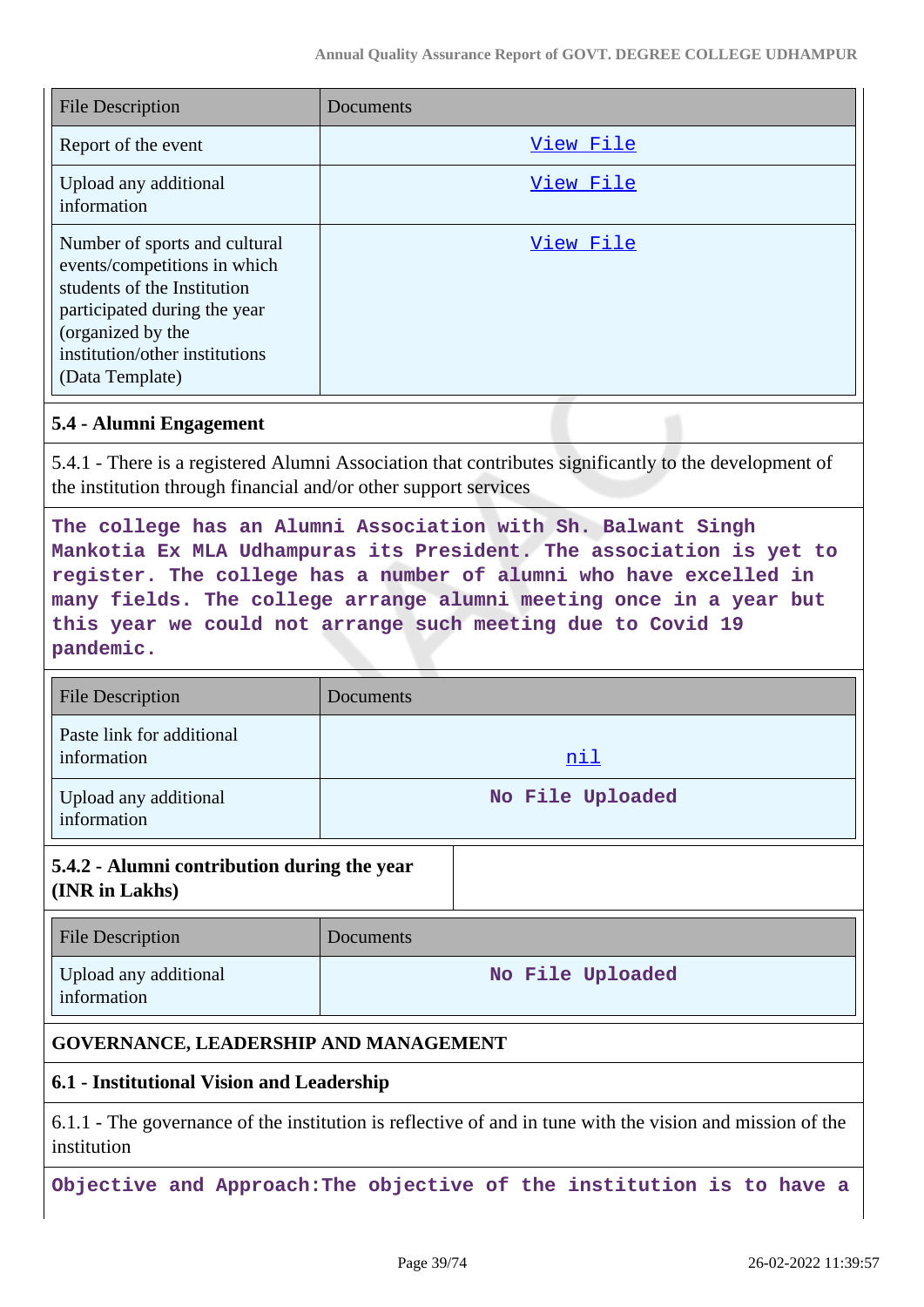| <b>File Description</b>                                                                                                                                                                                | Documents |
|--------------------------------------------------------------------------------------------------------------------------------------------------------------------------------------------------------|-----------|
| Report of the event                                                                                                                                                                                    | View File |
| Upload any additional<br>information                                                                                                                                                                   | View File |
| Number of sports and cultural<br>events/competitions in which<br>students of the Institution<br>participated during the year<br>(organized by the<br>institution/other institutions<br>(Data Template) | View File |

#### **5.4 - Alumni Engagement**

5.4.1 - There is a registered Alumni Association that contributes significantly to the development of the institution through financial and/or other support services

**The college has an Alumni Association with Sh. Balwant Singh Mankotia Ex MLA Udhampuras its President. The association is yet to register. The college has a number of alumni who have excelled in many fields. The college arrange alumni meeting once in a year but this year we could not arrange such meeting due to Covid 19 pandemic.**

| <b>File Description</b>                  | Documents        |
|------------------------------------------|------------------|
| Paste link for additional<br>information | nil              |
| Upload any additional<br>information     | No File Uploaded |

## **5.4.2 - Alumni contribution during the year (INR in Lakhs)**

| <b>File Description</b>              | Documents        |
|--------------------------------------|------------------|
| Upload any additional<br>information | No File Uploaded |

# **GOVERNANCE, LEADERSHIP AND MANAGEMENT**

# **6.1 - Institutional Vision and Leadership**

6.1.1 - The governance of the institution is reflective of and in tune with the vision and mission of the institution

**Objective and Approach:The objective of the institution is to have a**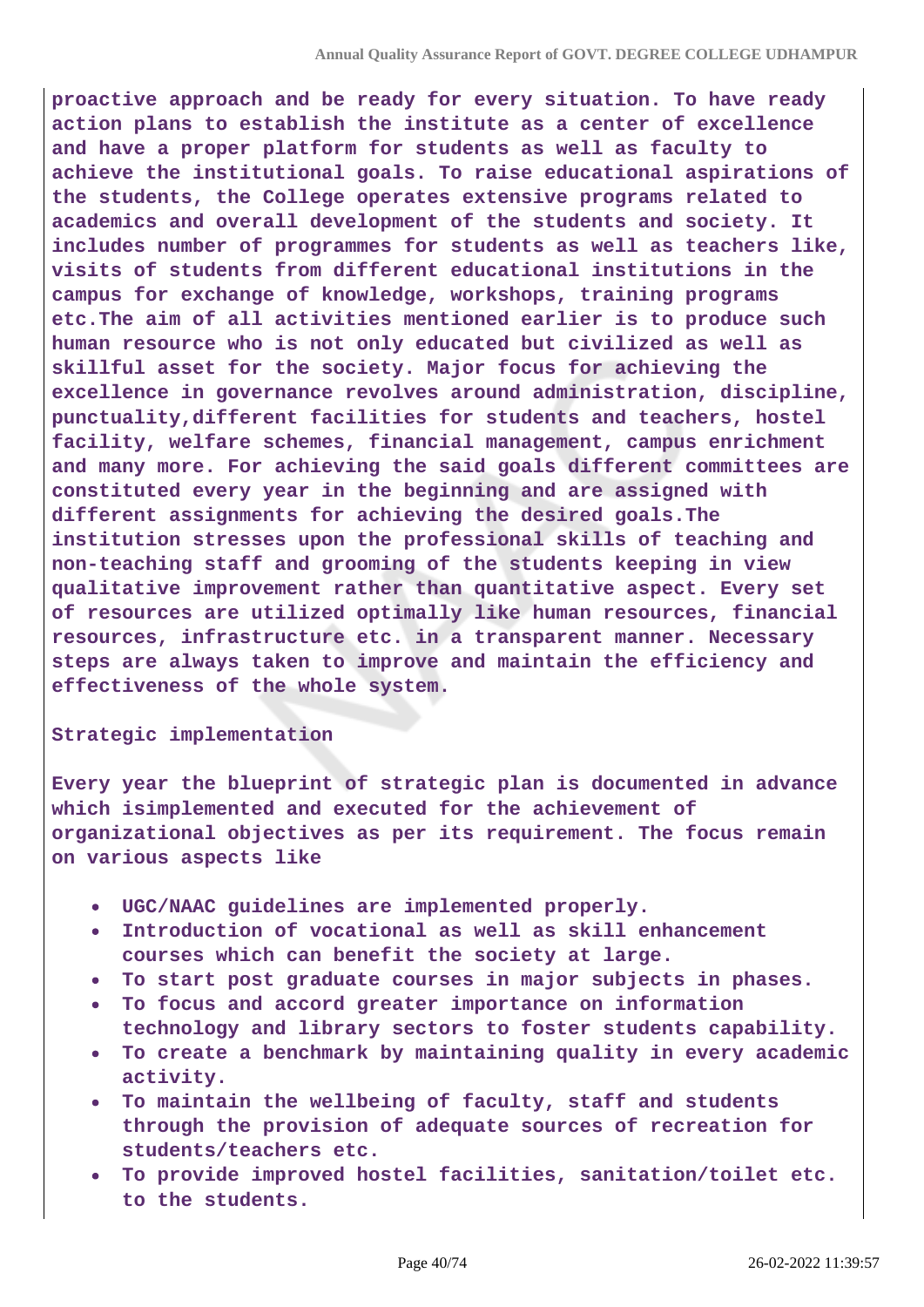**proactive approach and be ready for every situation. To have ready action plans to establish the institute as a center of excellence and have a proper platform for students as well as faculty to achieve the institutional goals. To raise educational aspirations of the students, the College operates extensive programs related to academics and overall development of the students and society. It includes number of programmes for students as well as teachers like, visits of students from different educational institutions in the campus for exchange of knowledge, workshops, training programs etc.The aim of all activities mentioned earlier is to produce such human resource who is not only educated but civilized as well as skillful asset for the society. Major focus for achieving the excellence in governance revolves around administration, discipline, punctuality,different facilities for students and teachers, hostel facility, welfare schemes, financial management, campus enrichment and many more. For achieving the said goals different committees are constituted every year in the beginning and are assigned with different assignments for achieving the desired goals.The institution stresses upon the professional skills of teaching and non-teaching staff and grooming of the students keeping in view qualitative improvement rather than quantitative aspect. Every set of resources are utilized optimally like human resources, financial resources, infrastructure etc. in a transparent manner. Necessary steps are always taken to improve and maintain the efficiency and effectiveness of the whole system.**

#### **Strategic implementation**

**Every year the blueprint of strategic plan is documented in advance which isimplemented and executed for the achievement of organizational objectives as per its requirement. The focus remain on various aspects like**

- **UGC/NAAC guidelines are implemented properly.**
- **Introduction of vocational as well as skill enhancement**  $\bullet$ **courses which can benefit the society at large.**
- **To start post graduate courses in major subjects in phases.**
- **To focus and accord greater importance on information**  $\bullet$ **technology and library sectors to foster students capability.**
- **To create a benchmark by maintaining quality in every academic activity.**
- **To maintain the wellbeing of faculty, staff and students through the provision of adequate sources of recreation for students/teachers etc.**
- **To provide improved hostel facilities, sanitation/toilet etc. to the students.**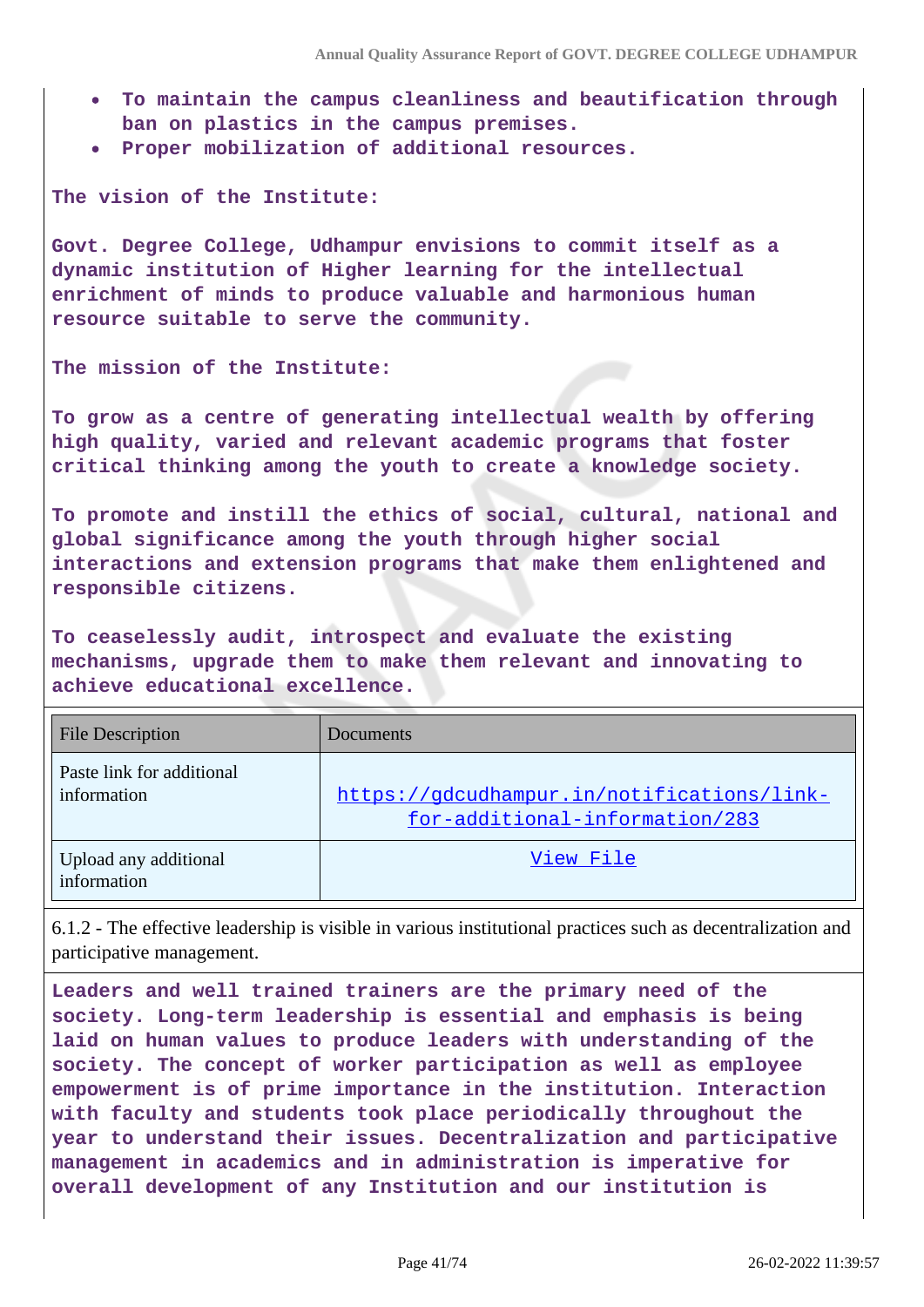- **To maintain the campus cleanliness and beautification through ban on plastics in the campus premises.**
- **Proper mobilization of additional resources.**

**The vision of the Institute:**

**Govt. Degree College, Udhampur envisions to commit itself as a dynamic institution of Higher learning for the intellectual enrichment of minds to produce valuable and harmonious human resource suitable to serve the community.**

### **The mission of the Institute:**

**To grow as a centre of generating intellectual wealth by offering high quality, varied and relevant academic programs that foster critical thinking among the youth to create a knowledge society.**

**To promote and instill the ethics of social, cultural, national and global significance among the youth through higher social interactions and extension programs that make them enlightened and responsible citizens.**

**To ceaselessly audit, introspect and evaluate the existing mechanisms, upgrade them to make them relevant and innovating to achieve educational excellence.**

| <b>File Description</b>                  | Documents                                                                    |
|------------------------------------------|------------------------------------------------------------------------------|
| Paste link for additional<br>information | https://gdcudhampur.in/notifications/link-<br>for-additional-information/283 |
| Upload any additional<br>information     | View File                                                                    |

6.1.2 - The effective leadership is visible in various institutional practices such as decentralization and participative management.

**Leaders and well trained trainers are the primary need of the society. Long-term leadership is essential and emphasis is being laid on human values to produce leaders with understanding of the society. The concept of worker participation as well as employee empowerment is of prime importance in the institution. Interaction with faculty and students took place periodically throughout the year to understand their issues. Decentralization and participative management in academics and in administration is imperative for overall development of any Institution and our institution is**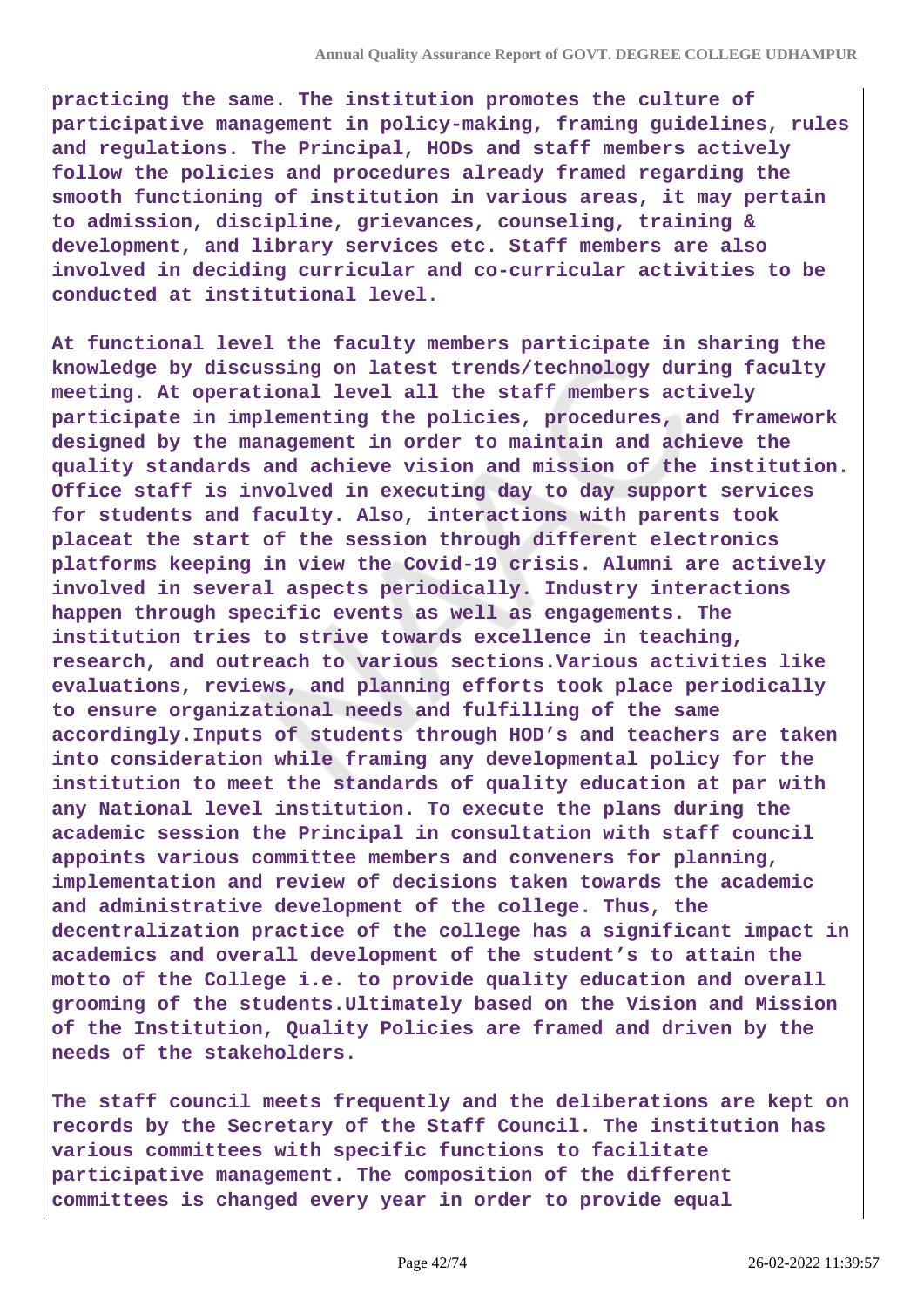**practicing the same. The institution promotes the culture of participative management in policy-making, framing guidelines, rules and regulations. The Principal, HODs and staff members actively follow the policies and procedures already framed regarding the smooth functioning of institution in various areas, it may pertain to admission, discipline, grievances, counseling, training & development, and library services etc. Staff members are also involved in deciding curricular and co-curricular activities to be conducted at institutional level.**

**At functional level the faculty members participate in sharing the knowledge by discussing on latest trends/technology during faculty meeting. At operational level all the staff members actively participate in implementing the policies, procedures, and framework designed by the management in order to maintain and achieve the quality standards and achieve vision and mission of the institution. Office staff is involved in executing day to day support services for students and faculty. Also, interactions with parents took placeat the start of the session through different electronics platforms keeping in view the Covid-19 crisis. Alumni are actively involved in several aspects periodically. Industry interactions happen through specific events as well as engagements. The institution tries to strive towards excellence in teaching, research, and outreach to various sections.Various activities like evaluations, reviews, and planning efforts took place periodically to ensure organizational needs and fulfilling of the same accordingly.Inputs of students through HOD's and teachers are taken into consideration while framing any developmental policy for the institution to meet the standards of quality education at par with any National level institution. To execute the plans during the academic session the Principal in consultation with staff council appoints various committee members and conveners for planning, implementation and review of decisions taken towards the academic and administrative development of the college. Thus, the decentralization practice of the college has a significant impact in academics and overall development of the student's to attain the motto of the College i.e. to provide quality education and overall grooming of the students.Ultimately based on the Vision and Mission of the Institution, Quality Policies are framed and driven by the needs of the stakeholders.**

**The staff council meets frequently and the deliberations are kept on records by the Secretary of the Staff Council. The institution has various committees with specific functions to facilitate participative management. The composition of the different committees is changed every year in order to provide equal**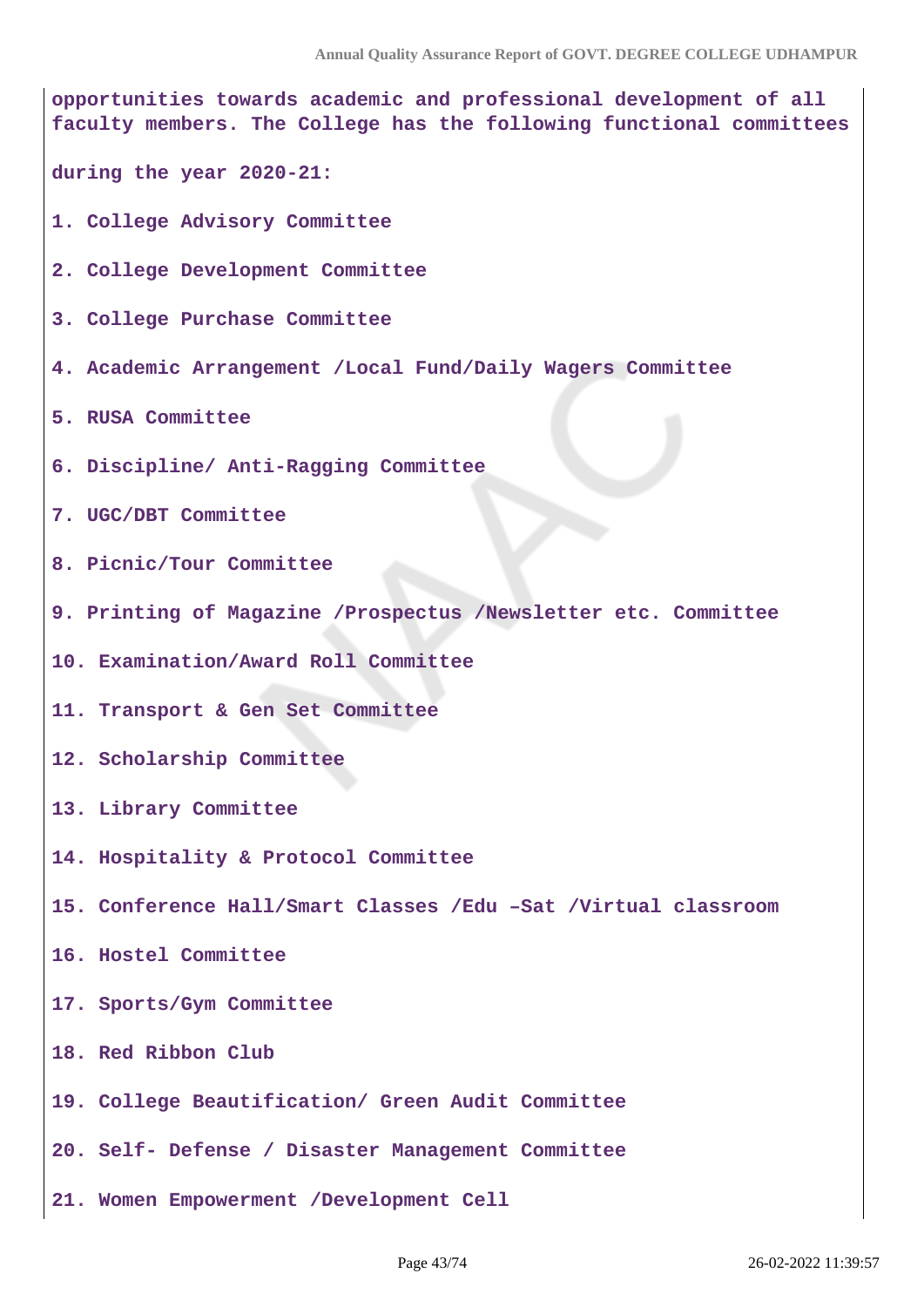**opportunities towards academic and professional development of all faculty members. The College has the following functional committees during the year 2020-21: 1. College Advisory Committee 2. College Development Committee 3. College Purchase Committee 4. Academic Arrangement /Local Fund/Daily Wagers Committee 5. RUSA Committee 6. Discipline/ Anti-Ragging Committee 7. UGC/DBT Committee 8. Picnic/Tour Committee 9. Printing of Magazine /Prospectus /Newsletter etc. Committee 10. Examination/Award Roll Committee 11. Transport & Gen Set Committee 12. Scholarship Committee 13. Library Committee 14. Hospitality & Protocol Committee 15. Conference Hall/Smart Classes /Edu –Sat /Virtual classroom 16. Hostel Committee 17. Sports/Gym Committee 18. Red Ribbon Club 19. College Beautification/ Green Audit Committee 20. Self- Defense / Disaster Management Committee 21. Women Empowerment /Development Cell**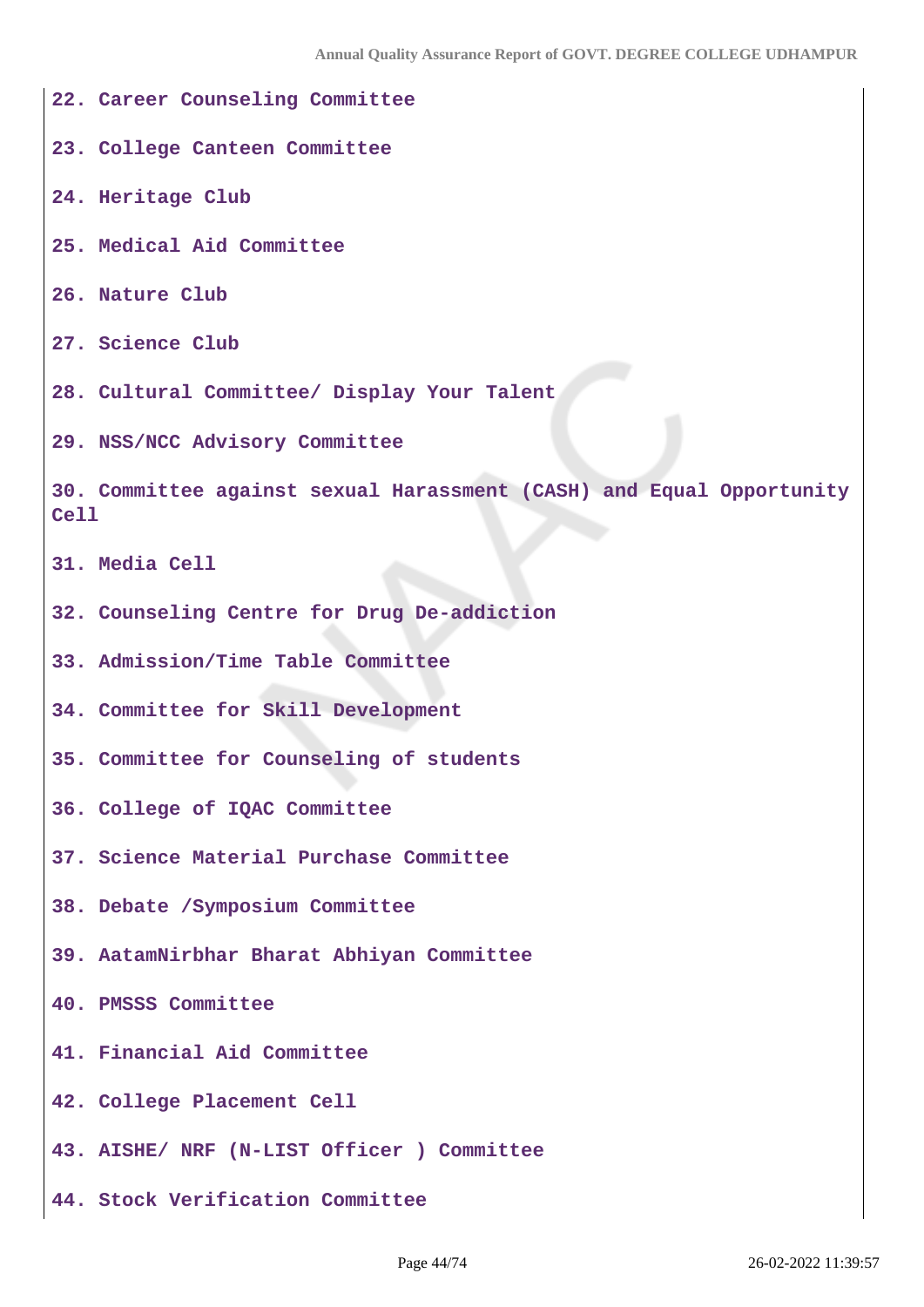**22. Career Counseling Committee 23. College Canteen Committee 24. Heritage Club 25. Medical Aid Committee 26. Nature Club 27. Science Club 28. Cultural Committee/ Display Your Talent 29. NSS/NCC Advisory Committee 30. Committee against sexual Harassment (CASH) and Equal Opportunity Cell 31. Media Cell 32. Counseling Centre for Drug De-addiction 33. Admission/Time Table Committee 34. Committee for Skill Development 35. Committee for Counseling of students 36. College of IQAC Committee 37. Science Material Purchase Committee 38. Debate /Symposium Committee 39. AatamNirbhar Bharat Abhiyan Committee 40. PMSSS Committee 41. Financial Aid Committee 42. College Placement Cell 43. AISHE/ NRF (N-LIST Officer ) Committee 44. Stock Verification Committee**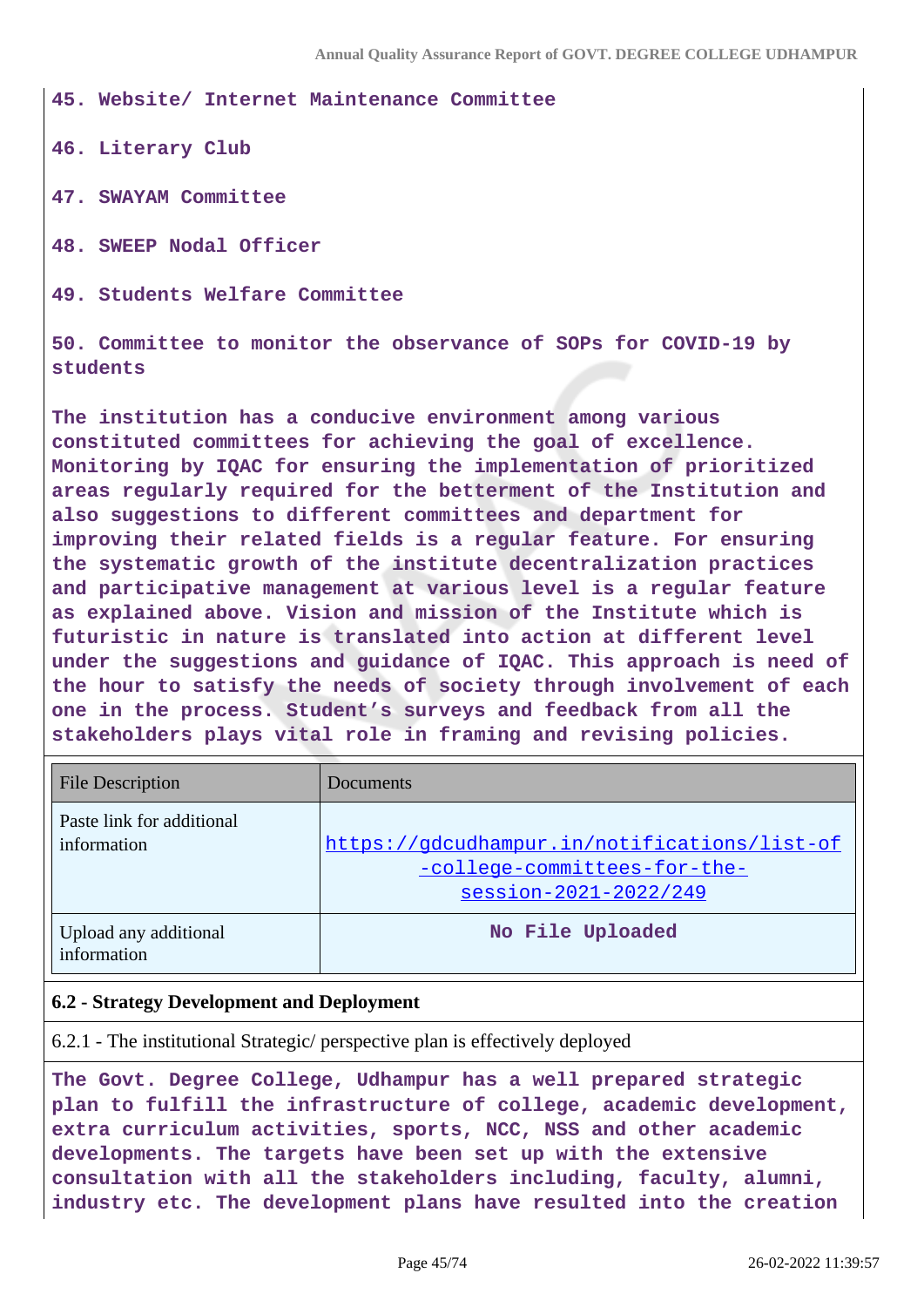**45. Website/ Internet Maintenance Committee**

**46. Literary Club**

**47. SWAYAM Committee**

**48. SWEEP Nodal Officer**

**49. Students Welfare Committee**

**50. Committee to monitor the observance of SOPs for COVID-19 by students**

**The institution has a conducive environment among various constituted committees for achieving the goal of excellence. Monitoring by IQAC for ensuring the implementation of prioritized areas regularly required for the betterment of the Institution and also suggestions to different committees and department for improving their related fields is a regular feature. For ensuring the systematic growth of the institute decentralization practices and participative management at various level is a regular feature as explained above. Vision and mission of the Institute which is futuristic in nature is translated into action at different level under the suggestions and guidance of IQAC. This approach is need of the hour to satisfy the needs of society through involvement of each one in the process. Student's surveys and feedback from all the stakeholders plays vital role in framing and revising policies.**

| <b>File Description</b>                  | Documents                                                                                             |
|------------------------------------------|-------------------------------------------------------------------------------------------------------|
| Paste link for additional<br>information | https://gdcudhampur.in/notifications/list-of<br>-college-committees-for-the-<br>session-2021-2022/249 |
| Upload any additional<br>information     | No File Uploaded                                                                                      |

### **6.2 - Strategy Development and Deployment**

6.2.1 - The institutional Strategic/ perspective plan is effectively deployed

**The Govt. Degree College, Udhampur has a well prepared strategic plan to fulfill the infrastructure of college, academic development, extra curriculum activities, sports, NCC, NSS and other academic developments. The targets have been set up with the extensive consultation with all the stakeholders including, faculty, alumni, industry etc. The development plans have resulted into the creation**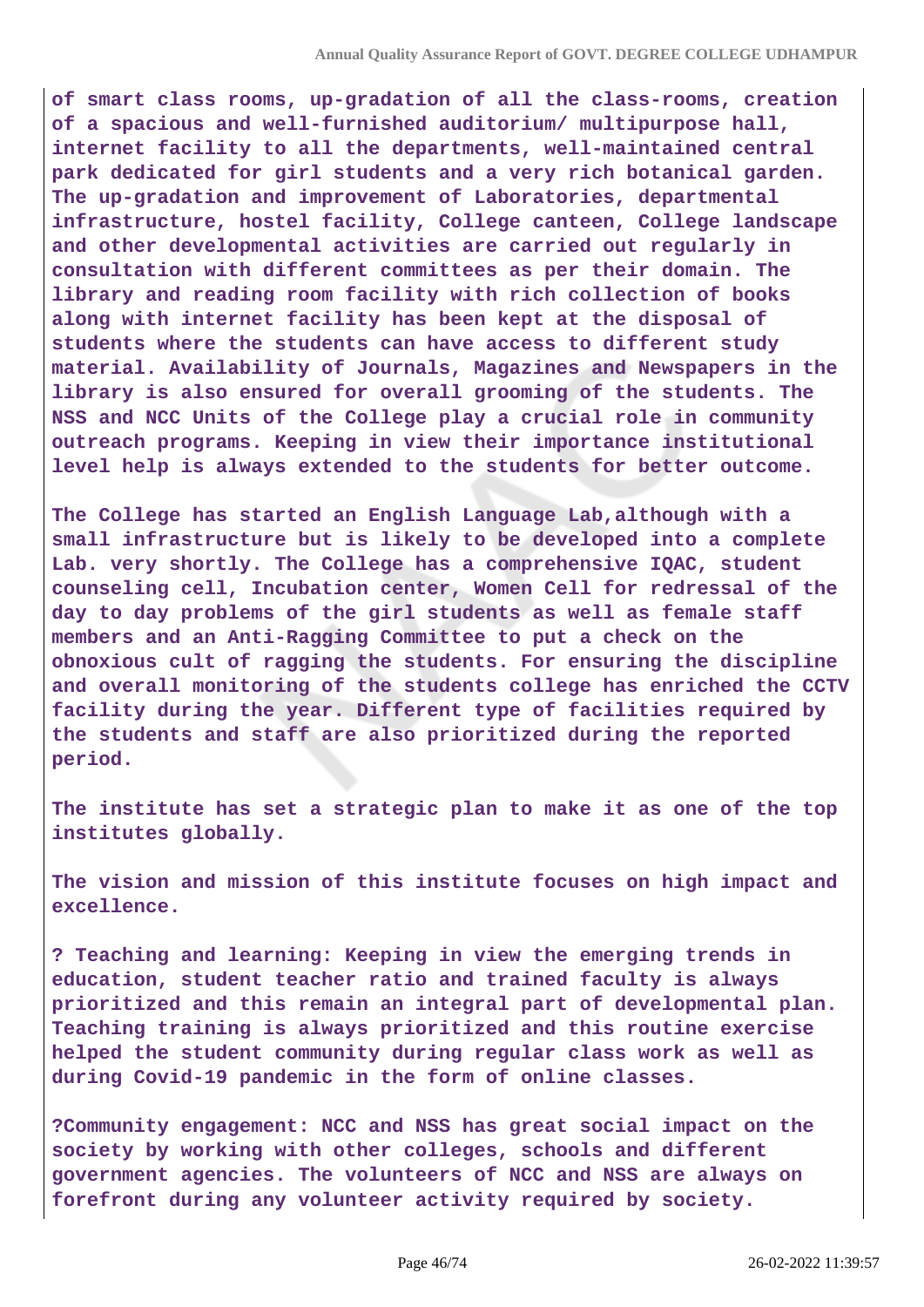**of smart class rooms, up-gradation of all the class-rooms, creation of a spacious and well-furnished auditorium/ multipurpose hall, internet facility to all the departments, well-maintained central park dedicated for girl students and a very rich botanical garden. The up-gradation and improvement of Laboratories, departmental infrastructure, hostel facility, College canteen, College landscape and other developmental activities are carried out regularly in consultation with different committees as per their domain. The library and reading room facility with rich collection of books along with internet facility has been kept at the disposal of students where the students can have access to different study material. Availability of Journals, Magazines and Newspapers in the library is also ensured for overall grooming of the students. The NSS and NCC Units of the College play a crucial role in community outreach programs. Keeping in view their importance institutional level help is always extended to the students for better outcome.**

**The College has started an English Language Lab,although with a small infrastructure but is likely to be developed into a complete Lab. very shortly. The College has a comprehensive IQAC, student counseling cell, Incubation center, Women Cell for redressal of the day to day problems of the girl students as well as female staff members and an Anti-Ragging Committee to put a check on the obnoxious cult of ragging the students. For ensuring the discipline and overall monitoring of the students college has enriched the CCTV facility during the year. Different type of facilities required by the students and staff are also prioritized during the reported period.**

**The institute has set a strategic plan to make it as one of the top institutes globally.**

**The vision and mission of this institute focuses on high impact and excellence.**

**? Teaching and learning: Keeping in view the emerging trends in education, student teacher ratio and trained faculty is always prioritized and this remain an integral part of developmental plan. Teaching training is always prioritized and this routine exercise helped the student community during regular class work as well as during Covid-19 pandemic in the form of online classes.**

**?Community engagement: NCC and NSS has great social impact on the society by working with other colleges, schools and different government agencies. The volunteers of NCC and NSS are always on forefront during any volunteer activity required by society.**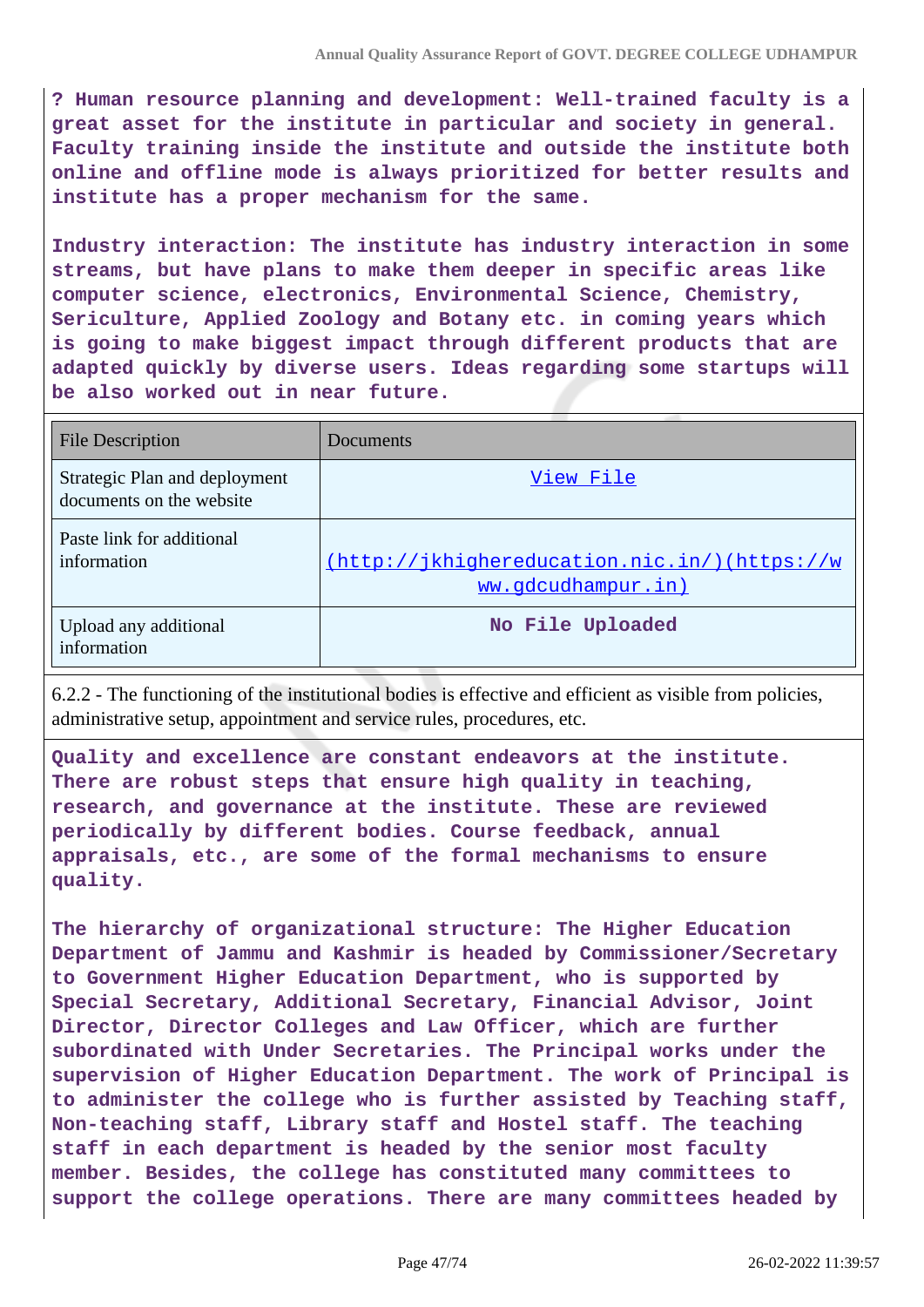**? Human resource planning and development: Well-trained faculty is a great asset for the institute in particular and society in general. Faculty training inside the institute and outside the institute both online and offline mode is always prioritized for better results and institute has a proper mechanism for the same.**

**Industry interaction: The institute has industry interaction in some streams, but have plans to make them deeper in specific areas like computer science, electronics, Environmental Science, Chemistry, Sericulture, Applied Zoology and Botany etc. in coming years which is going to make biggest impact through different products that are adapted quickly by diverse users. Ideas regarding some startups will be also worked out in near future.**

| File Description                                          | Documents                                                          |
|-----------------------------------------------------------|--------------------------------------------------------------------|
| Strategic Plan and deployment<br>documents on the website | View File                                                          |
| Paste link for additional<br>information                  | (http://jkhighereducation.nic.in/)(https://w<br>ww.gdcudhampur.in) |
| Upload any additional<br>information                      | No File Uploaded                                                   |

6.2.2 - The functioning of the institutional bodies is effective and efficient as visible from policies, administrative setup, appointment and service rules, procedures, etc.

**Quality and excellence are constant endeavors at the institute. There are robust steps that ensure high quality in teaching, research, and governance at the institute. These are reviewed periodically by different bodies. Course feedback, annual appraisals, etc., are some of the formal mechanisms to ensure quality.**

**The hierarchy of organizational structure: The Higher Education Department of Jammu and Kashmir is headed by Commissioner/Secretary to Government Higher Education Department, who is supported by Special Secretary, Additional Secretary, Financial Advisor, Joint Director, Director Colleges and Law Officer, which are further subordinated with Under Secretaries. The Principal works under the supervision of Higher Education Department. The work of Principal is to administer the college who is further assisted by Teaching staff, Non-teaching staff, Library staff and Hostel staff. The teaching staff in each department is headed by the senior most faculty member. Besides, the college has constituted many committees to support the college operations. There are many committees headed by**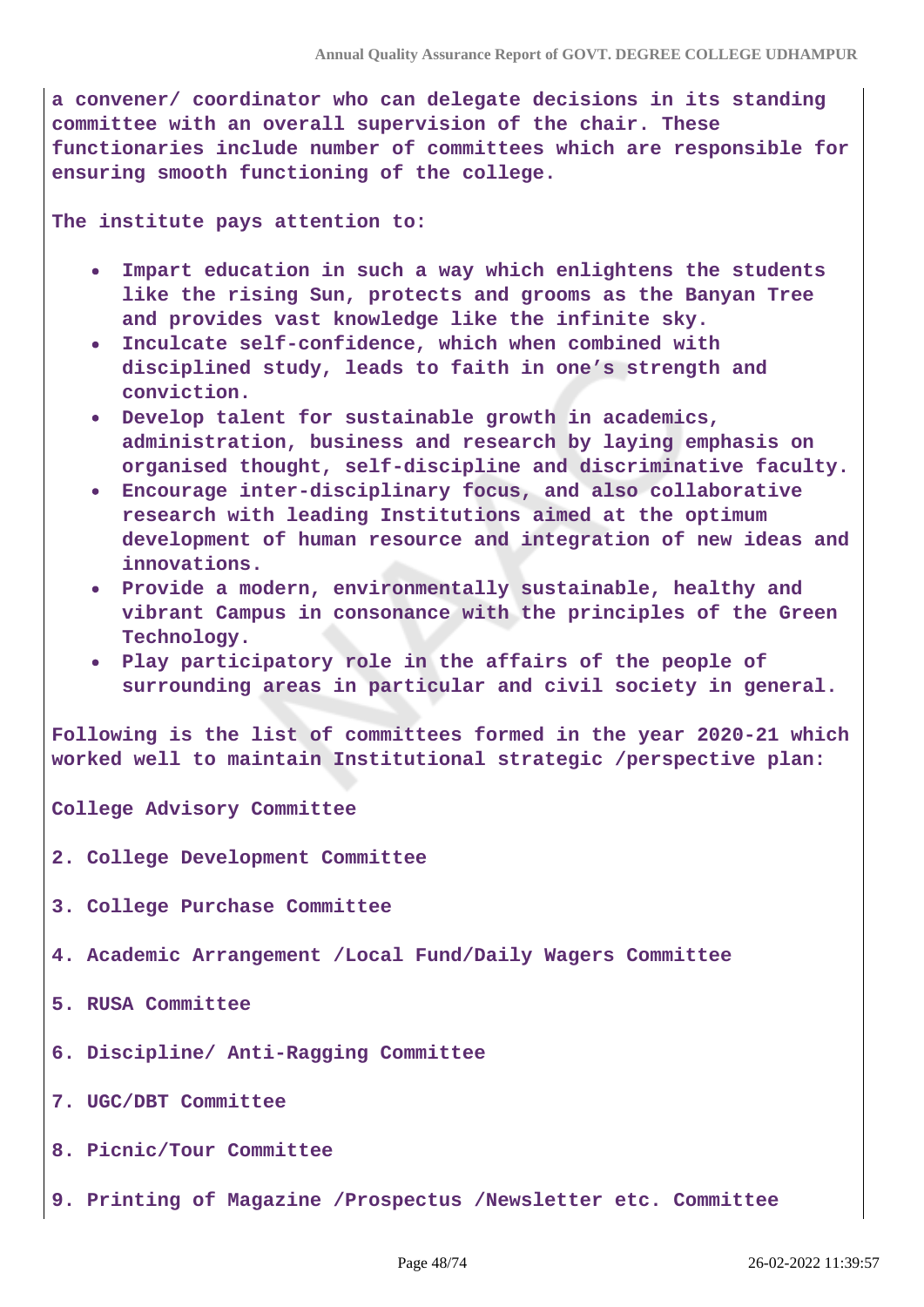**a convener/ coordinator who can delegate decisions in its standing committee with an overall supervision of the chair. These functionaries include number of committees which are responsible for ensuring smooth functioning of the college.**

**The institute pays attention to:**

- **Impart education in such a way which enlightens the students like the rising Sun, protects and grooms as the Banyan Tree and provides vast knowledge like the infinite sky.**
- **Inculcate self-confidence, which when combined with disciplined study, leads to faith in one's strength and conviction.**
- **Develop talent for sustainable growth in academics, administration, business and research by laying emphasis on organised thought, self-discipline and discriminative faculty.**
- **Encourage inter-disciplinary focus, and also collaborative research with leading Institutions aimed at the optimum development of human resource and integration of new ideas and innovations.**
- **Provide a modern, environmentally sustainable, healthy and vibrant Campus in consonance with the principles of the Green Technology.**
- **Play participatory role in the affairs of the people of surrounding areas in particular and civil society in general.**

**Following is the list of committees formed in the year 2020-21 which worked well to maintain Institutional strategic /perspective plan:**

**College Advisory Committee**

- **2. College Development Committee**
- **3. College Purchase Committee**
- **4. Academic Arrangement /Local Fund/Daily Wagers Committee**
- **5. RUSA Committee**
- **6. Discipline/ Anti-Ragging Committee**
- **7. UGC/DBT Committee**
- **8. Picnic/Tour Committee**
- **9. Printing of Magazine /Prospectus /Newsletter etc. Committee**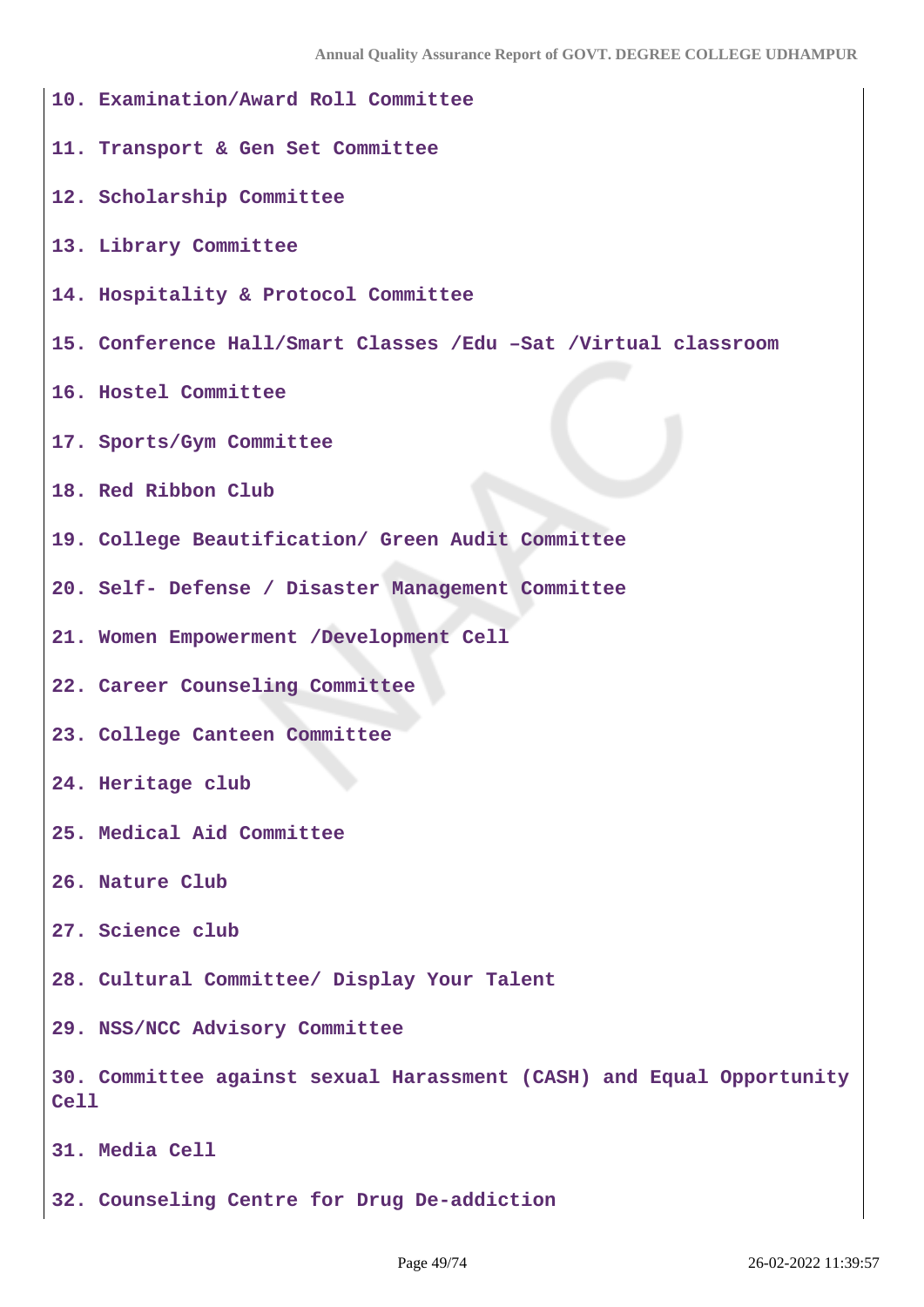| 10. Examination/Award Roll Committee                                                |
|-------------------------------------------------------------------------------------|
| 11. Transport & Gen Set Committee                                                   |
| 12. Scholarship Committee                                                           |
| 13. Library Committee                                                               |
| 14. Hospitality & Protocol Committee                                                |
| 15. Conference Hall/Smart Classes /Edu -Sat /Virtual classroom                      |
| 16. Hostel Committee                                                                |
| 17. Sports/Gym Committee                                                            |
| 18. Red Ribbon Club                                                                 |
| 19. College Beautification/ Green Audit Committee                                   |
| 20. Self- Defense / Disaster Management Committee                                   |
| 21. Women Empowerment /Development Cell                                             |
| 22. Career Counseling Committee                                                     |
| 23. College Canteen Committee                                                       |
| 24. Heritage club                                                                   |
| 25. Medical Aid Committee                                                           |
| 26. Nature Club                                                                     |
| 27. Science club                                                                    |
| 28. Cultural Committee/ Display Your Talent                                         |
| 29. NSS/NCC Advisory Committee                                                      |
| 30. Committee against sexual Harassment (CASH) and Equal Opportunity<br><b>Cell</b> |
| 31. Media Cell                                                                      |
| 32. Counseling Centre for Drug De-addiction                                         |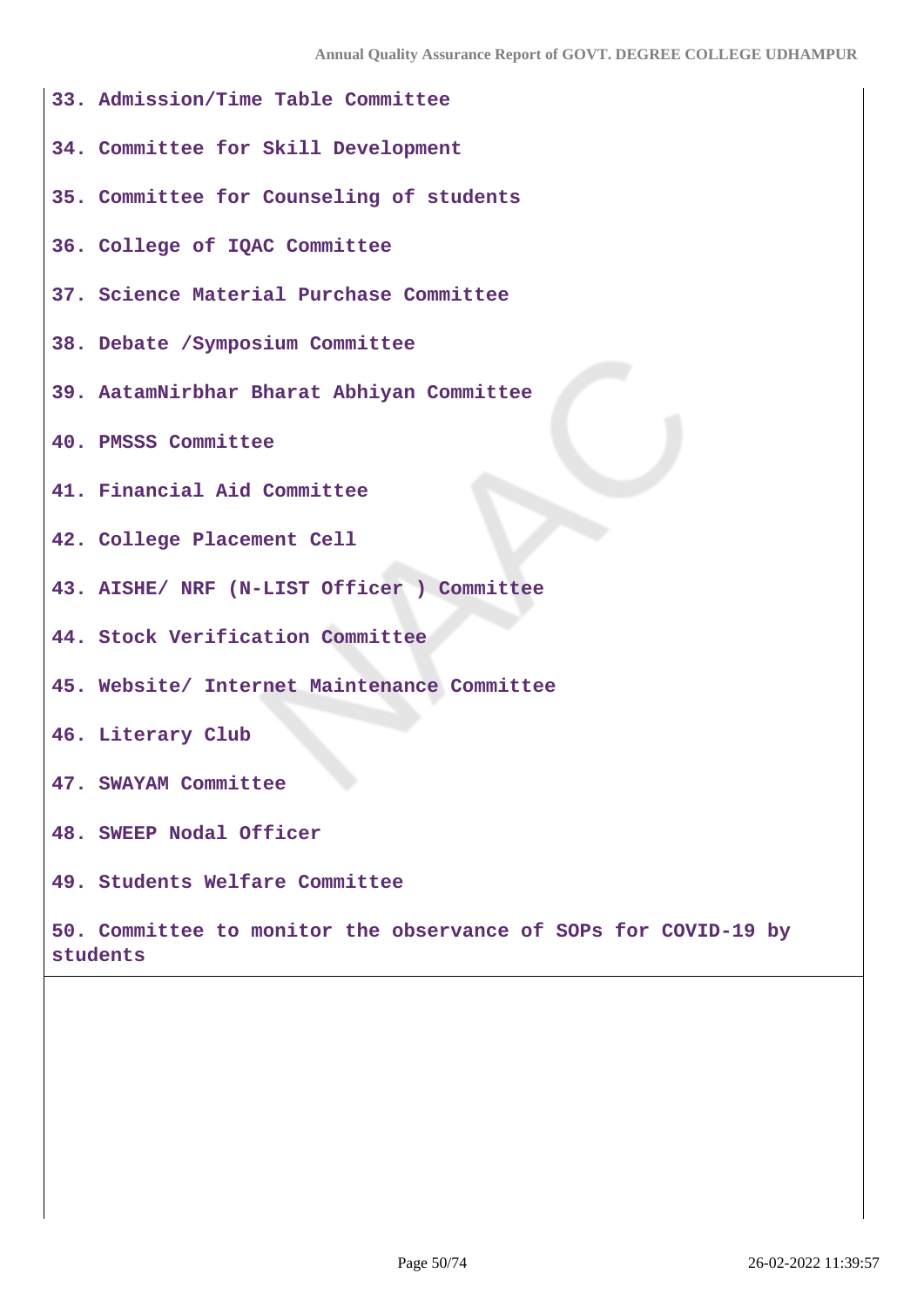- **33. Admission/Time Table Committee**
- **34. Committee for Skill Development**
- **35. Committee for Counseling of students**
- **36. College of IQAC Committee**
- **37. Science Material Purchase Committee**
- **38. Debate /Symposium Committee**
- **39. AatamNirbhar Bharat Abhiyan Committee**
- **40. PMSSS Committee**
- **41. Financial Aid Committee**
- **42. College Placement Cell**
- **43. AISHE/ NRF (N-LIST Officer ) Committee**
- **44. Stock Verification Committee**
- **45. Website/ Internet Maintenance Committee**
- **46. Literary Club**
- **47. SWAYAM Committee**
- **48. SWEEP Nodal Officer**
- **49. Students Welfare Committee**

**50. Committee to monitor the observance of SOPs for COVID-19 by students**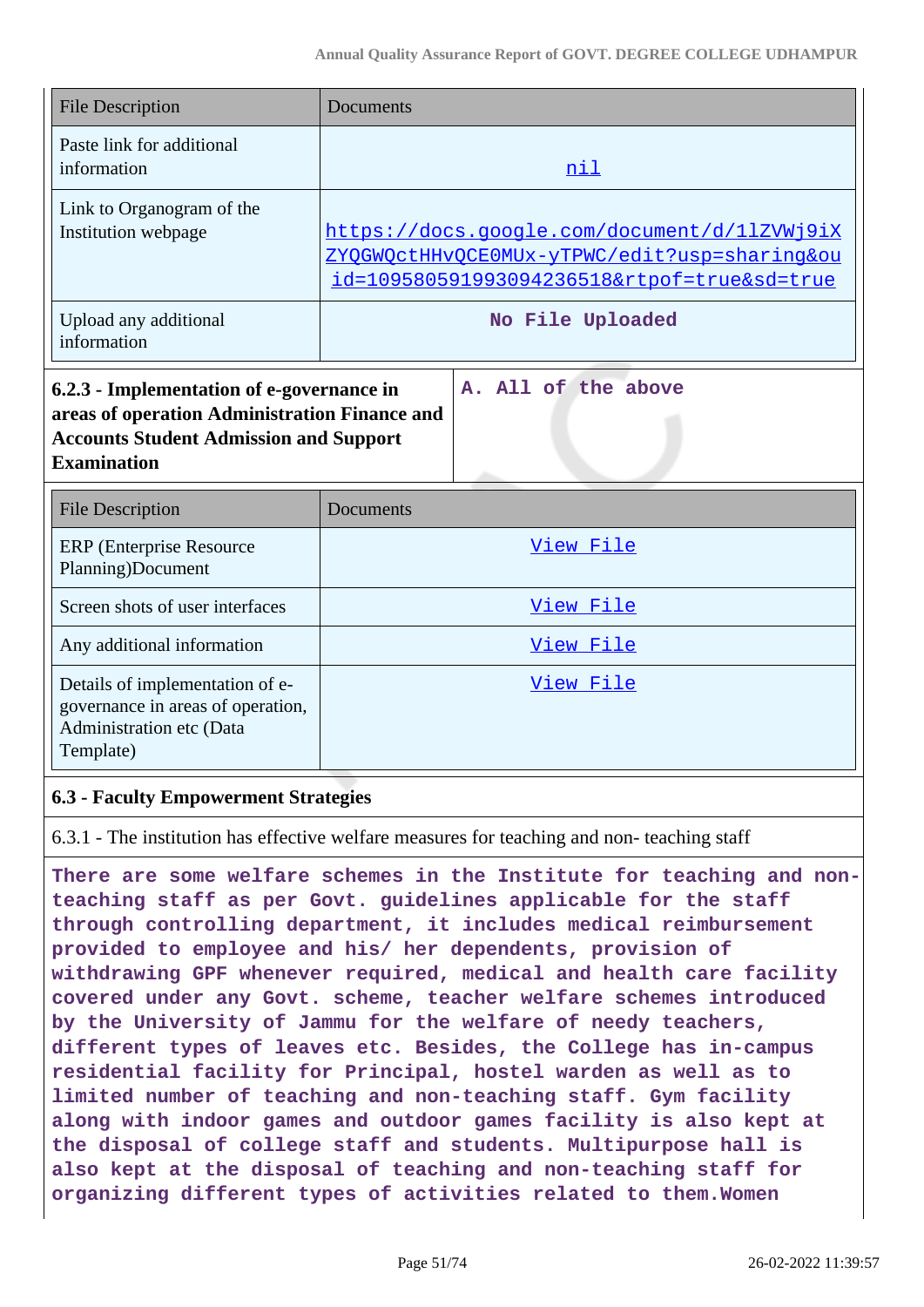| <b>File Description</b>                                                                                                                                           | Documents                                                                                                                                   |
|-------------------------------------------------------------------------------------------------------------------------------------------------------------------|---------------------------------------------------------------------------------------------------------------------------------------------|
| Paste link for additional<br>information                                                                                                                          | <u>nil</u>                                                                                                                                  |
| Link to Organogram of the<br>Institution webpage                                                                                                                  | https://docs.google.com/document/d/11ZVWj9iX<br>ZYQGWQctHHvQCE0MUx-yTPWC/edit?usp=sharing&ou<br>id=109580591993094236518&rtpof=true&sd=true |
| Upload any additional<br>information                                                                                                                              | No File Uploaded                                                                                                                            |
| 6.2.3 - Implementation of e-governance in<br>areas of operation Administration Finance and<br><b>Accounts Student Admission and Support</b><br><b>Examination</b> | A. All of the above                                                                                                                         |
| <b>File Description</b>                                                                                                                                           | <b>Documents</b>                                                                                                                            |
| <b>ERP</b> (Enterprise Resource<br>Planning)Document                                                                                                              | View File                                                                                                                                   |
| Screen shots of user interfaces                                                                                                                                   | View File                                                                                                                                   |
| Any additional information                                                                                                                                        | View File                                                                                                                                   |
| Details of implementation of e-<br>governance in areas of operation,<br>Administration etc (Data<br>Template)                                                     | View File                                                                                                                                   |

## **6.3 - Faculty Empowerment Strategies**

6.3.1 - The institution has effective welfare measures for teaching and non- teaching staff

**There are some welfare schemes in the Institute for teaching and nonteaching staff as per Govt. guidelines applicable for the staff through controlling department, it includes medical reimbursement provided to employee and his/ her dependents, provision of withdrawing GPF whenever required, medical and health care facility covered under any Govt. scheme, teacher welfare schemes introduced by the University of Jammu for the welfare of needy teachers, different types of leaves etc. Besides, the College has in-campus residential facility for Principal, hostel warden as well as to limited number of teaching and non-teaching staff. Gym facility along with indoor games and outdoor games facility is also kept at the disposal of college staff and students. Multipurpose hall is also kept at the disposal of teaching and non-teaching staff for organizing different types of activities related to them.Women**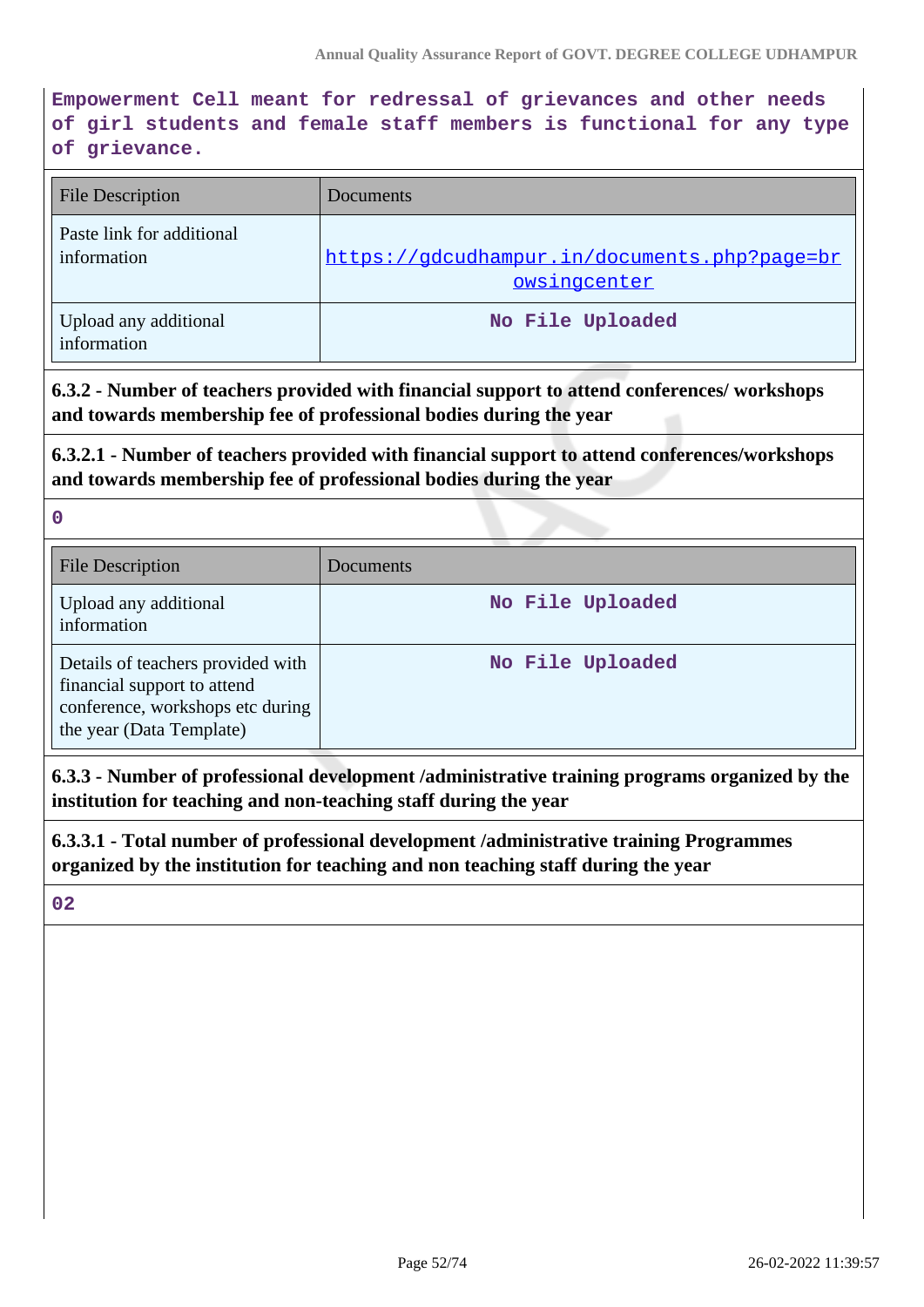**Empowerment Cell meant for redressal of grievances and other needs of girl students and female staff members is functional for any type of grievance.**

| <b>File Description</b>                  | Documents                                                    |
|------------------------------------------|--------------------------------------------------------------|
| Paste link for additional<br>information | https://gdcudhampur.in/documents.php?page=br<br>owsingcenter |
| Upload any additional<br>information     | No File Uploaded                                             |

**6.3.2 - Number of teachers provided with financial support to attend conferences/ workshops and towards membership fee of professional bodies during the year**

**6.3.2.1 - Number of teachers provided with financial support to attend conferences/workshops and towards membership fee of professional bodies during the year**

**0**

| <b>File Description</b>                                                                                                          | Documents        |
|----------------------------------------------------------------------------------------------------------------------------------|------------------|
| Upload any additional<br>information                                                                                             | No File Uploaded |
| Details of teachers provided with<br>financial support to attend<br>conference, workshops etc during<br>the year (Data Template) | No File Uploaded |

**6.3.3 - Number of professional development /administrative training programs organized by the institution for teaching and non-teaching staff during the year**

**6.3.3.1 - Total number of professional development /administrative training Programmes organized by the institution for teaching and non teaching staff during the year**

**02**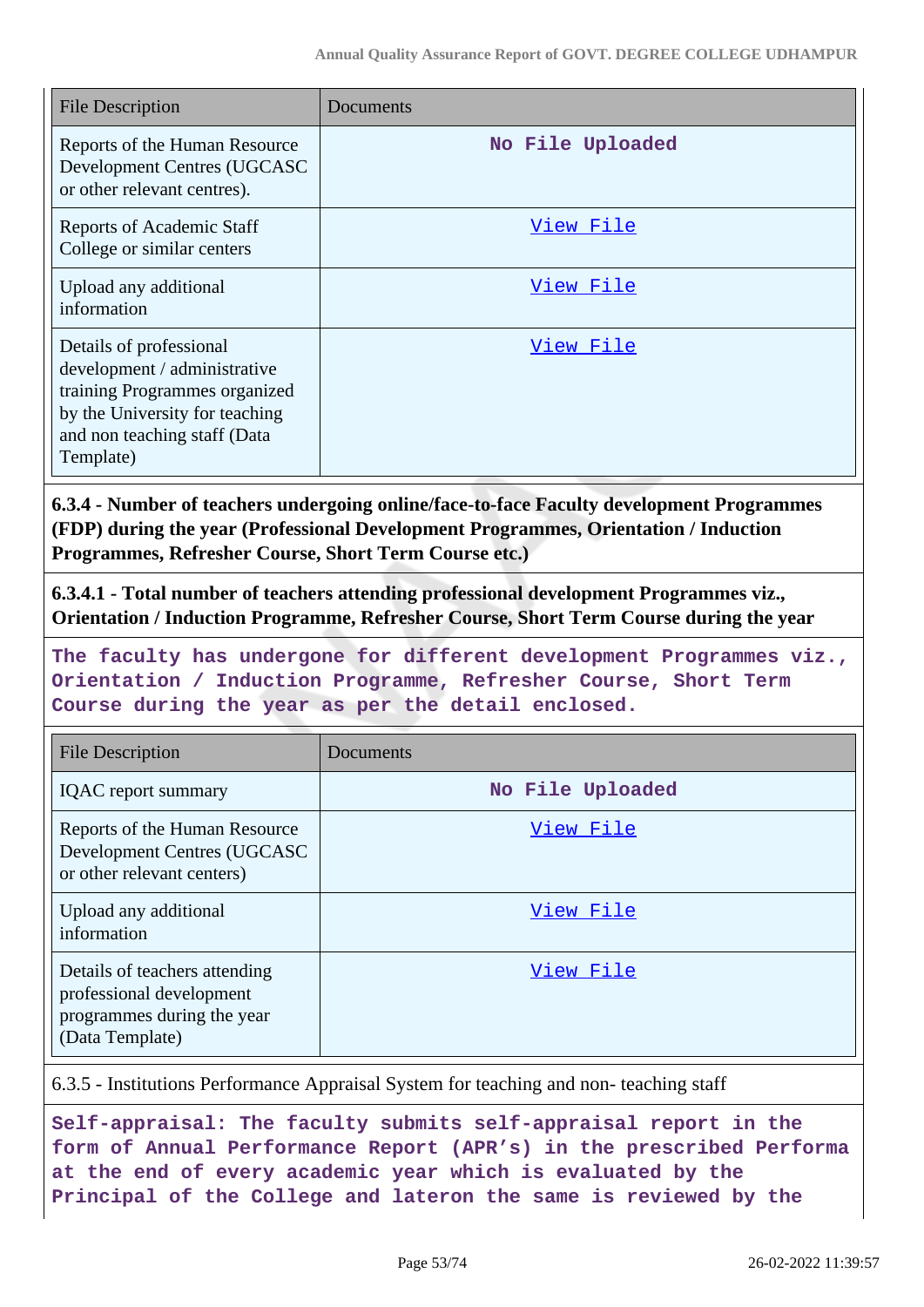| <b>File Description</b>                                                                                                                                                 | Documents        |
|-------------------------------------------------------------------------------------------------------------------------------------------------------------------------|------------------|
| Reports of the Human Resource<br>Development Centres (UGCASC<br>or other relevant centres).                                                                             | No File Uploaded |
| <b>Reports of Academic Staff</b><br>College or similar centers                                                                                                          | View File        |
| Upload any additional<br>information                                                                                                                                    | View File        |
| Details of professional<br>development / administrative<br>training Programmes organized<br>by the University for teaching<br>and non teaching staff (Data<br>Template) | View File        |

**6.3.4 - Number of teachers undergoing online/face-to-face Faculty development Programmes (FDP) during the year (Professional Development Programmes, Orientation / Induction Programmes, Refresher Course, Short Term Course etc.)**

**6.3.4.1 - Total number of teachers attending professional development Programmes viz., Orientation / Induction Programme, Refresher Course, Short Term Course during the year**

**The faculty has undergone for different development Programmes viz., Orientation / Induction Programme, Refresher Course, Short Term Course during the year as per the detail enclosed.**

| <b>File Description</b>                                                                                    | Documents        |
|------------------------------------------------------------------------------------------------------------|------------------|
| <b>IQAC</b> report summary                                                                                 | No File Uploaded |
| Reports of the Human Resource<br>Development Centres (UGCASC<br>or other relevant centers)                 | View File        |
| Upload any additional<br>information                                                                       | View File        |
| Details of teachers attending<br>professional development<br>programmes during the year<br>(Data Template) | View File        |

6.3.5 - Institutions Performance Appraisal System for teaching and non- teaching staff

**Self-appraisal: The faculty submits self-appraisal report in the form of Annual Performance Report (APR's) in the prescribed Performa at the end of every academic year which is evaluated by the Principal of the College and lateron the same is reviewed by the**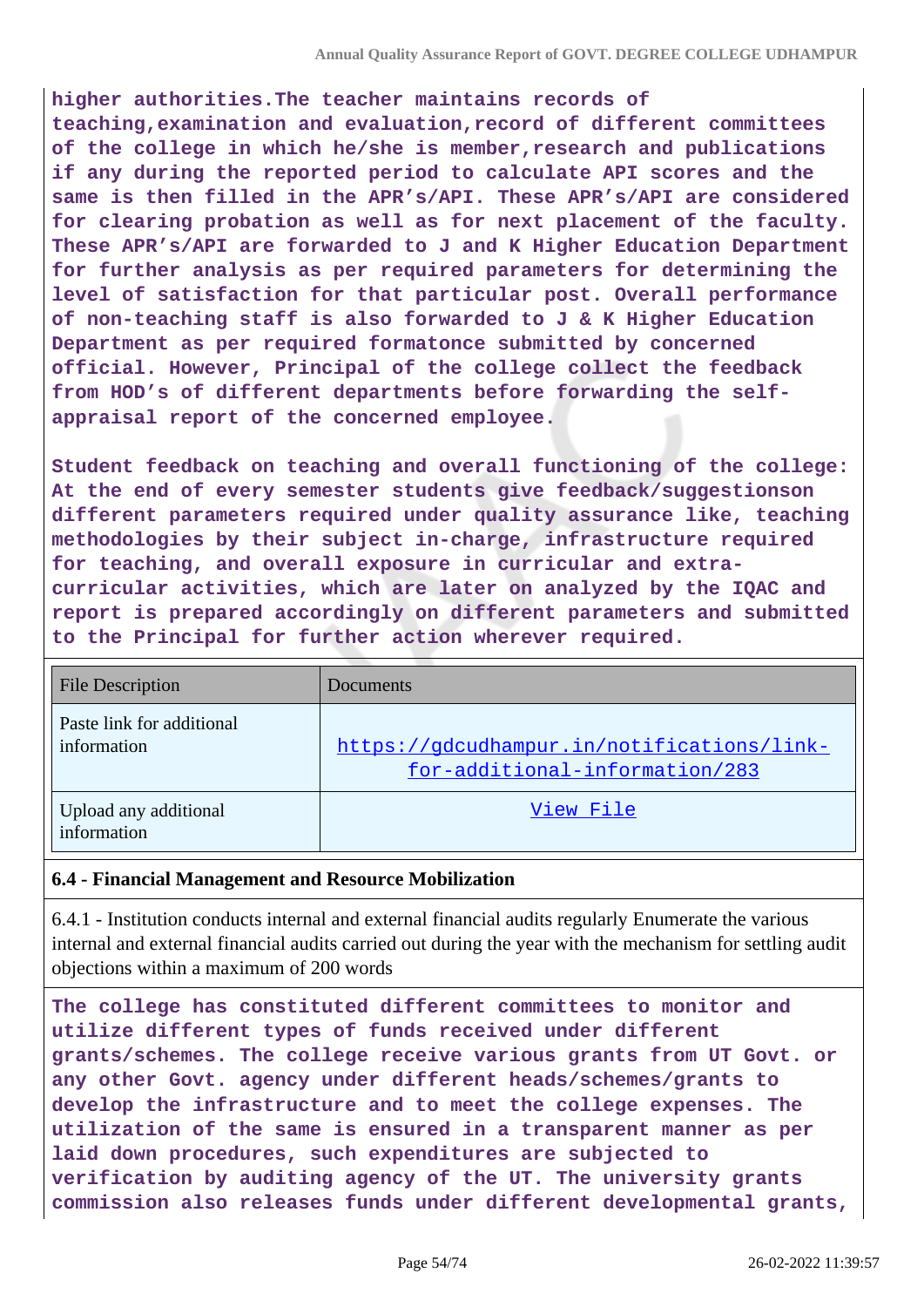**higher authorities.The teacher maintains records of teaching,examination and evaluation,record of different committees of the college in which he/she is member,research and publications if any during the reported period to calculate API scores and the same is then filled in the APR's/API. These APR's/API are considered for clearing probation as well as for next placement of the faculty. These APR's/API are forwarded to J and K Higher Education Department for further analysis as per required parameters for determining the level of satisfaction for that particular post. Overall performance of non-teaching staff is also forwarded to J & K Higher Education Department as per required formatonce submitted by concerned official. However, Principal of the college collect the feedback from HOD's of different departments before forwarding the selfappraisal report of the concerned employee.**

**Student feedback on teaching and overall functioning of the college: At the end of every semester students give feedback/suggestionson different parameters required under quality assurance like, teaching methodologies by their subject in-charge, infrastructure required for teaching, and overall exposure in curricular and extracurricular activities, which are later on analyzed by the IQAC and report is prepared accordingly on different parameters and submitted to the Principal for further action wherever required.**

| <b>File Description</b>                  | <b>Documents</b>                                                             |
|------------------------------------------|------------------------------------------------------------------------------|
| Paste link for additional<br>information | https://gdcudhampur.in/notifications/link-<br>for-additional-information/283 |
| Upload any additional<br>information     | View File                                                                    |

## **6.4 - Financial Management and Resource Mobilization**

6.4.1 - Institution conducts internal and external financial audits regularly Enumerate the various internal and external financial audits carried out during the year with the mechanism for settling audit objections within a maximum of 200 words

**The college has constituted different committees to monitor and utilize different types of funds received under different grants/schemes. The college receive various grants from UT Govt. or any other Govt. agency under different heads/schemes/grants to develop the infrastructure and to meet the college expenses. The utilization of the same is ensured in a transparent manner as per laid down procedures, such expenditures are subjected to verification by auditing agency of the UT. The university grants commission also releases funds under different developmental grants,**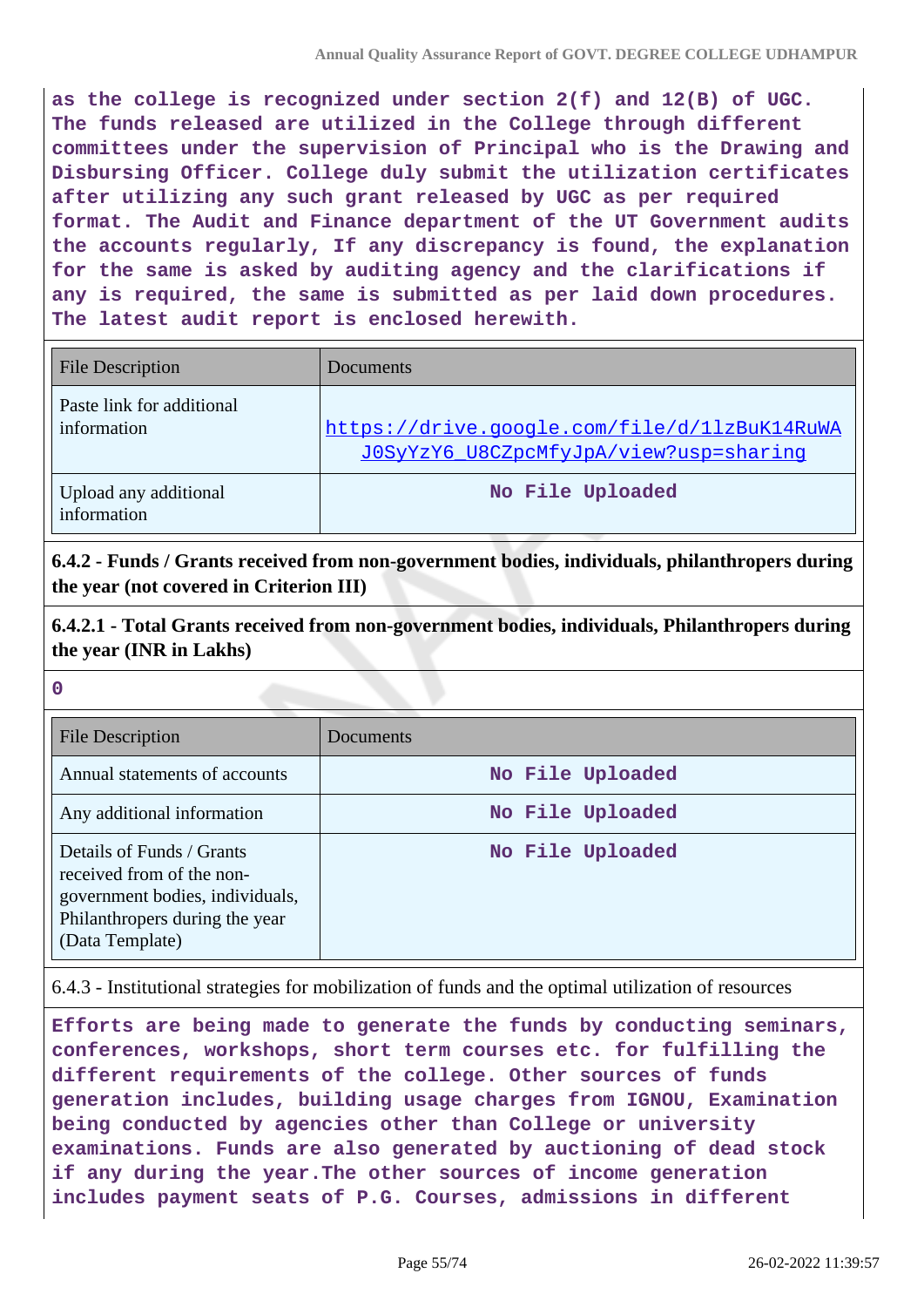**as the college is recognized under section 2(f) and 12(B) of UGC. The funds released are utilized in the College through different committees under the supervision of Principal who is the Drawing and Disbursing Officer. College duly submit the utilization certificates after utilizing any such grant released by UGC as per required format. The Audit and Finance department of the UT Government audits the accounts regularly, If any discrepancy is found, the explanation for the same is asked by auditing agency and the clarifications if any is required, the same is submitted as per laid down procedures. The latest audit report is enclosed herewith.**

| <b>File Description</b>                  | Documents                                                                              |
|------------------------------------------|----------------------------------------------------------------------------------------|
| Paste link for additional<br>information | https://drive.google.com/file/d/11zBuK14RuWA<br>JOSyYzY6 U8CZpcMfyJpA/view?usp=sharing |
| Upload any additional<br>information     | No File Uploaded                                                                       |

**6.4.2 - Funds / Grants received from non-government bodies, individuals, philanthropers during the year (not covered in Criterion III)**

**6.4.2.1 - Total Grants received from non-government bodies, individuals, Philanthropers during the year (INR in Lakhs)**

**0**

| <b>File Description</b>                                                                                                                        | Documents        |
|------------------------------------------------------------------------------------------------------------------------------------------------|------------------|
| Annual statements of accounts                                                                                                                  | No File Uploaded |
| Any additional information                                                                                                                     | No File Uploaded |
| Details of Funds / Grants<br>received from of the non-<br>government bodies, individuals,<br>Philanthropers during the year<br>(Data Template) | No File Uploaded |

6.4.3 - Institutional strategies for mobilization of funds and the optimal utilization of resources

**Efforts are being made to generate the funds by conducting seminars, conferences, workshops, short term courses etc. for fulfilling the different requirements of the college. Other sources of funds generation includes, building usage charges from IGNOU, Examination being conducted by agencies other than College or university examinations. Funds are also generated by auctioning of dead stock if any during the year.The other sources of income generation includes payment seats of P.G. Courses, admissions in different**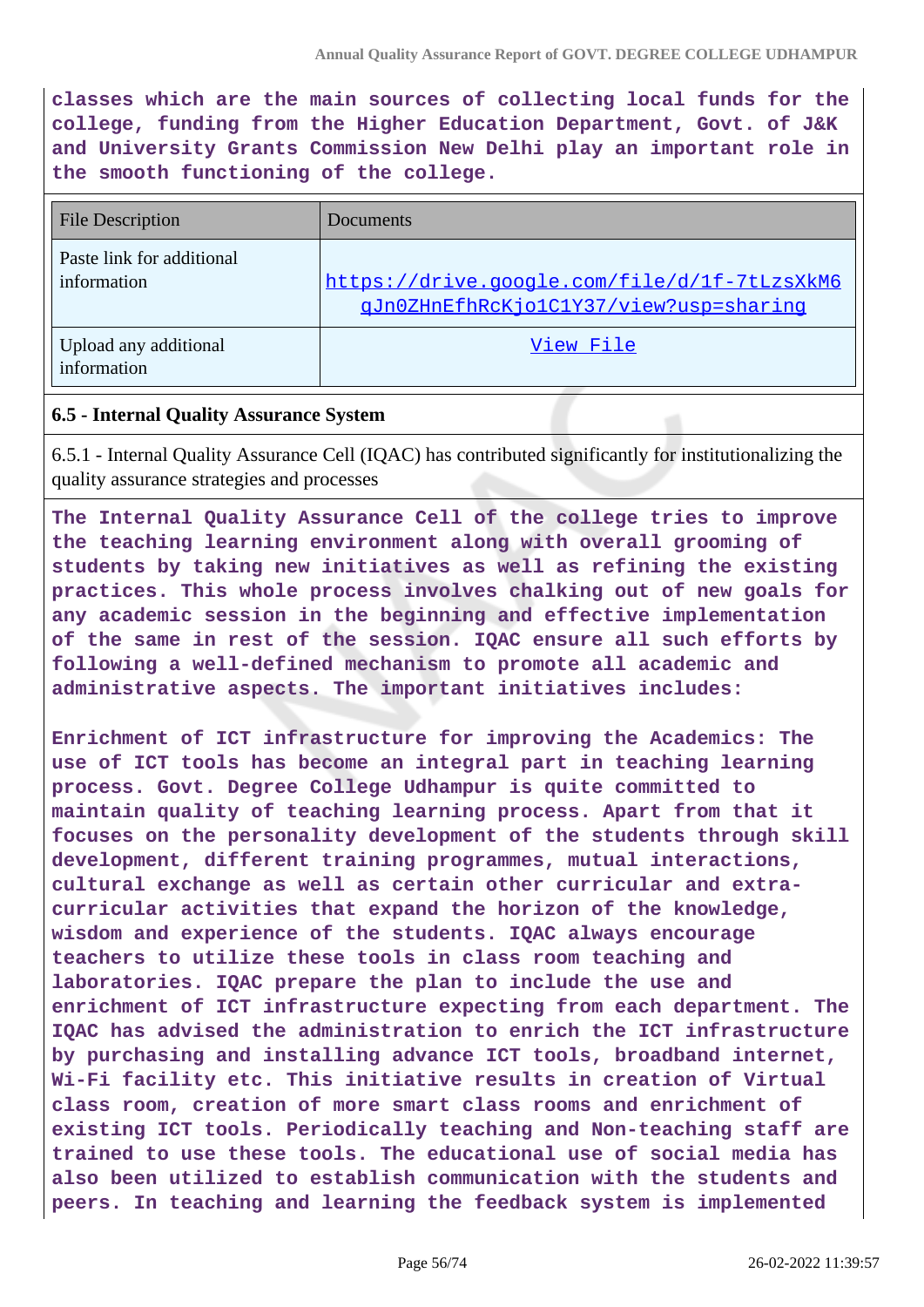**classes which are the main sources of collecting local funds for the college, funding from the Higher Education Department, Govt. of J&K and University Grants Commission New Delhi play an important role in the smooth functioning of the college.**

| <b>File Description</b>                  | Documents                                                                              |
|------------------------------------------|----------------------------------------------------------------------------------------|
| Paste link for additional<br>information | https://drive.google.com/file/d/1f-7tLzsXkM6<br>gJn0ZHnEfhRcKjo1C1Y37/view?usp=sharing |
| Upload any additional<br>information     | View File                                                                              |

## **6.5 - Internal Quality Assurance System**

6.5.1 - Internal Quality Assurance Cell (IQAC) has contributed significantly for institutionalizing the quality assurance strategies and processes

**The Internal Quality Assurance Cell of the college tries to improve the teaching learning environment along with overall grooming of students by taking new initiatives as well as refining the existing practices. This whole process involves chalking out of new goals for any academic session in the beginning and effective implementation of the same in rest of the session. IQAC ensure all such efforts by following a well-defined mechanism to promote all academic and administrative aspects. The important initiatives includes:**

**Enrichment of ICT infrastructure for improving the Academics: The use of ICT tools has become an integral part in teaching learning process. Govt. Degree College Udhampur is quite committed to maintain quality of teaching learning process. Apart from that it focuses on the personality development of the students through skill development, different training programmes, mutual interactions, cultural exchange as well as certain other curricular and extracurricular activities that expand the horizon of the knowledge, wisdom and experience of the students. IQAC always encourage teachers to utilize these tools in class room teaching and laboratories. IQAC prepare the plan to include the use and enrichment of ICT infrastructure expecting from each department. The IQAC has advised the administration to enrich the ICT infrastructure by purchasing and installing advance ICT tools, broadband internet, Wi-Fi facility etc. This initiative results in creation of Virtual class room, creation of more smart class rooms and enrichment of existing ICT tools. Periodically teaching and Non-teaching staff are trained to use these tools. The educational use of social media has also been utilized to establish communication with the students and peers. In teaching and learning the feedback system is implemented**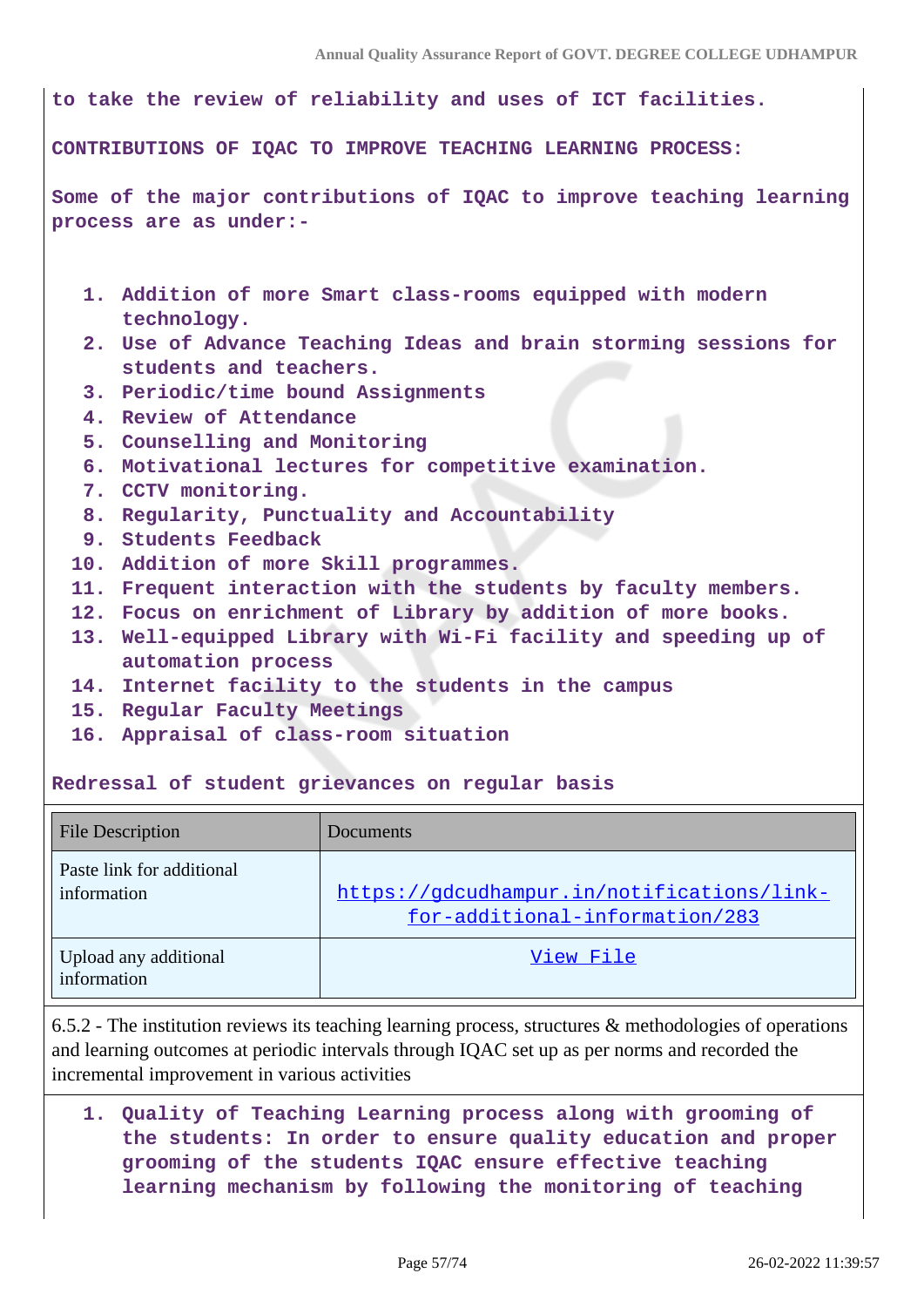| to take the review of reliability and uses of ICT facilities.                                  |  |  |  |  |
|------------------------------------------------------------------------------------------------|--|--|--|--|
| CONTRIBUTIONS OF IQAC TO IMPROVE TEACHING LEARNING PROCESS:                                    |  |  |  |  |
| Some of the major contributions of IQAC to improve teaching learning<br>process are as under:- |  |  |  |  |
| 1. Addition of more Smart class-rooms equipped with modern<br>technology.                      |  |  |  |  |
| 2. Use of Advance Teaching Ideas and brain storming sessions for<br>students and teachers.     |  |  |  |  |
| 3. Periodic/time bound Assignments                                                             |  |  |  |  |
| 4. Review of Attendance                                                                        |  |  |  |  |
| 5. Counselling and Monitoring                                                                  |  |  |  |  |
| 6. Motivational lectures for competitive examination.                                          |  |  |  |  |
| 7. CCTV monitoring.                                                                            |  |  |  |  |
| 8. Regularity, Punctuality and Accountability                                                  |  |  |  |  |
| 9. Students Feedback                                                                           |  |  |  |  |
| 10. Addition of more Skill programmes.                                                         |  |  |  |  |
| 11. Frequent interaction with the students by faculty members.                                 |  |  |  |  |
| 12. Focus on enrichment of Library by addition of more books.                                  |  |  |  |  |
| 13. Well-equipped Library with Wi-Fi facility and speeding up of                               |  |  |  |  |
| automation process                                                                             |  |  |  |  |
| 14. Internet facility to the students in the campus                                            |  |  |  |  |
| 15. Regular Faculty Meetings                                                                   |  |  |  |  |
| 16. Appraisal of class-room situation                                                          |  |  |  |  |
| Redressal of student grievances on regular basis                                               |  |  |  |  |

| <b>File Description</b>                  | <b>Documents</b>                                                             |
|------------------------------------------|------------------------------------------------------------------------------|
| Paste link for additional<br>information | https://gdcudhampur.in/notifications/link-<br>for-additional-information/283 |
| Upload any additional<br>information     | View File                                                                    |

6.5.2 - The institution reviews its teaching learning process, structures & methodologies of operations and learning outcomes at periodic intervals through IQAC set up as per norms and recorded the incremental improvement in various activities

**1. Quality of Teaching Learning process along with grooming of the students: In order to ensure quality education and proper grooming of the students IQAC ensure effective teaching learning mechanism by following the monitoring of teaching**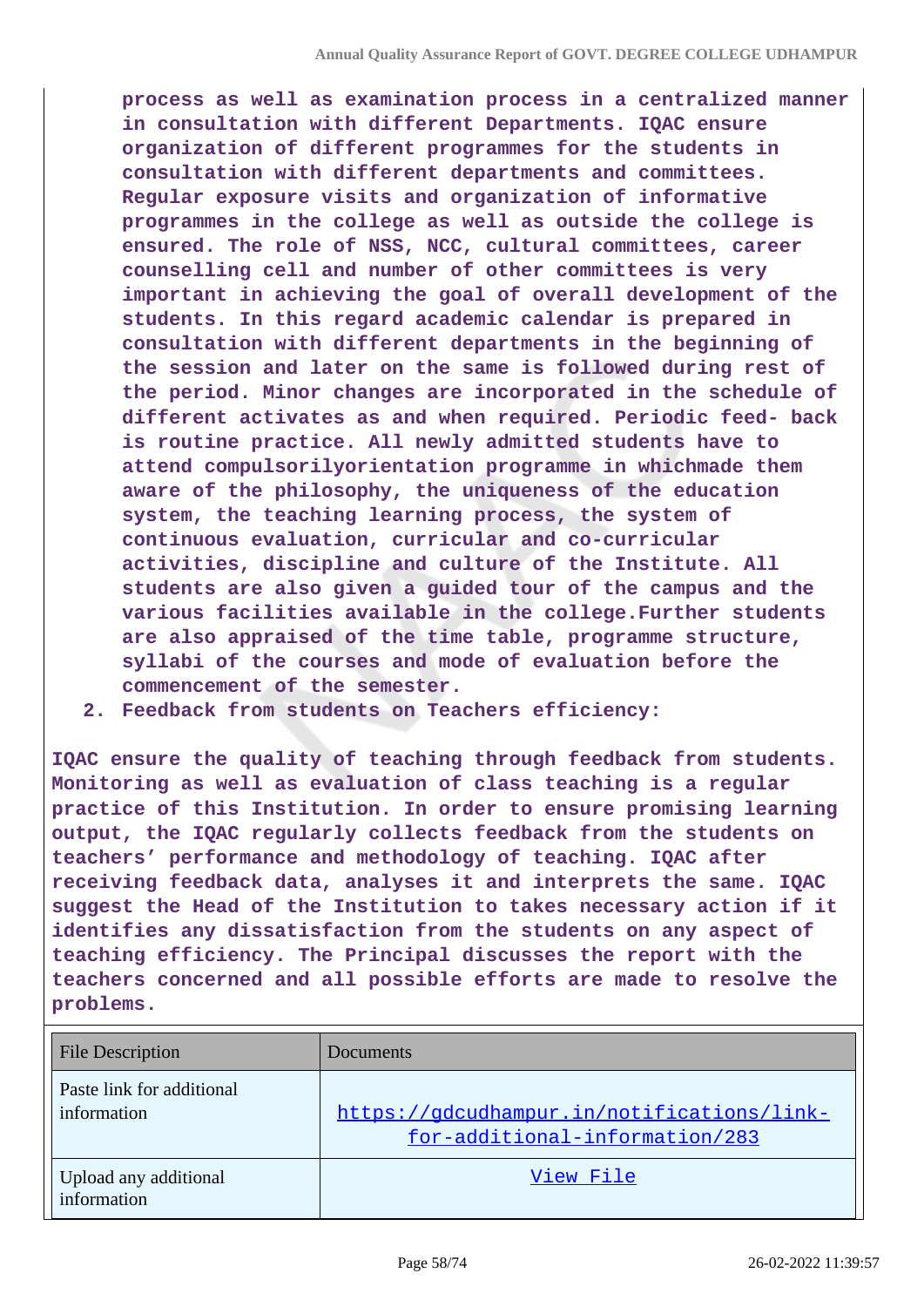**process as well as examination process in a centralized manner in consultation with different Departments. IQAC ensure organization of different programmes for the students in consultation with different departments and committees. Regular exposure visits and organization of informative programmes in the college as well as outside the college is ensured. The role of NSS, NCC, cultural committees, career counselling cell and number of other committees is very important in achieving the goal of overall development of the students. In this regard academic calendar is prepared in consultation with different departments in the beginning of the session and later on the same is followed during rest of the period. Minor changes are incorporated in the schedule of different activates as and when required. Periodic feed- back is routine practice. All newly admitted students have to attend compulsorilyorientation programme in whichmade them aware of the philosophy, the uniqueness of the education system, the teaching learning process, the system of continuous evaluation, curricular and co-curricular activities, discipline and culture of the Institute. All students are also given a guided tour of the campus and the various facilities available in the college.Further students are also appraised of the time table, programme structure, syllabi of the courses and mode of evaluation before the commencement of the semester.**

**2. Feedback from students on Teachers efficiency:**

**IQAC ensure the quality of teaching through feedback from students. Monitoring as well as evaluation of class teaching is a regular practice of this Institution. In order to ensure promising learning output, the IQAC regularly collects feedback from the students on teachers' performance and methodology of teaching. IQAC after receiving feedback data, analyses it and interprets the same. IQAC suggest the Head of the Institution to takes necessary action if it identifies any dissatisfaction from the students on any aspect of teaching efficiency. The Principal discusses the report with the teachers concerned and all possible efforts are made to resolve the problems.**

| <b>File Description</b>                  | <b>Documents</b>                                                             |
|------------------------------------------|------------------------------------------------------------------------------|
| Paste link for additional<br>information | https://gdcudhampur.in/notifications/link-<br>for-additional-information/283 |
| Upload any additional<br>information     | View File                                                                    |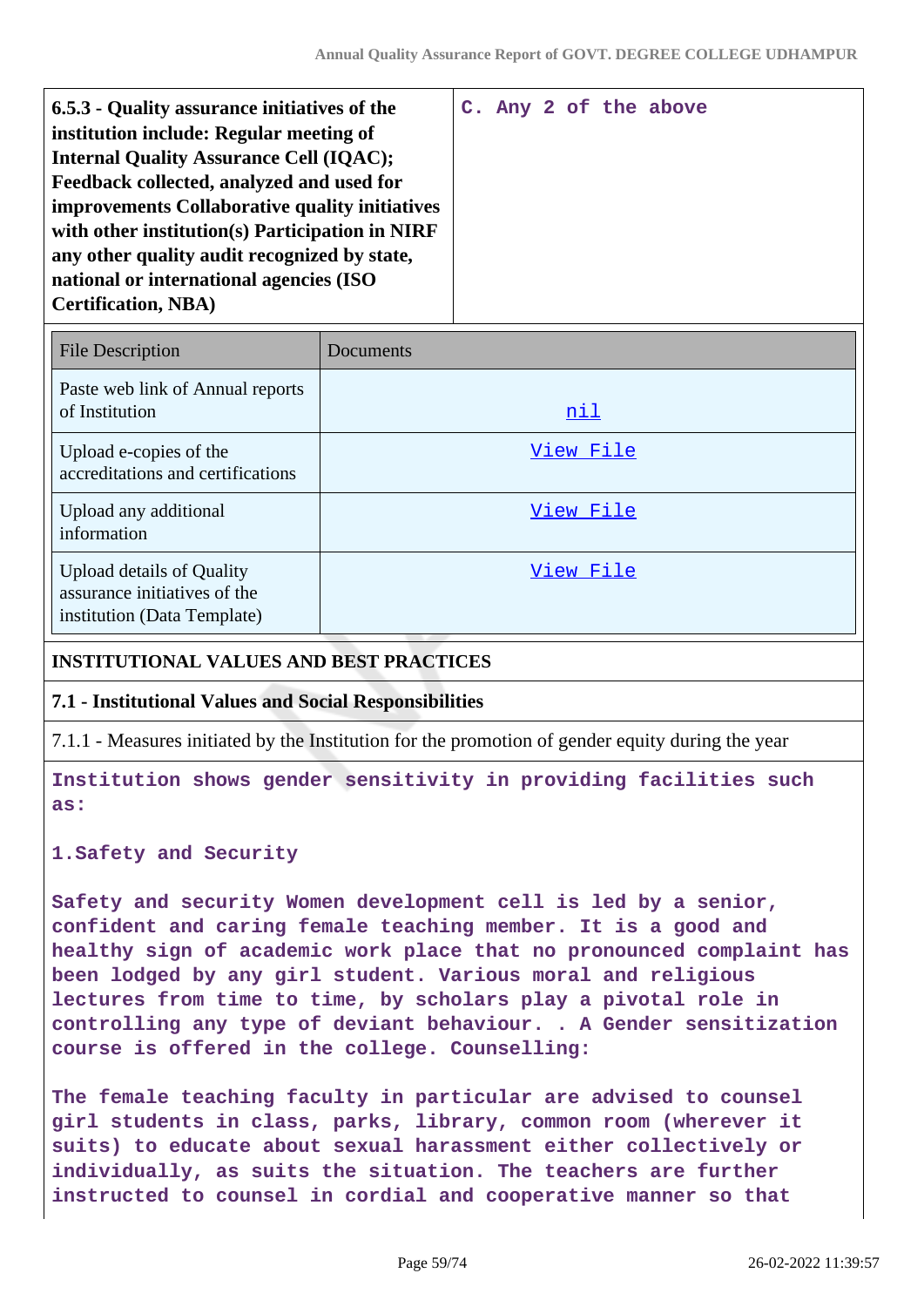| 6.5.3 - Quality assurance initiatives of the    |  |  | C. Any 2 of the above |
|-------------------------------------------------|--|--|-----------------------|
| institution include: Regular meeting of         |  |  |                       |
|                                                 |  |  |                       |
| <b>Internal Quality Assurance Cell (IQAC);</b>  |  |  |                       |
| Feedback collected, analyzed and used for       |  |  |                       |
| improvements Collaborative quality initiatives  |  |  |                       |
| with other institution(s) Participation in NIRF |  |  |                       |
| any other quality audit recognized by state,    |  |  |                       |
| national or international agencies (ISO         |  |  |                       |
| <b>Certification, NBA)</b>                      |  |  |                       |
|                                                 |  |  |                       |

| <b>File Description</b>                                                                         | Documents  |
|-------------------------------------------------------------------------------------------------|------------|
| Paste web link of Annual reports<br>of Institution                                              | <u>nil</u> |
| Upload e-copies of the<br>accreditations and certifications                                     | View File  |
| Upload any additional<br>information                                                            | View File  |
| <b>Upload details of Quality</b><br>assurance initiatives of the<br>institution (Data Template) | View File  |

### **INSTITUTIONAL VALUES AND BEST PRACTICES**

### **7.1 - Institutional Values and Social Responsibilities**

7.1.1 - Measures initiated by the Institution for the promotion of gender equity during the year

**Institution shows gender sensitivity in providing facilities such as:**

**1.Safety and Security**

**Safety and security Women development cell is led by a senior, confident and caring female teaching member. It is a good and healthy sign of academic work place that no pronounced complaint has been lodged by any girl student. Various moral and religious lectures from time to time, by scholars play a pivotal role in controlling any type of deviant behaviour. . A Gender sensitization course is offered in the college. Counselling:**

**The female teaching faculty in particular are advised to counsel girl students in class, parks, library, common room (wherever it suits) to educate about sexual harassment either collectively or individually, as suits the situation. The teachers are further instructed to counsel in cordial and cooperative manner so that**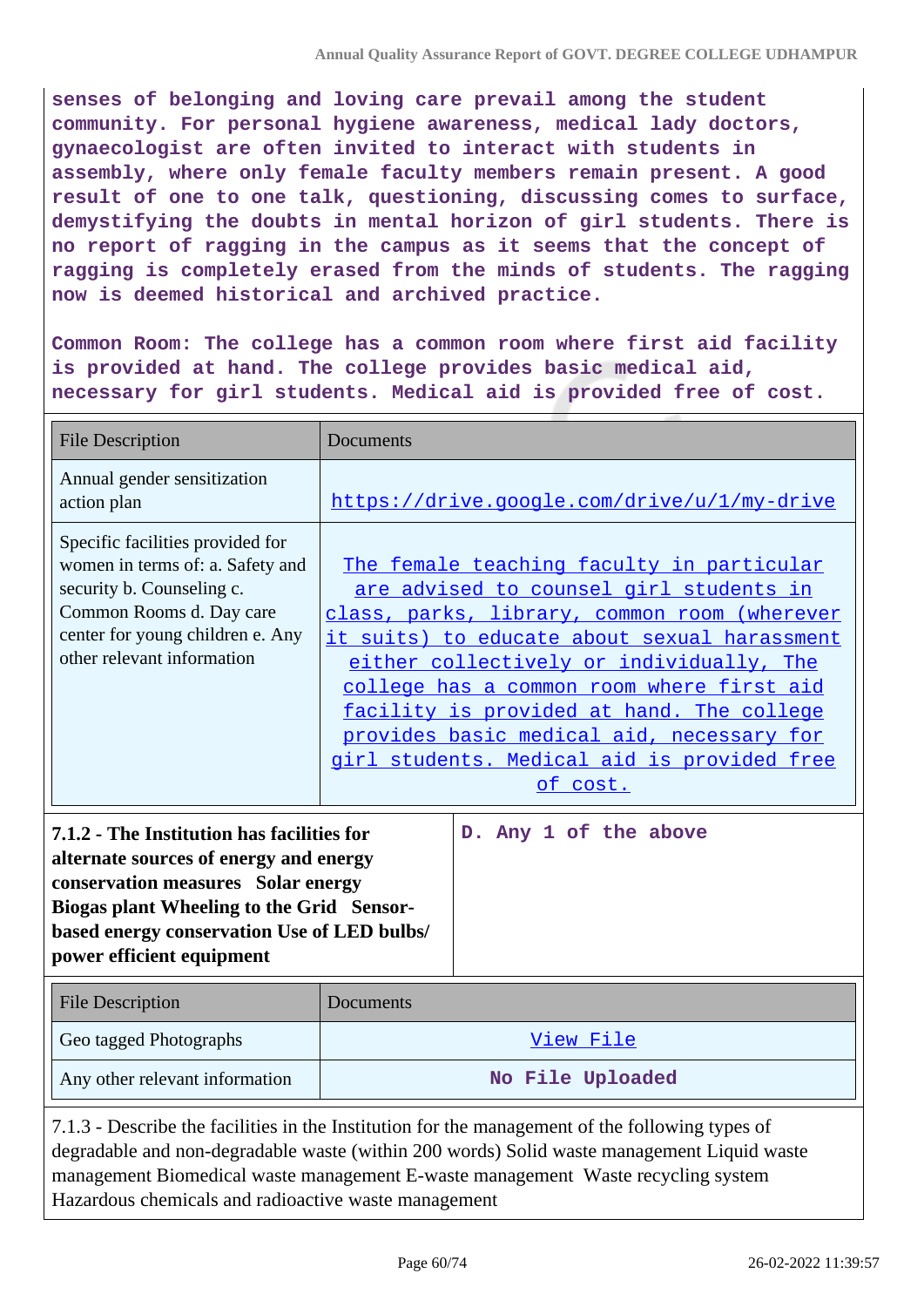**senses of belonging and loving care prevail among the student community. For personal hygiene awareness, medical lady doctors, gynaecologist are often invited to interact with students in assembly, where only female faculty members remain present. A good result of one to one talk, questioning, discussing comes to surface, demystifying the doubts in mental horizon of girl students. There is no report of ragging in the campus as it seems that the concept of ragging is completely erased from the minds of students. The ragging now is deemed historical and archived practice.**

**Common Room: The college has a common room where first aid facility is provided at hand. The college provides basic medical aid, necessary for girl students. Medical aid is provided free of cost.**

| <b>File Description</b>                                                                                                                                                                                                                                                                                                                                                                                                                                | <b>Documents</b>                                                                                                                                                                                                                                                                                                                                                                                                                                            |
|--------------------------------------------------------------------------------------------------------------------------------------------------------------------------------------------------------------------------------------------------------------------------------------------------------------------------------------------------------------------------------------------------------------------------------------------------------|-------------------------------------------------------------------------------------------------------------------------------------------------------------------------------------------------------------------------------------------------------------------------------------------------------------------------------------------------------------------------------------------------------------------------------------------------------------|
| Annual gender sensitization<br>action plan                                                                                                                                                                                                                                                                                                                                                                                                             | https://drive.google.com/drive/u/1/my-drive                                                                                                                                                                                                                                                                                                                                                                                                                 |
| Specific facilities provided for<br>women in terms of: a. Safety and<br>security b. Counseling c.<br>Common Rooms d. Day care<br>center for young children e. Any<br>other relevant information<br>7.1.2 - The Institution has facilities for<br>alternate sources of energy and energy<br>conservation measures Solar energy<br>Biogas plant Wheeling to the Grid Sensor-<br>based energy conservation Use of LED bulbs/<br>power efficient equipment | The female teaching faculty in particular<br>are advised to counsel girl students in<br>class, parks, library, common room (wherever<br>it suits) to educate about sexual harassment<br>either collectively or individually, The<br>college has a common room where first aid<br>facility is provided at hand. The college<br>provides basic medical aid, necessary for<br>girl students. Medical aid is provided free<br>of cost.<br>D. Any 1 of the above |
| <b>File Description</b>                                                                                                                                                                                                                                                                                                                                                                                                                                | Documents                                                                                                                                                                                                                                                                                                                                                                                                                                                   |
| Geo tagged Photographs                                                                                                                                                                                                                                                                                                                                                                                                                                 | View File                                                                                                                                                                                                                                                                                                                                                                                                                                                   |
| Any other relevant information                                                                                                                                                                                                                                                                                                                                                                                                                         | No File Uploaded                                                                                                                                                                                                                                                                                                                                                                                                                                            |
| 7.1.3 - Describe the facilities in the Institution for the management of the following types of<br>degradable and non-degradable waste (within 200 words) Solid waste management Liquid waste                                                                                                                                                                                                                                                          |                                                                                                                                                                                                                                                                                                                                                                                                                                                             |

management Biomedical waste management E-waste management Waste recycling system Hazardous chemicals and radioactive waste management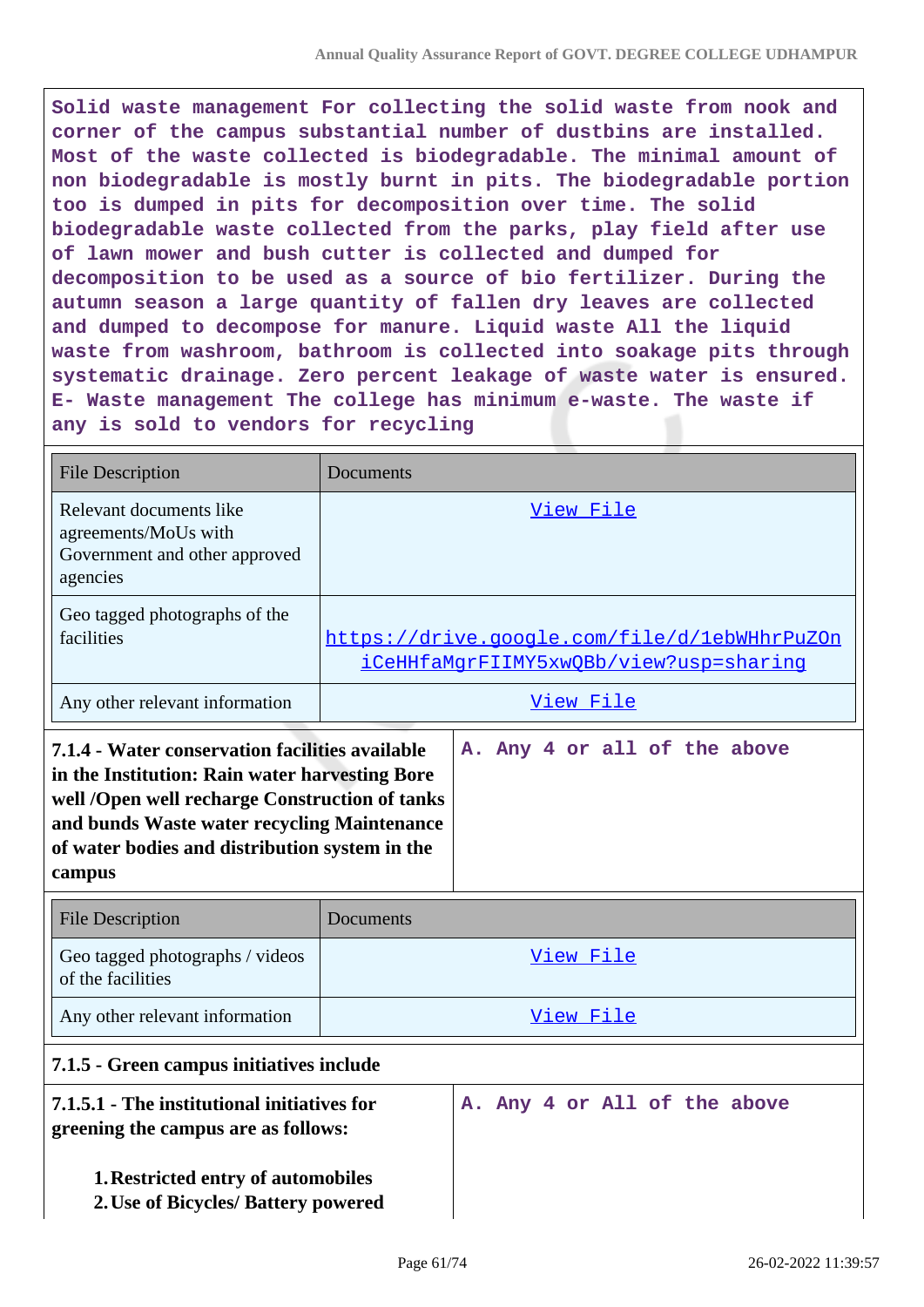**Solid waste management For collecting the solid waste from nook and corner of the campus substantial number of dustbins are installed. Most of the waste collected is biodegradable. The minimal amount of non biodegradable is mostly burnt in pits. The biodegradable portion too is dumped in pits for decomposition over time. The solid biodegradable waste collected from the parks, play field after use of lawn mower and bush cutter is collected and dumped for decomposition to be used as a source of bio fertilizer. During the autumn season a large quantity of fallen dry leaves are collected and dumped to decompose for manure. Liquid waste All the liquid waste from washroom, bathroom is collected into soakage pits through systematic drainage. Zero percent leakage of waste water is ensured. E- Waste management The college has minimum e-waste. The waste if any is sold to vendors for recycling**

| <b>File Description</b>                                                                                                                                                                                                                                        | Documents                                                                              |
|----------------------------------------------------------------------------------------------------------------------------------------------------------------------------------------------------------------------------------------------------------------|----------------------------------------------------------------------------------------|
| Relevant documents like<br>agreements/MoUs with<br>Government and other approved<br>agencies                                                                                                                                                                   | View File                                                                              |
| Geo tagged photographs of the<br>facilities                                                                                                                                                                                                                    | https://drive.google.com/file/d/1ebWHhrPuZOn<br>iCeHHfaMqrFIIMY5xwOBb/view?usp=sharinq |
| Any other relevant information                                                                                                                                                                                                                                 | View File                                                                              |
| 7.1.4 - Water conservation facilities available<br>in the Institution: Rain water harvesting Bore<br>well /Open well recharge Construction of tanks<br>and bunds Waste water recycling Maintenance<br>of water bodies and distribution system in the<br>campus | A. Any 4 or all of the above                                                           |
| <b>File Description</b>                                                                                                                                                                                                                                        | Documents                                                                              |
| Geo tagged photographs / videos<br>of the facilities                                                                                                                                                                                                           | View File                                                                              |
| Any other relevant information                                                                                                                                                                                                                                 | View File                                                                              |
| 7.1.5 - Green campus initiatives include                                                                                                                                                                                                                       |                                                                                        |
| 7.1.5.1 - The institutional initiatives for<br>greening the campus are as follows:                                                                                                                                                                             | A. Any 4 or All of the above                                                           |
| 1. Restricted entry of automobiles<br>2. Use of Bicycles/ Battery powered                                                                                                                                                                                      |                                                                                        |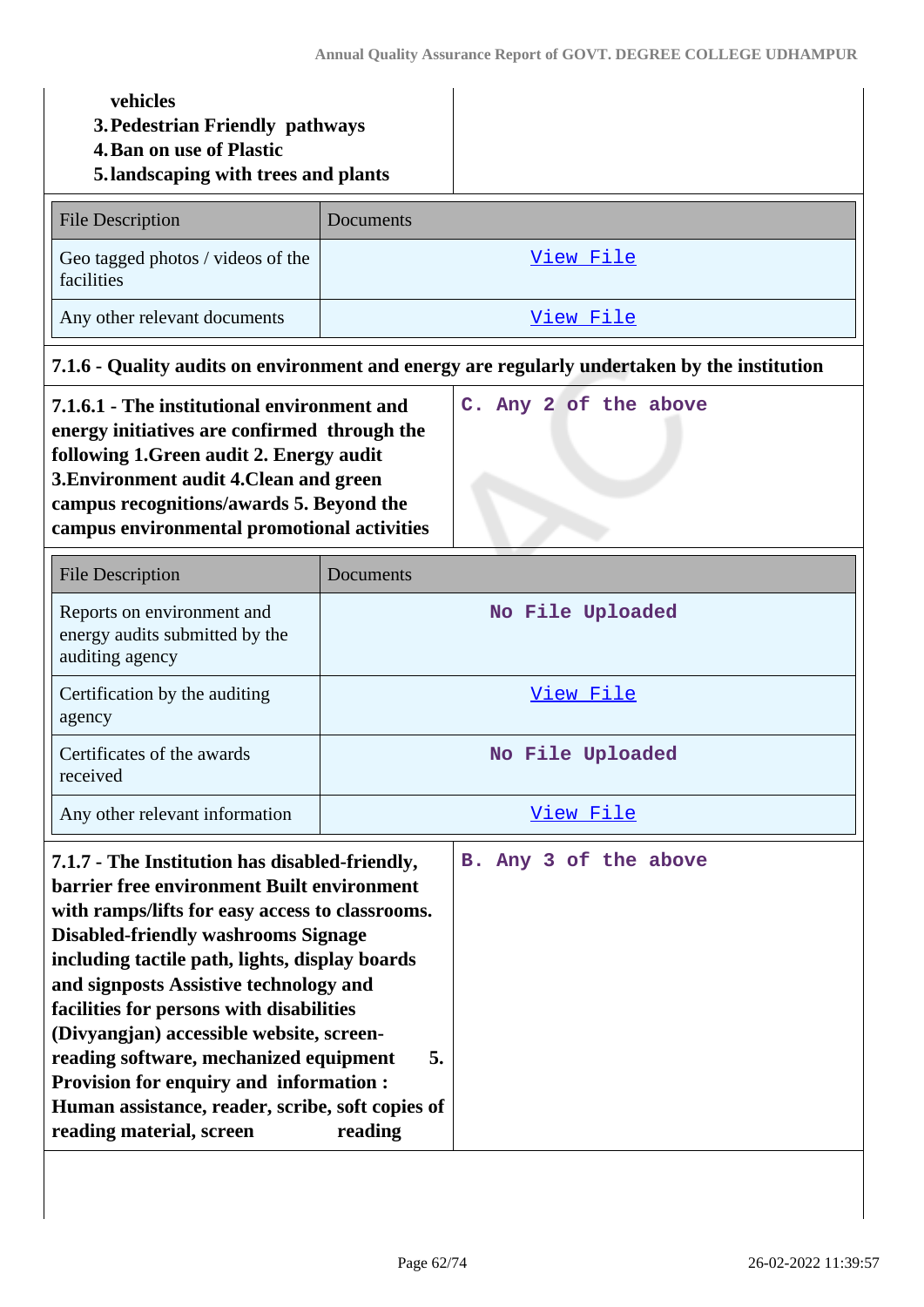| vehicles<br>3. Pedestrian Friendly pathways<br><b>4. Ban on use of Plastic</b><br>5.landscaping with trees and plants                                                                                                                                                                                                                                                                                                                                                                                                                                                                                  |                                                                                              |
|--------------------------------------------------------------------------------------------------------------------------------------------------------------------------------------------------------------------------------------------------------------------------------------------------------------------------------------------------------------------------------------------------------------------------------------------------------------------------------------------------------------------------------------------------------------------------------------------------------|----------------------------------------------------------------------------------------------|
| <b>File Description</b>                                                                                                                                                                                                                                                                                                                                                                                                                                                                                                                                                                                | Documents                                                                                    |
| Geo tagged photos / videos of the<br>facilities                                                                                                                                                                                                                                                                                                                                                                                                                                                                                                                                                        | View File                                                                                    |
| Any other relevant documents                                                                                                                                                                                                                                                                                                                                                                                                                                                                                                                                                                           | View File                                                                                    |
|                                                                                                                                                                                                                                                                                                                                                                                                                                                                                                                                                                                                        | 7.1.6 - Quality audits on environment and energy are regularly undertaken by the institution |
| 7.1.6.1 - The institutional environment and<br>energy initiatives are confirmed through the<br>following 1. Green audit 2. Energy audit<br>3. Environment audit 4. Clean and green<br>campus recognitions/awards 5. Beyond the<br>campus environmental promotional activities                                                                                                                                                                                                                                                                                                                          | C. Any 2 of the above                                                                        |
| <b>File Description</b>                                                                                                                                                                                                                                                                                                                                                                                                                                                                                                                                                                                | Documents                                                                                    |
| Reports on environment and<br>energy audits submitted by the<br>auditing agency                                                                                                                                                                                                                                                                                                                                                                                                                                                                                                                        | No File Uploaded                                                                             |
| Certification by the auditing<br>agency                                                                                                                                                                                                                                                                                                                                                                                                                                                                                                                                                                | View File                                                                                    |
| Certificates of the awards<br>received                                                                                                                                                                                                                                                                                                                                                                                                                                                                                                                                                                 | No File Uploaded                                                                             |
| Any other relevant information                                                                                                                                                                                                                                                                                                                                                                                                                                                                                                                                                                         | View File                                                                                    |
| 7.1.7 - The Institution has disabled-friendly,<br>B. Any 3 of the above<br>barrier free environment Built environment<br>with ramps/lifts for easy access to classrooms.<br><b>Disabled-friendly washrooms Signage</b><br>including tactile path, lights, display boards<br>and signposts Assistive technology and<br>facilities for persons with disabilities<br>(Divyangjan) accessible website, screen-<br>reading software, mechanized equipment<br>5.<br><b>Provision for enquiry and information:</b><br>Human assistance, reader, scribe, soft copies of<br>reading material, screen<br>reading |                                                                                              |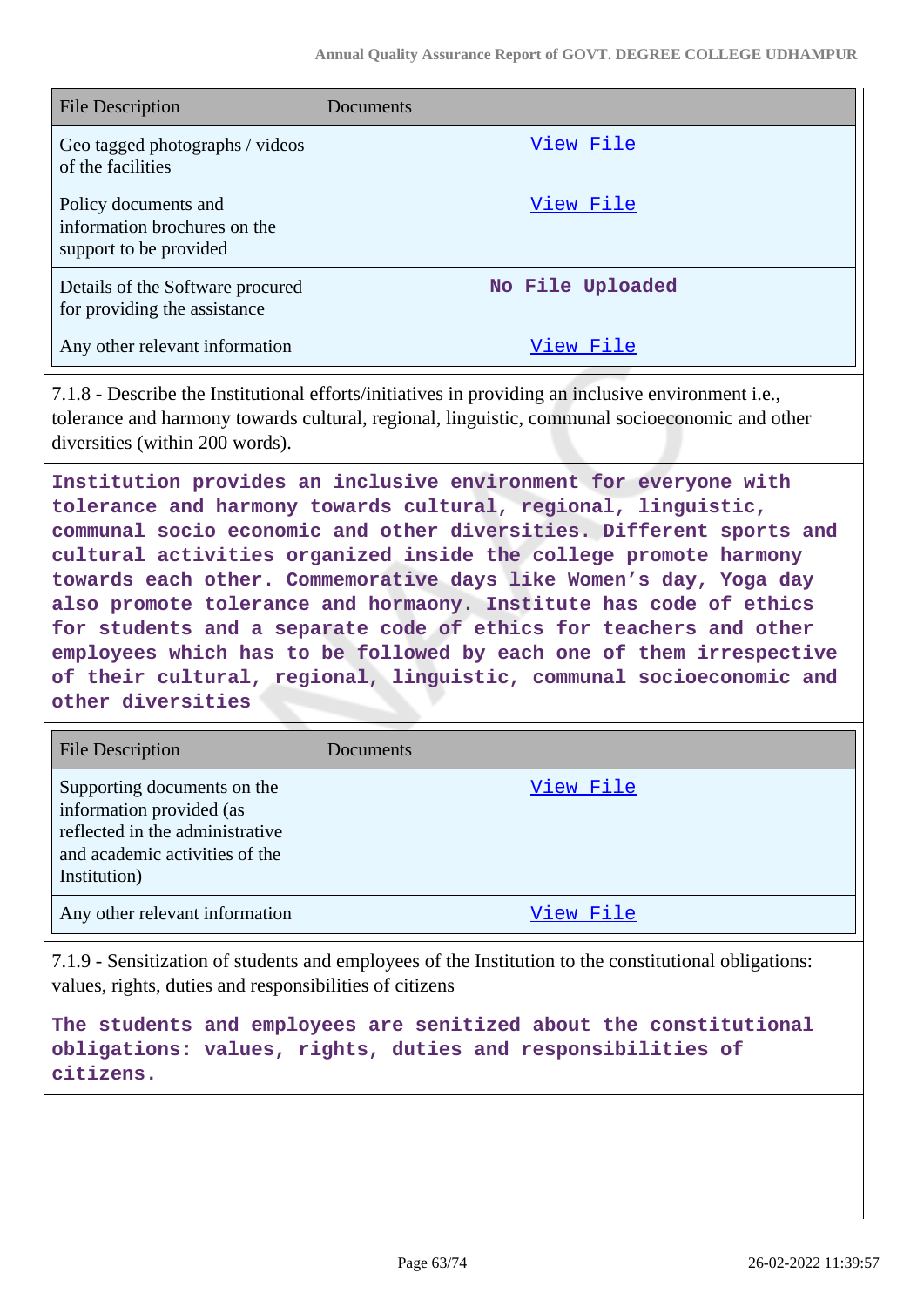| <b>File Description</b>                                                        | Documents        |
|--------------------------------------------------------------------------------|------------------|
| Geo tagged photographs / videos<br>of the facilities                           | View File        |
| Policy documents and<br>information brochures on the<br>support to be provided | View File        |
| Details of the Software procured<br>for providing the assistance               | No File Uploaded |
| Any other relevant information                                                 | View File        |

7.1.8 - Describe the Institutional efforts/initiatives in providing an inclusive environment i.e., tolerance and harmony towards cultural, regional, linguistic, communal socioeconomic and other diversities (within 200 words).

**Institution provides an inclusive environment for everyone with tolerance and harmony towards cultural, regional, linguistic, communal socio economic and other diversities. Different sports and cultural activities organized inside the college promote harmony towards each other. Commemorative days like Women's day, Yoga day also promote tolerance and hormaony. Institute has code of ethics for students and a separate code of ethics for teachers and other employees which has to be followed by each one of them irrespective of their cultural, regional, linguistic, communal socioeconomic and other diversities**

| <b>File Description</b>                                                                                                                      | Documents |
|----------------------------------------------------------------------------------------------------------------------------------------------|-----------|
| Supporting documents on the<br>information provided (as<br>reflected in the administrative<br>and academic activities of the<br>Institution) | View File |
| Any other relevant information                                                                                                               | View File |

7.1.9 - Sensitization of students and employees of the Institution to the constitutional obligations: values, rights, duties and responsibilities of citizens

**The students and employees are senitized about the constitutional obligations: values, rights, duties and responsibilities of citizens.**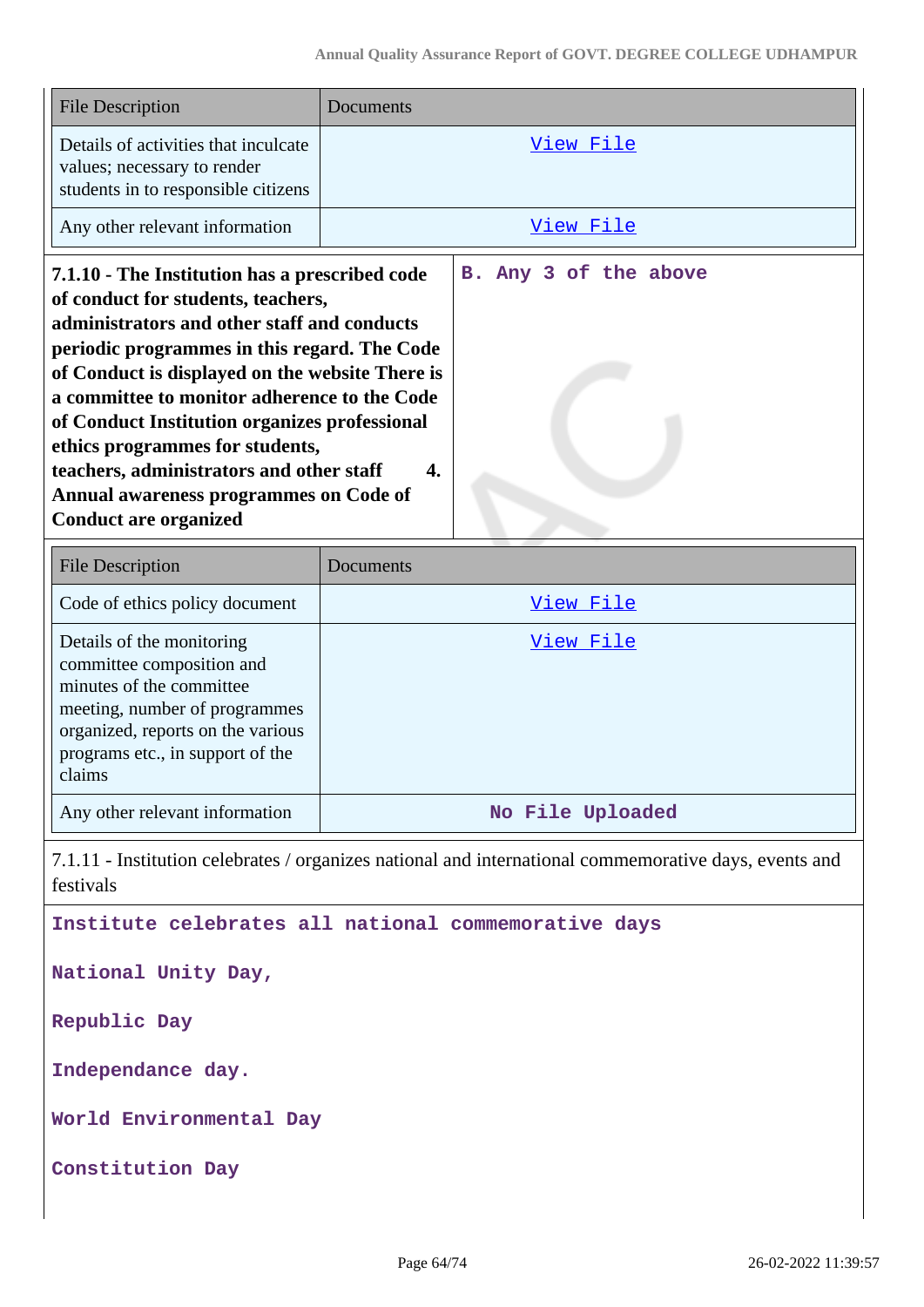| <b>File Description</b>                                                                                                                                                                                                                                                                                                                                                                                                                                                                          | Documents                                 |
|--------------------------------------------------------------------------------------------------------------------------------------------------------------------------------------------------------------------------------------------------------------------------------------------------------------------------------------------------------------------------------------------------------------------------------------------------------------------------------------------------|-------------------------------------------|
| Details of activities that inculcate<br>values; necessary to render<br>students in to responsible citizens                                                                                                                                                                                                                                                                                                                                                                                       | <u>View File</u>                          |
| Any other relevant information                                                                                                                                                                                                                                                                                                                                                                                                                                                                   | View File                                 |
| 7.1.10 - The Institution has a prescribed code<br>of conduct for students, teachers,<br>administrators and other staff and conducts<br>periodic programmes in this regard. The Code<br>of Conduct is displayed on the website There is<br>a committee to monitor adherence to the Code<br>of Conduct Institution organizes professional<br>ethics programmes for students,<br>teachers, administrators and other staff<br>Annual awareness programmes on Code of<br><b>Conduct are organized</b> | B. Any 3 of the above<br>$\overline{4}$ . |
| <b>File Description</b>                                                                                                                                                                                                                                                                                                                                                                                                                                                                          | Documents                                 |
| Code of ethics policy document                                                                                                                                                                                                                                                                                                                                                                                                                                                                   | View File                                 |
| Details of the monitoring<br>committee composition and<br>minutes of the committee<br>meeting, number of programmes<br>organized, reports on the various<br>programs etc., in support of the<br>claims                                                                                                                                                                                                                                                                                           | <u>View File</u>                          |
| Any other relevant information                                                                                                                                                                                                                                                                                                                                                                                                                                                                   | No File Uploaded                          |
| 7.1.11 - Institution celebrates / organizes national and international commemorative days, events and<br>festivals                                                                                                                                                                                                                                                                                                                                                                               |                                           |

**Institute celebrates all national commemorative days**

**National Unity Day,**

**Republic Day**

**Independance day.**

**World Environmental Day**

**Constitution Day**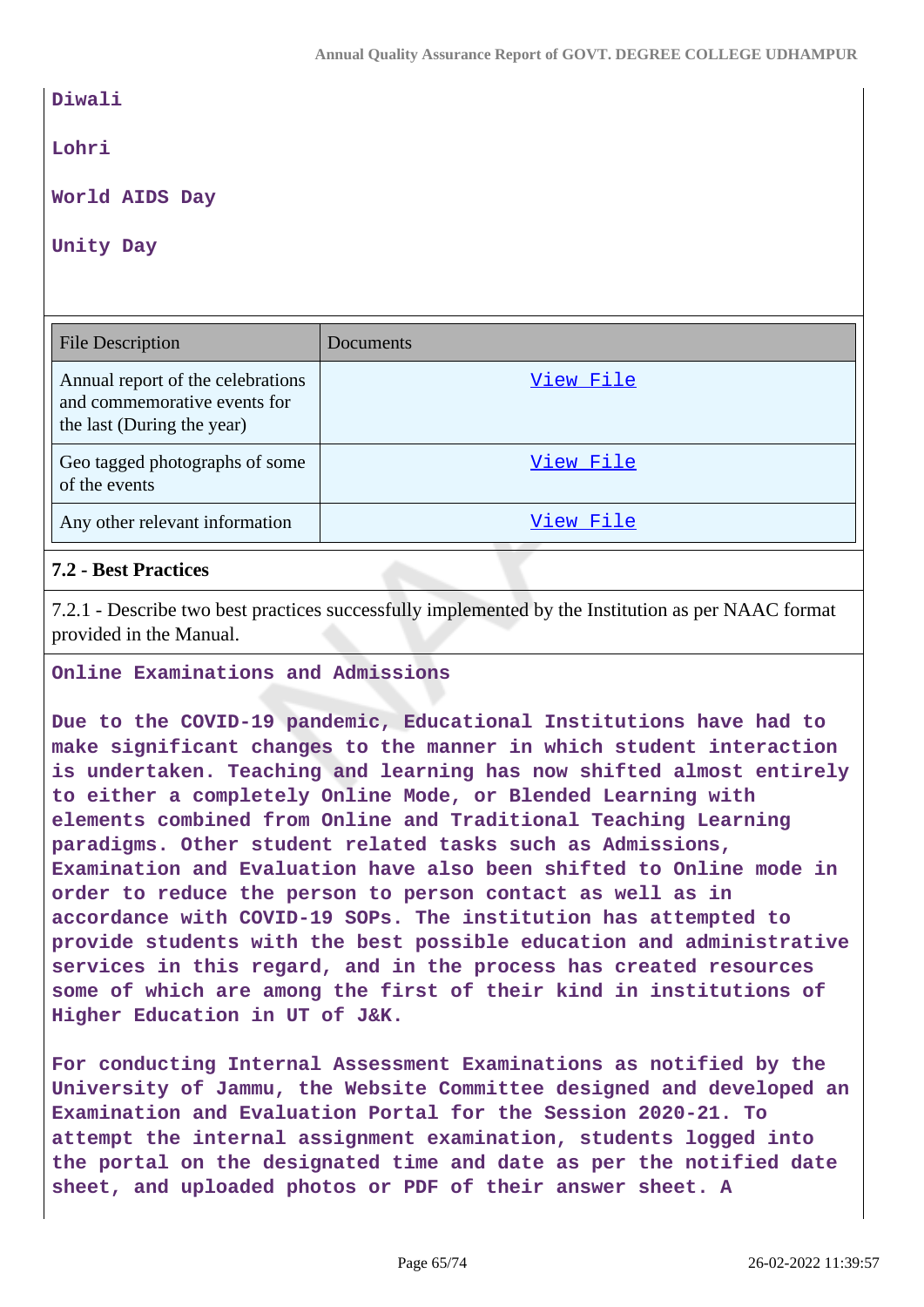| Diwali                                                                                          |           |  |
|-------------------------------------------------------------------------------------------------|-----------|--|
| Lohri                                                                                           |           |  |
| World AIDS Day                                                                                  |           |  |
| Unity Day                                                                                       |           |  |
|                                                                                                 |           |  |
|                                                                                                 |           |  |
| <b>File Description</b>                                                                         | Documents |  |
| Annual report of the celebrations<br>and commemorative events for<br>the last (During the year) | View File |  |
| Geo tagged photographs of some<br>of the events                                                 | View File |  |

# **7.2 - Best Practices**

7.2.1 - Describe two best practices successfully implemented by the Institution as per NAAC format provided in the Manual.

### **Online Examinations and Admissions**

**Due to the COVID-19 pandemic, Educational Institutions have had to make significant changes to the manner in which student interaction is undertaken. Teaching and learning has now shifted almost entirely to either a completely Online Mode, or Blended Learning with elements combined from Online and Traditional Teaching Learning paradigms. Other student related tasks such as Admissions, Examination and Evaluation have also been shifted to Online mode in order to reduce the person to person contact as well as in accordance with COVID-19 SOPs. The institution has attempted to provide students with the best possible education and administrative services in this regard, and in the process has created resources some of which are among the first of their kind in institutions of Higher Education in UT of J&K.**

**For conducting Internal Assessment Examinations as notified by the University of Jammu, the Website Committee designed and developed an Examination and Evaluation Portal for the Session 2020-21. To attempt the internal assignment examination, students logged into the portal on the designated time and date as per the notified date sheet, and uploaded photos or PDF of their answer sheet. A**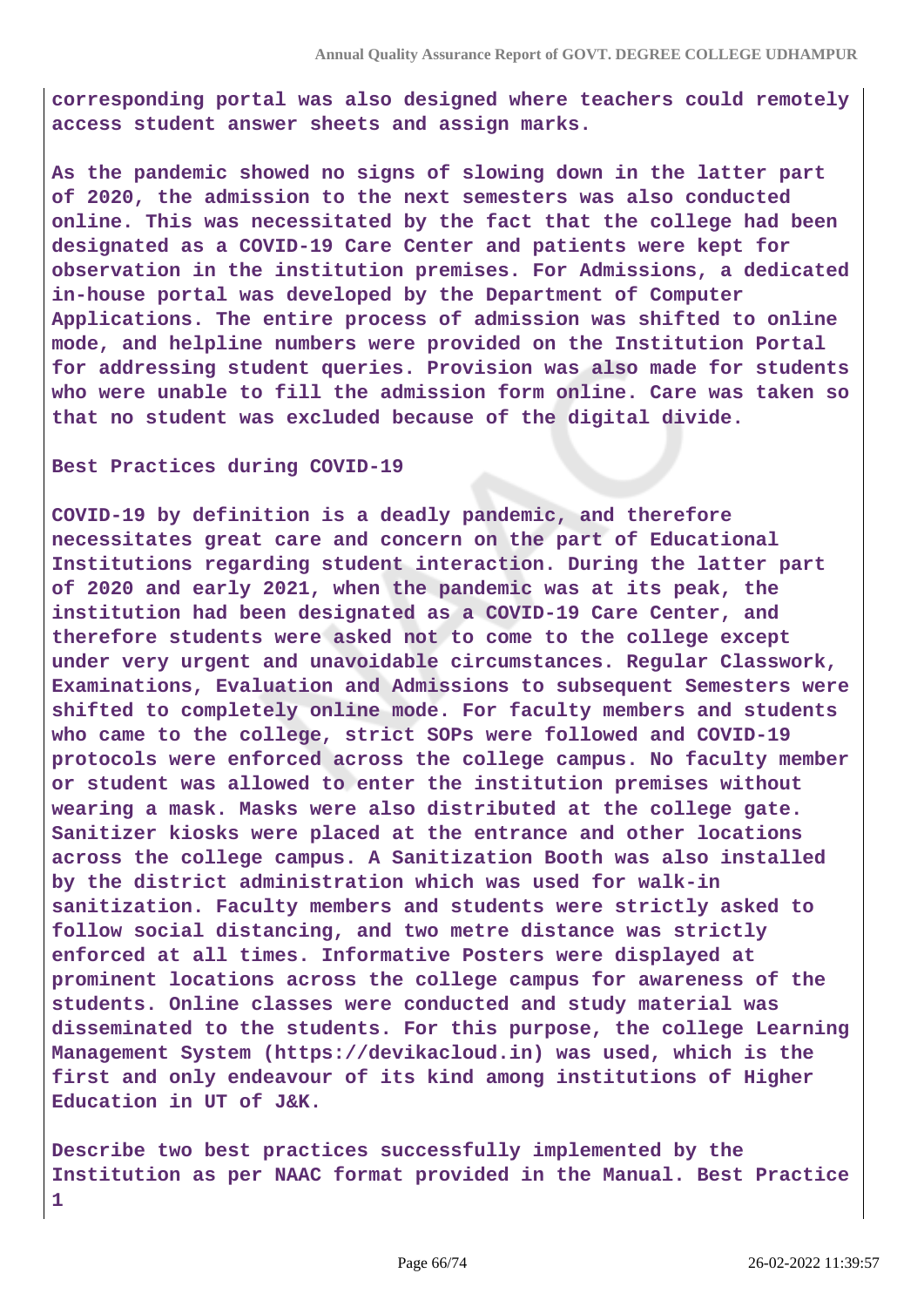**corresponding portal was also designed where teachers could remotely access student answer sheets and assign marks.**

**As the pandemic showed no signs of slowing down in the latter part of 2020, the admission to the next semesters was also conducted online. This was necessitated by the fact that the college had been designated as a COVID-19 Care Center and patients were kept for observation in the institution premises. For Admissions, a dedicated in-house portal was developed by the Department of Computer Applications. The entire process of admission was shifted to online mode, and helpline numbers were provided on the Institution Portal for addressing student queries. Provision was also made for students who were unable to fill the admission form online. Care was taken so that no student was excluded because of the digital divide.**

**Best Practices during COVID-19** 

**COVID-19 by definition is a deadly pandemic, and therefore necessitates great care and concern on the part of Educational Institutions regarding student interaction. During the latter part of 2020 and early 2021, when the pandemic was at its peak, the institution had been designated as a COVID-19 Care Center, and therefore students were asked not to come to the college except under very urgent and unavoidable circumstances. Regular Classwork, Examinations, Evaluation and Admissions to subsequent Semesters were shifted to completely online mode. For faculty members and students who came to the college, strict SOPs were followed and COVID-19 protocols were enforced across the college campus. No faculty member or student was allowed to enter the institution premises without wearing a mask. Masks were also distributed at the college gate. Sanitizer kiosks were placed at the entrance and other locations across the college campus. A Sanitization Booth was also installed by the district administration which was used for walk-in sanitization. Faculty members and students were strictly asked to follow social distancing, and two metre distance was strictly enforced at all times. Informative Posters were displayed at prominent locations across the college campus for awareness of the students. Online classes were conducted and study material was disseminated to the students. For this purpose, the college Learning Management System (https://devikacloud.in) was used, which is the first and only endeavour of its kind among institutions of Higher Education in UT of J&K.**

**Describe two best practices successfully implemented by the Institution as per NAAC format provided in the Manual. Best Practice 1**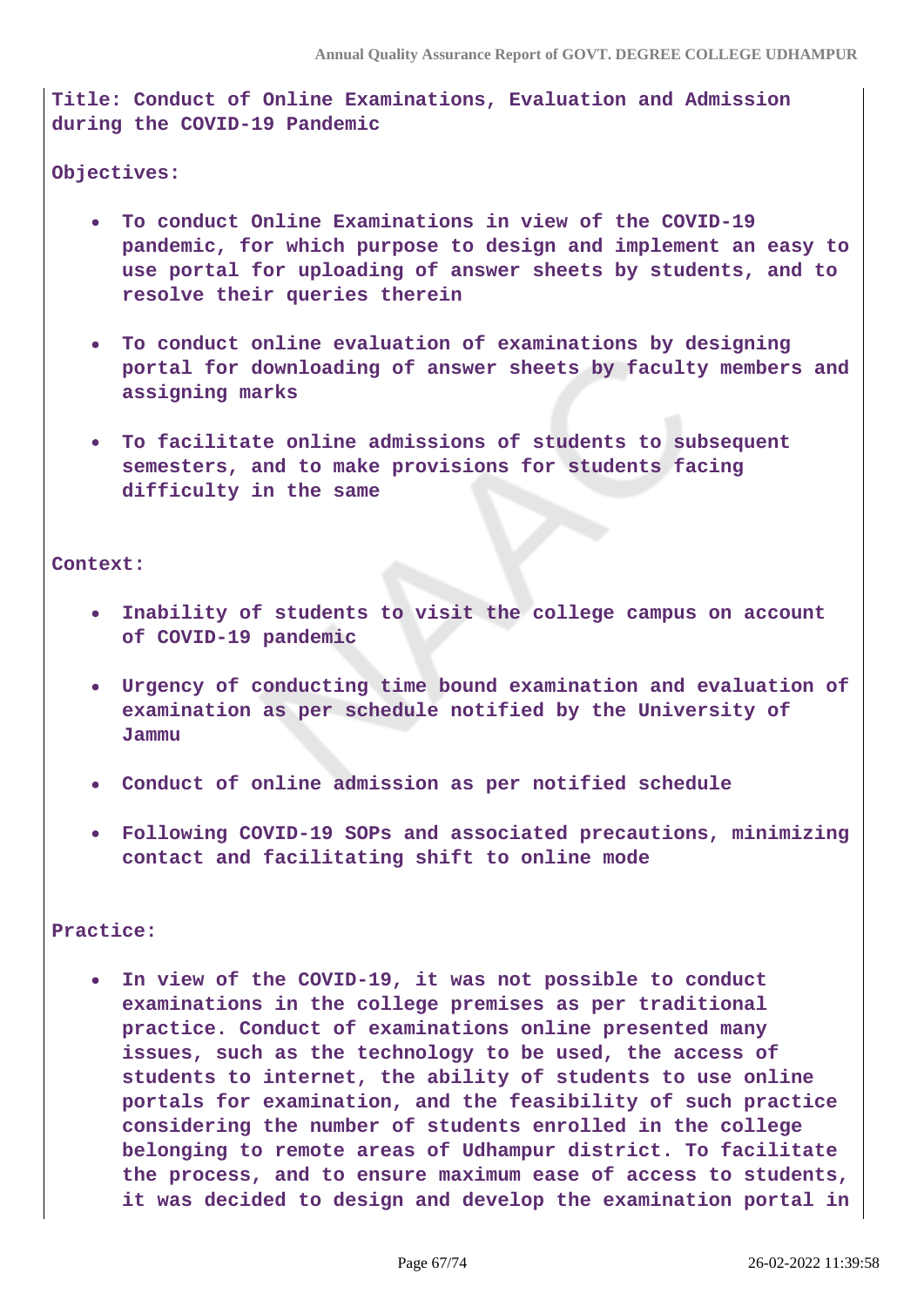**Title: Conduct of Online Examinations, Evaluation and Admission during the COVID-19 Pandemic**

**Objectives:**

- **To conduct Online Examinations in view of the COVID-19 pandemic, for which purpose to design and implement an easy to use portal for uploading of answer sheets by students, and to resolve their queries therein**
- **To conduct online evaluation of examinations by designing portal for downloading of answer sheets by faculty members and assigning marks**
- **To facilitate online admissions of students to subsequent semesters, and to make provisions for students facing difficulty in the same**

**Context:**

- **Inability of students to visit the college campus on account of COVID-19 pandemic**
- **Urgency of conducting time bound examination and evaluation of examination as per schedule notified by the University of Jammu**
- **Conduct of online admission as per notified schedule**
- **Following COVID-19 SOPs and associated precautions, minimizing contact and facilitating shift to online mode**

**Practice:**

**In view of the COVID-19, it was not possible to conduct examinations in the college premises as per traditional practice. Conduct of examinations online presented many issues, such as the technology to be used, the access of students to internet, the ability of students to use online portals for examination, and the feasibility of such practice considering the number of students enrolled in the college belonging to remote areas of Udhampur district. To facilitate the process, and to ensure maximum ease of access to students, it was decided to design and develop the examination portal in**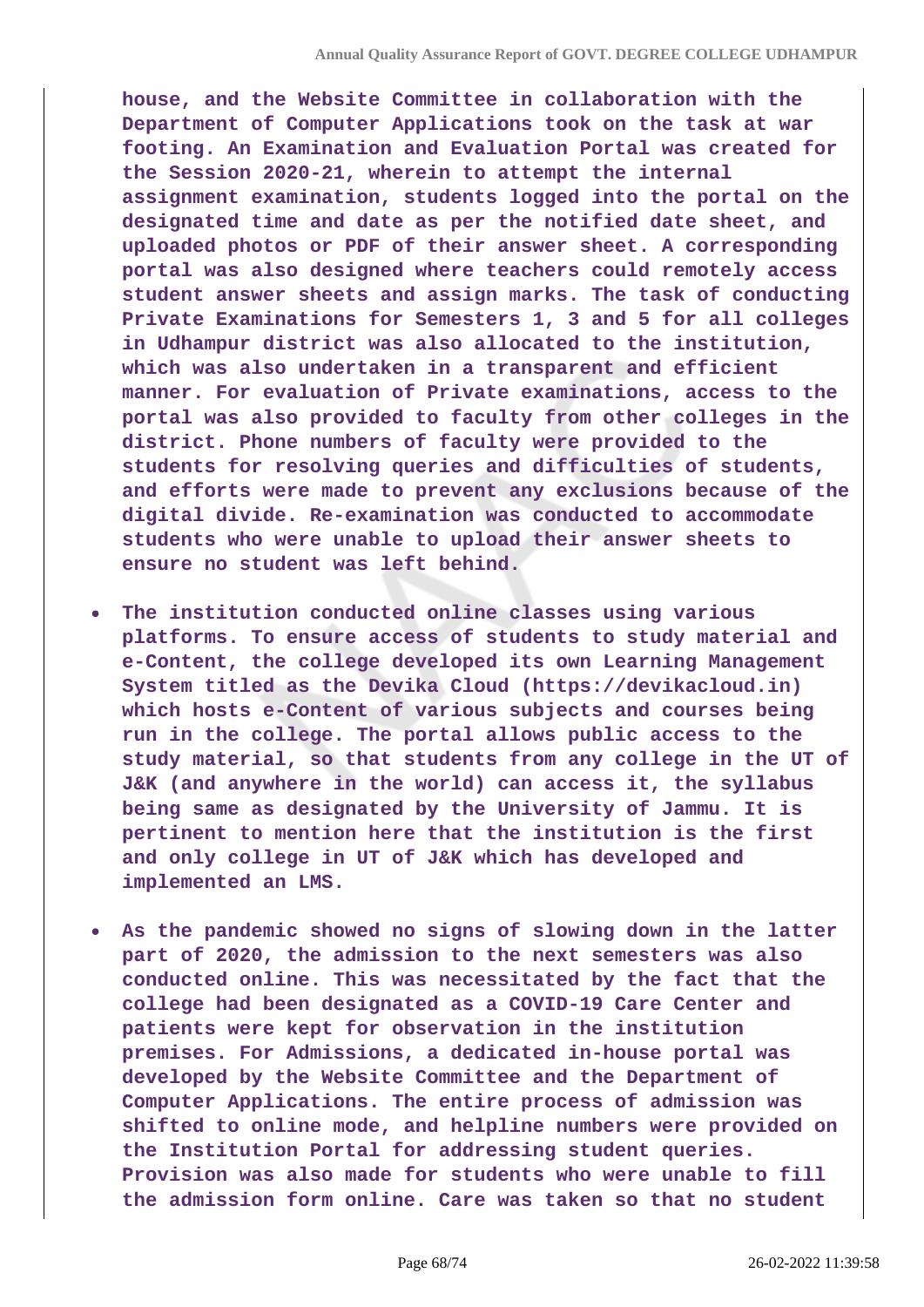**house, and the Website Committee in collaboration with the Department of Computer Applications took on the task at war footing. An Examination and Evaluation Portal was created for the Session 2020-21, wherein to attempt the internal assignment examination, students logged into the portal on the designated time and date as per the notified date sheet, and uploaded photos or PDF of their answer sheet. A corresponding portal was also designed where teachers could remotely access student answer sheets and assign marks. The task of conducting Private Examinations for Semesters 1, 3 and 5 for all colleges in Udhampur district was also allocated to the institution, which was also undertaken in a transparent and efficient manner. For evaluation of Private examinations, access to the portal was also provided to faculty from other colleges in the district. Phone numbers of faculty were provided to the students for resolving queries and difficulties of students, and efforts were made to prevent any exclusions because of the digital divide. Re-examination was conducted to accommodate students who were unable to upload their answer sheets to ensure no student was left behind.**

- **The institution conducted online classes using various**  $\bullet$ **platforms. To ensure access of students to study material and e-Content, the college developed its own Learning Management System titled as the Devika Cloud (https://devikacloud.in) which hosts e-Content of various subjects and courses being run in the college. The portal allows public access to the study material, so that students from any college in the UT of J&K (and anywhere in the world) can access it, the syllabus being same as designated by the University of Jammu. It is pertinent to mention here that the institution is the first and only college in UT of J&K which has developed and implemented an LMS.**
- **As the pandemic showed no signs of slowing down in the latter part of 2020, the admission to the next semesters was also conducted online. This was necessitated by the fact that the college had been designated as a COVID-19 Care Center and patients were kept for observation in the institution premises. For Admissions, a dedicated in-house portal was developed by the Website Committee and the Department of Computer Applications. The entire process of admission was shifted to online mode, and helpline numbers were provided on the Institution Portal for addressing student queries. Provision was also made for students who were unable to fill the admission form online. Care was taken so that no student**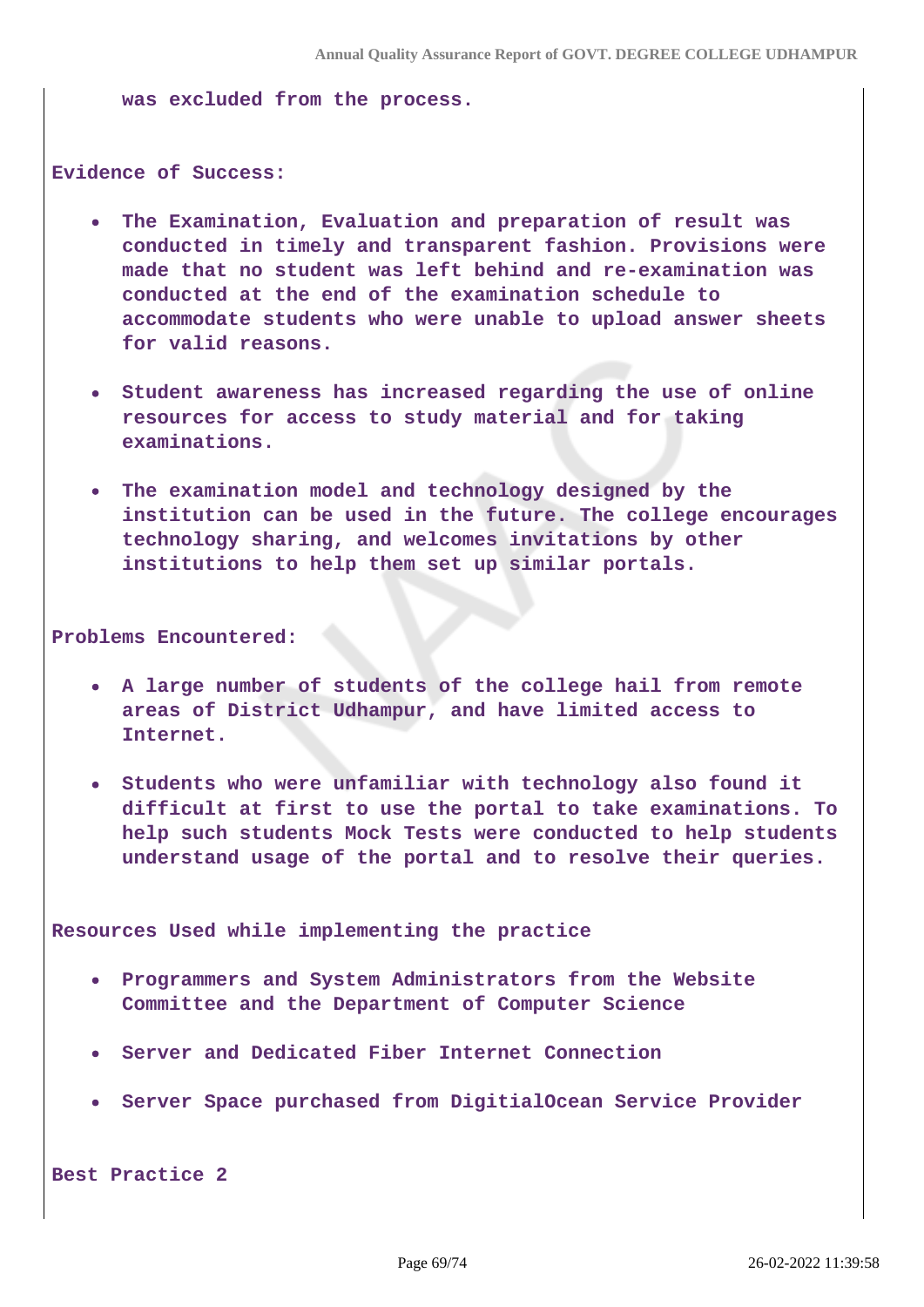**was excluded from the process.**

**Evidence of Success:**

- **The Examination, Evaluation and preparation of result was conducted in timely and transparent fashion. Provisions were made that no student was left behind and re-examination was conducted at the end of the examination schedule to accommodate students who were unable to upload answer sheets for valid reasons.**
- **Student awareness has increased regarding the use of online resources for access to study material and for taking examinations.**
- **The examination model and technology designed by the institution can be used in the future. The college encourages technology sharing, and welcomes invitations by other institutions to help them set up similar portals.**

**Problems Encountered:**

- **A large number of students of the college hail from remote areas of District Udhampur, and have limited access to Internet.**
- **Students who were unfamiliar with technology also found it difficult at first to use the portal to take examinations. To help such students Mock Tests were conducted to help students understand usage of the portal and to resolve their queries.**

**Resources Used while implementing the practice**

- **Programmers and System Administrators from the Website Committee and the Department of Computer Science**
- **Server and Dedicated Fiber Internet Connection**
- **Server Space purchased from DigitialOcean Service Provider**

**Best Practice 2**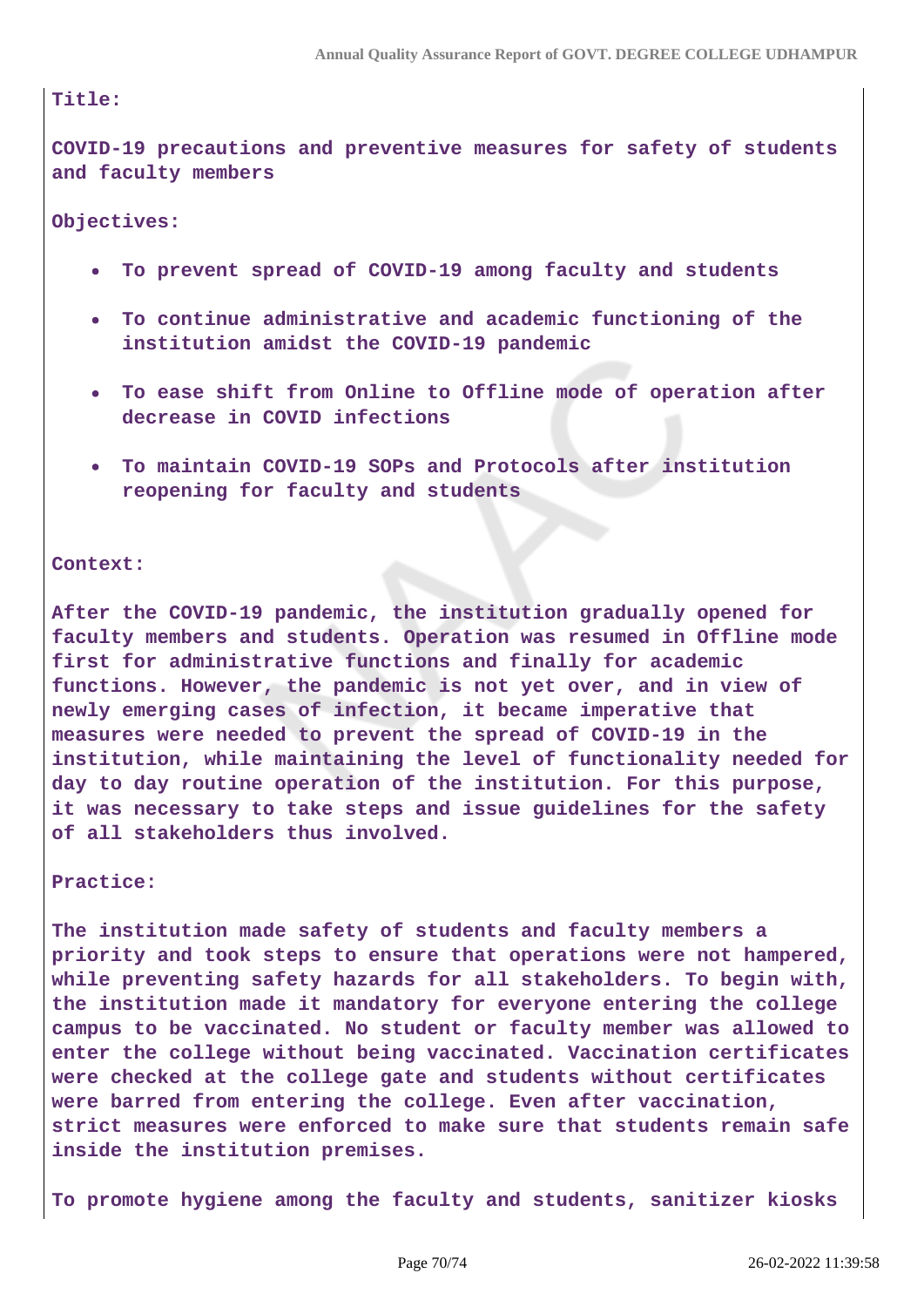### **Title:**

**COVID-19 precautions and preventive measures for safety of students and faculty members**

**Objectives:**

- **To prevent spread of COVID-19 among faculty and students**
- **To continue administrative and academic functioning of the**  $\bullet$ **institution amidst the COVID-19 pandemic**
- **To ease shift from Online to Offline mode of operation after decrease in COVID infections**
- **To maintain COVID-19 SOPs and Protocols after institution reopening for faculty and students**

#### **Context:**

**After the COVID-19 pandemic, the institution gradually opened for faculty members and students. Operation was resumed in Offline mode first for administrative functions and finally for academic functions. However, the pandemic is not yet over, and in view of newly emerging cases of infection, it became imperative that measures were needed to prevent the spread of COVID-19 in the institution, while maintaining the level of functionality needed for day to day routine operation of the institution. For this purpose, it was necessary to take steps and issue guidelines for the safety of all stakeholders thus involved.**

**Practice:**

**The institution made safety of students and faculty members a priority and took steps to ensure that operations were not hampered, while preventing safety hazards for all stakeholders. To begin with, the institution made it mandatory for everyone entering the college campus to be vaccinated. No student or faculty member was allowed to enter the college without being vaccinated. Vaccination certificates were checked at the college gate and students without certificates were barred from entering the college. Even after vaccination, strict measures were enforced to make sure that students remain safe inside the institution premises.**

**To promote hygiene among the faculty and students, sanitizer kiosks**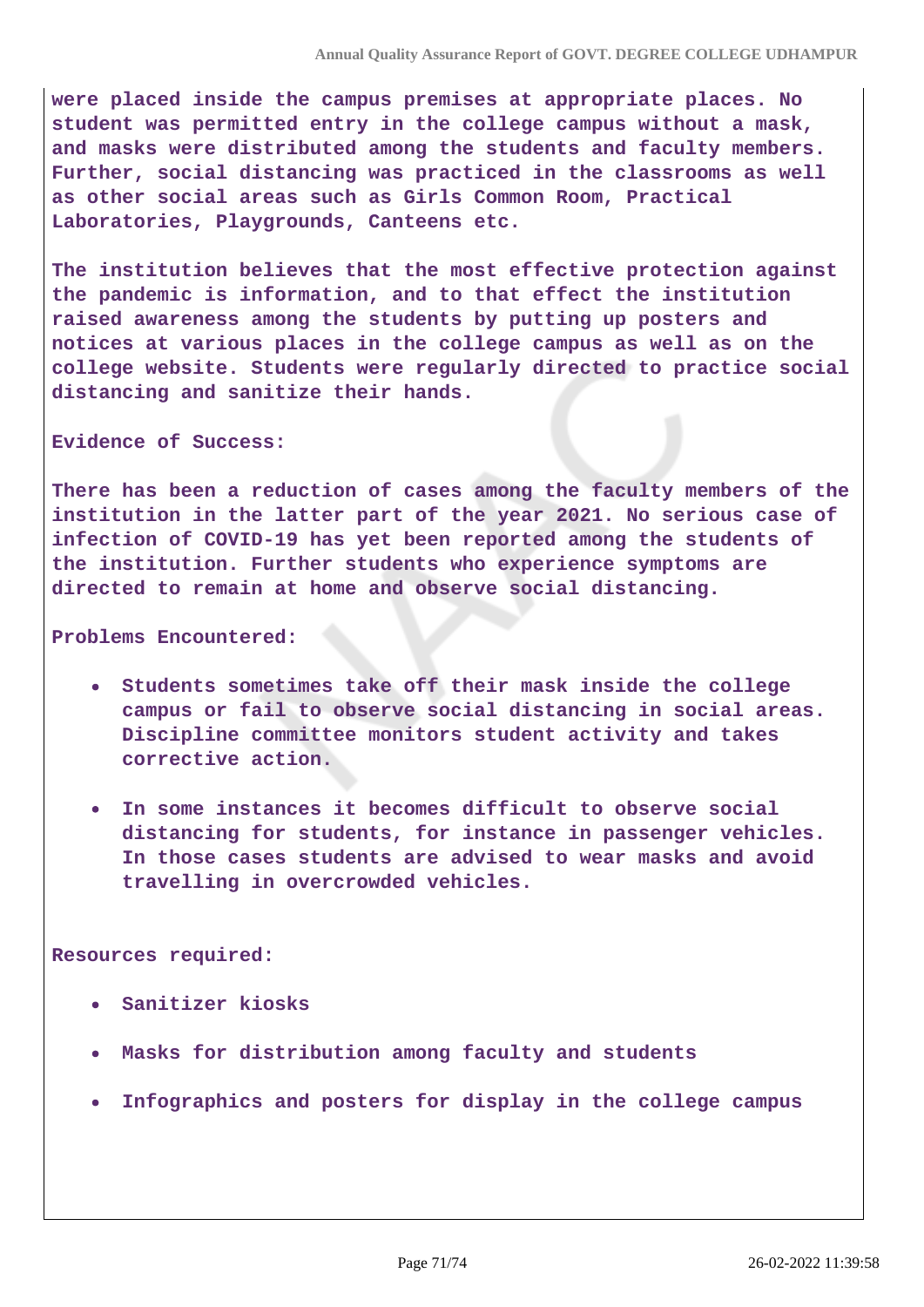**were placed inside the campus premises at appropriate places. No student was permitted entry in the college campus without a mask, and masks were distributed among the students and faculty members. Further, social distancing was practiced in the classrooms as well as other social areas such as Girls Common Room, Practical Laboratories, Playgrounds, Canteens etc.**

**The institution believes that the most effective protection against the pandemic is information, and to that effect the institution raised awareness among the students by putting up posters and notices at various places in the college campus as well as on the college website. Students were regularly directed to practice social distancing and sanitize their hands.**

#### **Evidence of Success:**

**There has been a reduction of cases among the faculty members of the institution in the latter part of the year 2021. No serious case of infection of COVID-19 has yet been reported among the students of the institution. Further students who experience symptoms are directed to remain at home and observe social distancing.**

#### **Problems Encountered:**

- **Students sometimes take off their mask inside the college**  $\bullet$ **campus or fail to observe social distancing in social areas. Discipline committee monitors student activity and takes corrective action.**
- **In some instances it becomes difficult to observe social**  $\bullet$ **distancing for students, for instance in passenger vehicles. In those cases students are advised to wear masks and avoid travelling in overcrowded vehicles.**

#### **Resources required:**

- **Sanitizer kiosks**
- **Masks for distribution among faculty and students**
- **Infographics and posters for display in the college campus**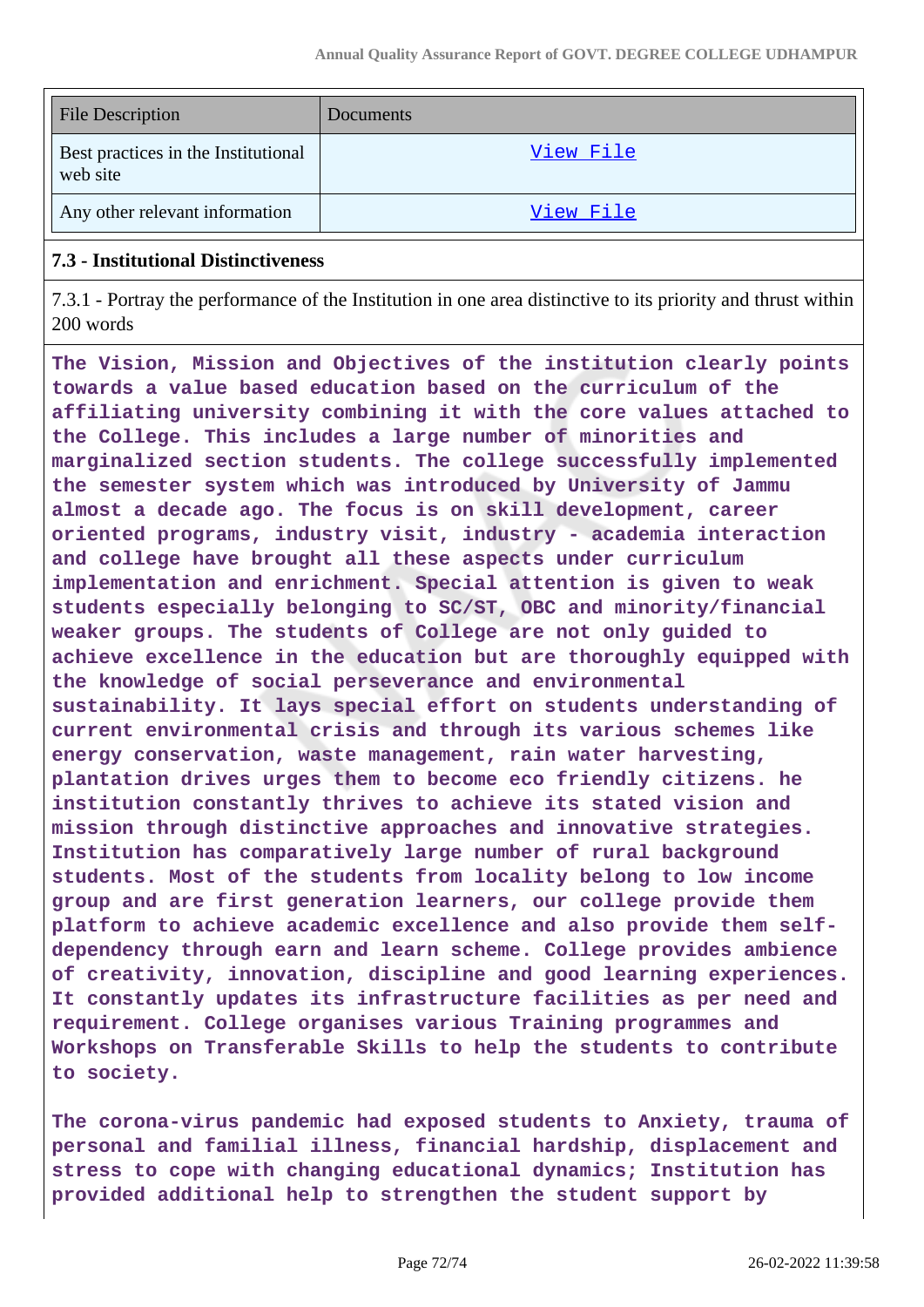| <b>File Description</b>                         | <b>Documents</b> |
|-------------------------------------------------|------------------|
| Best practices in the Institutional<br>web site | View File        |
| Any other relevant information                  | View File        |

### **7.3 - Institutional Distinctiveness**

7.3.1 - Portray the performance of the Institution in one area distinctive to its priority and thrust within 200 words

**The Vision, Mission and Objectives of the institution clearly points towards a value based education based on the curriculum of the affiliating university combining it with the core values attached to the College. This includes a large number of minorities and marginalized section students. The college successfully implemented the semester system which was introduced by University of Jammu almost a decade ago. The focus is on skill development, career oriented programs, industry visit, industry - academia interaction and college have brought all these aspects under curriculum implementation and enrichment. Special attention is given to weak students especially belonging to SC/ST, OBC and minority/financial weaker groups. The students of College are not only guided to achieve excellence in the education but are thoroughly equipped with the knowledge of social perseverance and environmental sustainability. It lays special effort on students understanding of current environmental crisis and through its various schemes like energy conservation, waste management, rain water harvesting, plantation drives urges them to become eco friendly citizens. he institution constantly thrives to achieve its stated vision and mission through distinctive approaches and innovative strategies. Institution has comparatively large number of rural background students. Most of the students from locality belong to low income group and are first generation learners, our college provide them platform to achieve academic excellence and also provide them selfdependency through earn and learn scheme. College provides ambience of creativity, innovation, discipline and good learning experiences. It constantly updates its infrastructure facilities as per need and requirement. College organises various Training programmes and Workshops on Transferable Skills to help the students to contribute to society.**

**The corona-virus pandemic had exposed students to Anxiety, trauma of personal and familial illness, financial hardship, displacement and stress to cope with changing educational dynamics; Institution has provided additional help to strengthen the student support by**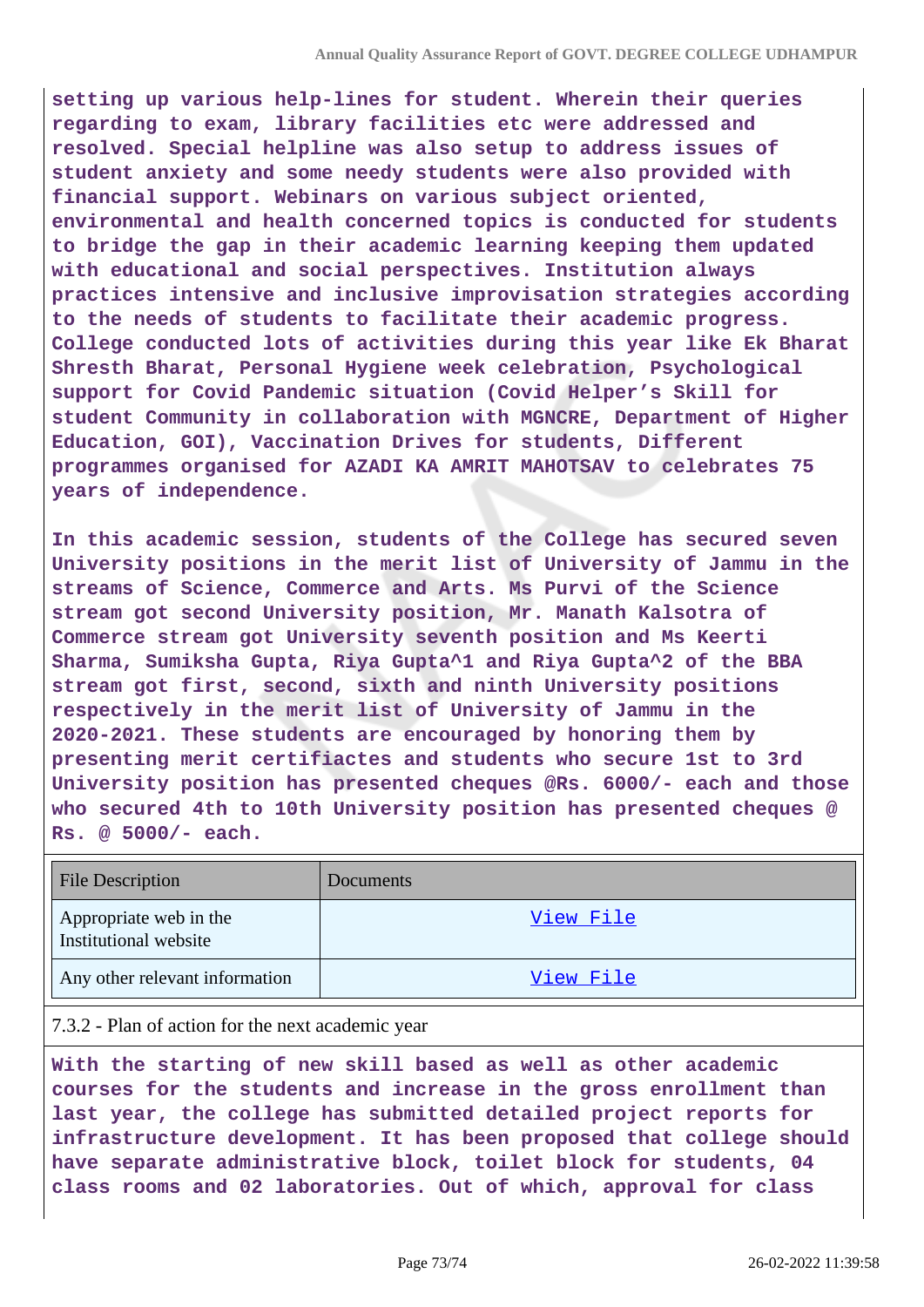**setting up various help-lines for student. Wherein their queries regarding to exam, library facilities etc were addressed and resolved. Special helpline was also setup to address issues of student anxiety and some needy students were also provided with financial support. Webinars on various subject oriented, environmental and health concerned topics is conducted for students to bridge the gap in their academic learning keeping them updated with educational and social perspectives. Institution always practices intensive and inclusive improvisation strategies according to the needs of students to facilitate their academic progress. College conducted lots of activities during this year like Ek Bharat Shresth Bharat, Personal Hygiene week celebration, Psychological support for Covid Pandemic situation (Covid Helper's Skill for student Community in collaboration with MGNCRE, Department of Higher Education, GOI), Vaccination Drives for students, Different programmes organised for AZADI KA AMRIT MAHOTSAV to celebrates 75 years of independence.**

**In this academic session, students of the College has secured seven University positions in the merit list of University of Jammu in the streams of Science, Commerce and Arts. Ms Purvi of the Science stream got second University position, Mr. Manath Kalsotra of Commerce stream got University seventh position and Ms Keerti Sharma, Sumiksha Gupta, Riya Gupta^1 and Riya Gupta^2 of the BBA stream got first, second, sixth and ninth University positions respectively in the merit list of University of Jammu in the 2020-2021. These students are encouraged by honoring them by presenting merit certifiactes and students who secure 1st to 3rd University position has presented cheques @Rs. 6000/- each and those who secured 4th to 10th University position has presented cheques @ Rs. @ 5000/- each.**

| <b>File Description</b>                         | Documents        |
|-------------------------------------------------|------------------|
| Appropriate web in the<br>Institutional website | <u>View File</u> |
| Any other relevant information                  | <u>View File</u> |

## 7.3.2 - Plan of action for the next academic year

**With the starting of new skill based as well as other academic courses for the students and increase in the gross enrollment than last year, the college has submitted detailed project reports for infrastructure development. It has been proposed that college should have separate administrative block, toilet block for students, 04 class rooms and 02 laboratories. Out of which, approval for class**